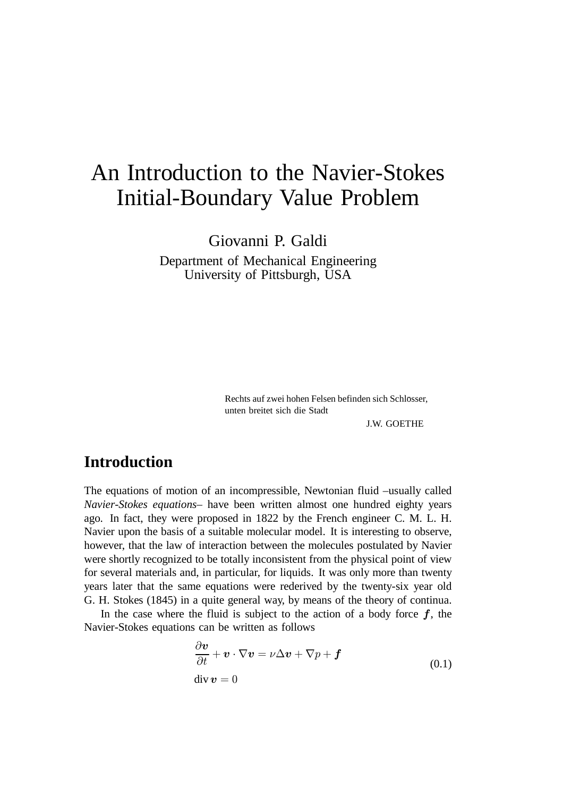# An Introduction to the Navier-Stokes Initial-Boundary Value Problem

Giovanni P. Galdi Department of Mechanical Engineering University of Pittsburgh, USA

> Rechts auf zwei hohen Felsen befinden sich Schlösser, unten breitet sich die Stadt

> > J.W. GOETHE

## **Introduction**

The equations of motion of an incompressible, Newtonian fluid –usually called *Navier-Stokes equations*– have been written almost one hundred eighty years ago. In fact, they were proposed in 1822 by the French engineer C. M. L. H. Navier upon the basis of a suitable molecular model. It is interesting to observe, however, that the law of interaction between the molecules postulated by Navier were shortly recognized to be totally inconsistent from the physical point of view for several materials and, in particular, for liquids. It was only more than twenty years later that the same equations were rederived by the twenty-six year old G. H. Stokes (1845) in a quite general way, by means of the theory of continua.

In the case where the fluid is subject to the action of a body force  $f$ , the Navier-Stokes equations can be written as follows

$$
\frac{\partial \boldsymbol{v}}{\partial t} + \boldsymbol{v} \cdot \nabla \boldsymbol{v} = \nu \Delta \boldsymbol{v} + \nabla p + \boldsymbol{f}
$$
\n
$$
\text{div } \boldsymbol{v} = 0 \tag{0.1}
$$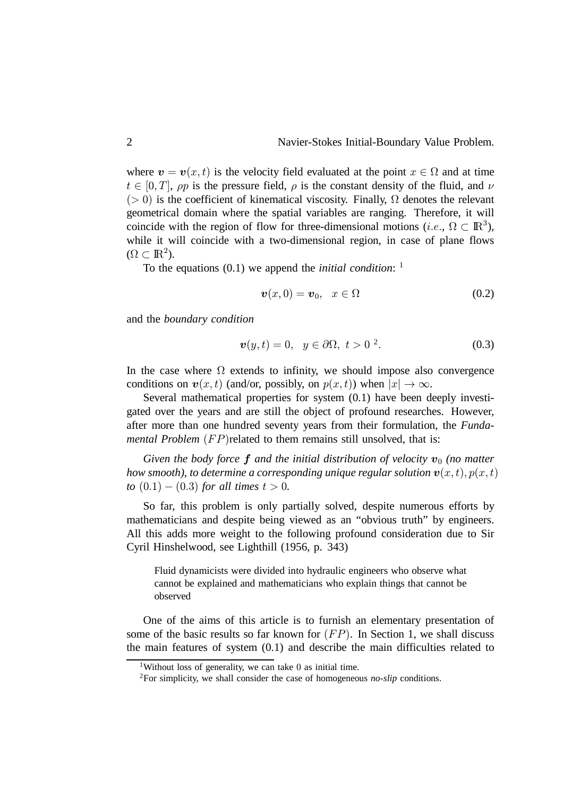where  $\mathbf{v} = \mathbf{v}(x, t)$  is the velocity field evaluated at the point  $x \in \Omega$  and at time  $t \in [0, T]$ ,  $\rho p$  is the pressure field,  $\rho$  is the constant density of the fluid, and  $\nu$  $(0, 0)$  is the coefficient of kinematical viscosity. Finally,  $\Omega$  denotes the relevant geometrical domain where the spatial variables are ranging. Therefore, it will coincide with the region of flow for three-dimensional motions (*i.e.*,  $\Omega \subset \mathbb{R}^3$ ), while it will coincide with a two-dimensional region, in case of plane flows  $(\Omega \subset \mathbb{R}^2).$ 

To the equations (0.1) we append the *initial condition*: 1

$$
\boldsymbol{v}(x,0)=\boldsymbol{v}_0,\quad x\in\Omega\tag{0.2}
$$

and the *boundary condition*

$$
\boldsymbol{v}(y,t) = 0, \quad y \in \partial \Omega, \ t > 0^2. \tag{0.3}
$$

In the case where  $\Omega$  extends to infinity, we should impose also convergence conditions on  $v(x, t)$  (and/or, possibly, on  $p(x, t)$ ) when  $|x| \to \infty$ .

Several mathematical properties for system (0.1) have been deeply investigated over the years and are still the object of profound researches. However, after more than one hundred seventy years from their formulation, the *Fundamental Problem*  $(FP)$  related to them remains still unsolved, that is:

Given the body force  $f$  and the initial distribution of velocity  $v_0$  (no matter how smooth), to determine a corresponding unique regular solution  $\bm{v}(x,t), p(x,t)$ *to*  $(0.1) - (0.3)$  *for all times*  $t > 0$ *.* 

So far, this problem is only partially solved, despite numerous efforts by mathematicians and despite being viewed as an "obvious truth" by engineers. All this adds more weight to the following profound consideration due to Sir Cyril Hinshelwood, see Lighthill (1956, p. 343)

Fluid dynamicists were divided into hydraulic engineers who observe what cannot be explained and mathematicians who explain things that cannot be observed

One of the aims of this article is to furnish an elementary presentation of some of the basic results so far known for  $(FP)$ . In Section 1, we shall discuss the main features of system (0.1) and describe the main difficulties related to

<sup>&</sup>lt;sup>1</sup>Without loss of generality, we can take 0 as initial time.

<sup>2</sup>For simplicity, we shall consider the case of homogeneous *no-slip* conditions.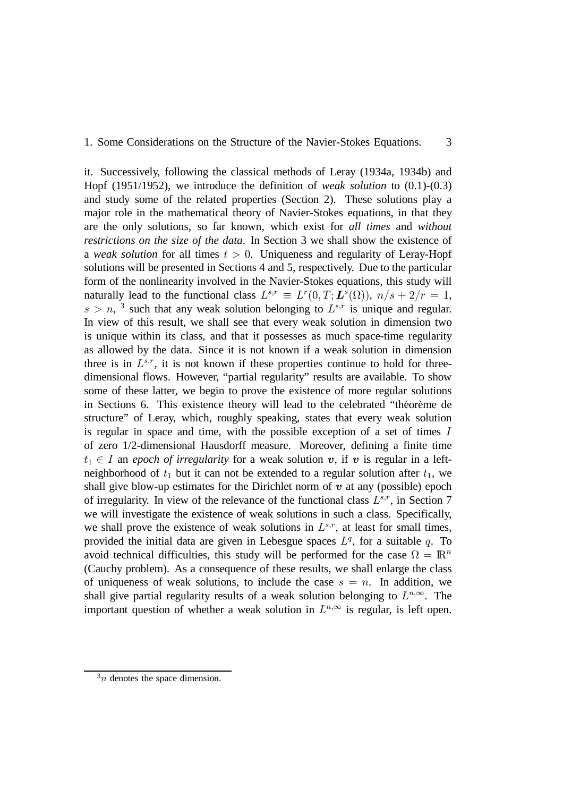### 1. Some Considerations on the Structure of the Navier-Stokes Equations. 3

it. Successively, following the classical methods of Leray (1934a, 1934b) and Hopf (1951/1952), we introduce the definition of *weak solution* to (0.1)-(0.3) and study some of the related properties (Section 2). These solutions play a major role in the mathematical theory of Navier-Stokes equations, in that they are the only solutions, so far known, which exist for *all times* and *without restrictions on the size of the data*. In Section 3 we shall show the existence of a *weak solution* for all times  $t > 0$ . Uniqueness and regularity of Leray-Hopf solutions will be presented in Sections 4 and 5, respectively. Due to the particular form of the nonlinearity involved in the Navier-Stokes equations, this study will naturally lead to the functional class  $L^{s,r} \equiv L^r(0,T; L^s(\Omega))$ ,  $n/s + 2/r = 1$ ,  $s > n$ , <sup>3</sup> such that any weak solution belonging to  $L^{s,r}$  is unique and regular. In view of this result, we shall see that every weak solution in dimension two is unique within its class, and that it possesses as much space-time regularity as allowed by the data. Since it is not known if a weak solution in dimension three is in  $L^{s,r}$ , it is not known if these properties continue to hold for threedimensional flows. However, "partial regularity" results are available. To show some of these latter, we begin to prove the existence of more regular solutions in Sections 6. This existence theory will lead to the celebrated "theoreme de structure" of Leray, which, roughly speaking, states that every weak solution is regular in space and time, with the possible exception of a set of times  $I$ of zero 1/2-dimensional Hausdorff measure. Moreover, defining a finite time  $t_1 \in I$  an *epoch of irregularity* for a weak solution  $v$ , if  $v$  is regular in a leftneighborhood of  $t_1$  but it can not be extended to a regular solution after  $t_1$ , we shall give blow-up estimates for the Dirichlet norm of  $v$  at any (possible) epoch of irregularity. In view of the relevance of the functional class  $L^{s,r}$ , in Section 7 we will investigate the existence of weak solutions in such a class. Specifically, we shall prove the existence of weak solutions in  $L^{s,r}$ , at least for small times, provided the initial data are given in Lebesgue spaces  $L<sup>q</sup>$ , for a suitable q. To avoid technical difficulties, this study will be performed for the case  $\Omega = \mathbb{R}^n$ (Cauchy problem). As a consequence of these results, we shall enlarge the class of uniqueness of weak solutions, to include the case  $s = n$ . In addition, we shall give partial regularity results of a weak solution belonging to  $L^{n,\infty}$ . The important question of whether a weak solution in  $L^{n,\infty}$  is regular, is left open.

 $3n$  denotes the space dimension.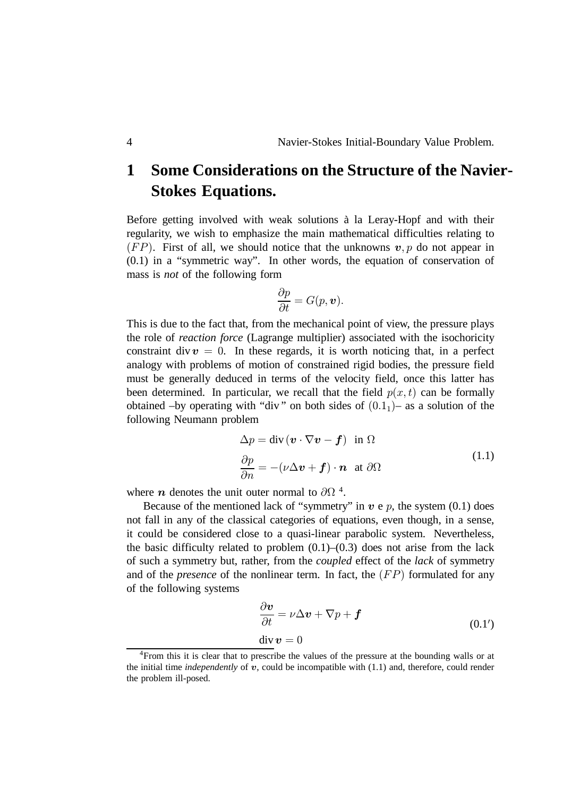# **1 Some Considerations on the Structure of the Navier-Stokes Equations.**

Before getting involved with weak solutions a la Leray-Hopf and with their ` regularity, we wish to emphasize the main mathematical difficulties relating to  $(FP)$ . First of all, we should notice that the unknowns  $v, p$  do not appear in (0.1) in a "symmetric way". In other words, the equation of conservation of mass is *not* of the following form

$$
\frac{\partial p}{\partial t} = G(p, \boldsymbol{v}).
$$

This is due to the fact that, from the mechanical point of view, the pressure plays the role of *reaction force* (Lagrange multiplier) associated with the isochoricity constraint div  $v = 0$ . In these regards, it is worth noticing that, in a perfect analogy with problems of motion of constrained rigid bodies, the pressure field must be generally deduced in terms of the velocity field, once this latter has been determined. In particular, we recall that the field  $p(x, t)$  can be formally obtained –by operating with "div" on both sides of  $(0.1<sub>1</sub>)$  – as a solution of the following Neumann problem

$$
\Delta p = \text{div} (\boldsymbol{v} \cdot \nabla \boldsymbol{v} - \boldsymbol{f}) \text{ in } \Omega
$$
  
\n
$$
\frac{\partial p}{\partial n} = -(\nu \Delta \boldsymbol{v} + \boldsymbol{f}) \cdot \boldsymbol{n} \text{ at } \partial \Omega
$$
\n(1.1)

where *n* denotes the unit outer normal to  $\partial\Omega$ <sup>4</sup>.

Because of the mentioned lack of "symmetry" in  $v e p$ , the system (0.1) does not fall in any of the classical categories of equations, even though, in a sense, it could be considered close to a quasi-linear parabolic system. Nevertheless, the basic difficulty related to problem  $(0.1)$ – $(0.3)$  does not arise from the lack of such a symmetry but, rather, from the *coupled* effect of the *lack* of symmetry and of the *presence* of the nonlinear term. In fact, the  $(FP)$  formulated for any of the following systems

$$
\frac{\partial \mathbf{v}}{\partial t} = \nu \Delta \mathbf{v} + \nabla p + \mathbf{f}
$$
  
div  $\mathbf{v} = 0$  (0.1')

<sup>&</sup>lt;sup>4</sup>From this it is clear that to prescribe the values of the pressure at the bounding walls or at the initial time *independently* of  $v$ , could be incompatible with  $(1.1)$  and, therefore, could render the problem ill-posed.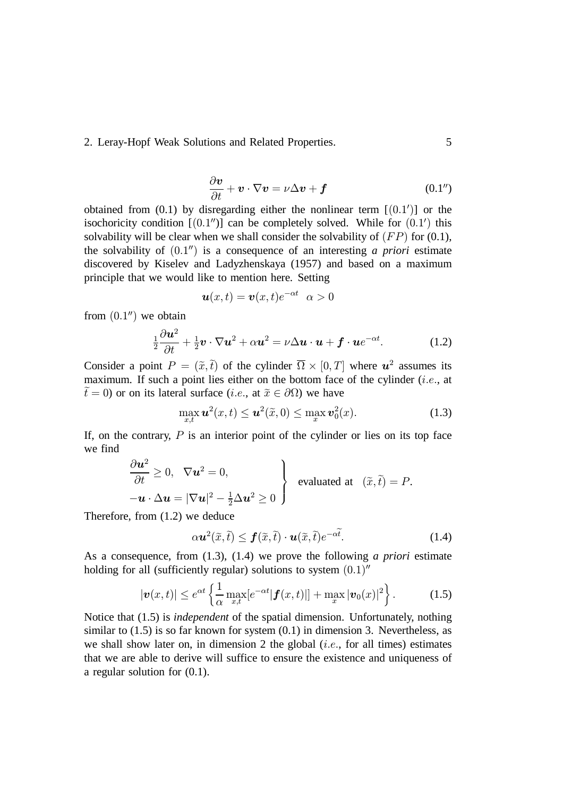$$
\frac{\partial \mathbf{v}}{\partial t} + \mathbf{v} \cdot \nabla \mathbf{v} = \nu \Delta \mathbf{v} + \mathbf{f}
$$
 (0.1")

obtained from  $(0.1)$  by disregarding either the nonlinear term  $[(0.1')]$  or the isochoricity condition  $[(0.1'')]$  can be completely solved. While for  $(0.1')$  this solvability will be clear when we shall consider the solvability of  $(FP)$  for (0.1), the solvability of  $(0.1'')$  is a consequence of an interesting *a priori* estimate discovered by Kiselev and Ladyzhenskaya (1957) and based on a maximum principle that we would like to mention here. Setting

$$
\boldsymbol{u}(x,t)=\boldsymbol{v}(x,t)e^{-\alpha t}\;\;\alpha>0
$$

from  $(0.1<sup>u</sup>)$  we obtain

$$
\frac{1}{2}\frac{\partial \boldsymbol{u}^2}{\partial t} + \frac{1}{2}\boldsymbol{v} \cdot \nabla \boldsymbol{u}^2 + \alpha \boldsymbol{u}^2 = \nu \Delta \boldsymbol{u} \cdot \boldsymbol{u} + \boldsymbol{f} \cdot \boldsymbol{u} e^{-\alpha t}.
$$
 (1.2)

Consider a point  $P = (\tilde{x}, \tilde{t})$  of the cylinder  $\overline{\Omega} \times [0, T]$  where  $u^2$  assumes its maximum. If such a point lies either on the bottom face of the cylinder  $(i.e.,$  at  $\tilde{t} = 0$ ) or on its lateral surface (*i.e.*, at  $\tilde{x} \in \partial \Omega$ ) we have

$$
\max_{x,t} \mathbf{u}^2(x,t) \leq \mathbf{u}^2(\widetilde{x},0) \leq \max_x \mathbf{v}_0^2(x). \tag{1.3}
$$

If, on the contrary,  $P$  is an interior point of the cylinder or lies on its top face we find

$$
\frac{\partial \boldsymbol{u}^2}{\partial t} \geq 0, \quad \nabla \boldsymbol{u}^2 = 0,
$$
\n
$$
-\boldsymbol{u} \cdot \Delta \boldsymbol{u} = |\nabla \boldsymbol{u}|^2 - \frac{1}{2} \Delta \boldsymbol{u}^2 \geq 0
$$
\n
$$
\left.\begin{matrix}\text{evaluated at} & (\tilde{x}, \tilde{t}) = P.\end{matrix}\right\}
$$

Therefore, from (1.2) we deduce

$$
\alpha \mathbf{u}^2(\tilde{x}, \tilde{t}) \le \mathbf{f}(\tilde{x}, \tilde{t}) \cdot \mathbf{u}(\tilde{x}, \tilde{t}) e^{-\alpha \tilde{t}}.
$$
 (1.4)

As a consequence, from (1.3), (1.4) we prove the following *a priori* estimate holding for all (sufficiently regular) solutions to system  $(0.1)$ "

$$
|\boldsymbol{v}(x,t)| \leq e^{\alpha t} \left\{ \frac{1}{\alpha} \max_{x,t} [e^{-\alpha t} |\boldsymbol{f}(x,t)|] + \max_x |\boldsymbol{v}_0(x)|^2 \right\}.
$$
 (1.5)

Notice that (1.5) is *independent* of the spatial dimension. Unfortunately, nothing similar to  $(1.5)$  is so far known for system  $(0.1)$  in dimension 3. Nevertheless, as we shall show later on, in dimension 2 the global  $(i.e.,$  for all times) estimates that we are able to derive will suffice to ensure the existence and uniqueness of a regular solution for (0.1).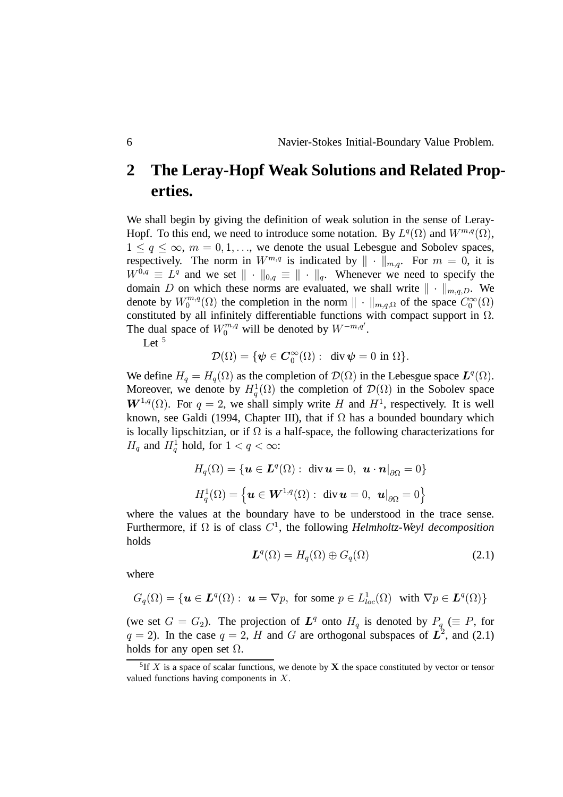We shall begin by giving the definition of weak solution in the sense of Leray-Hopf. To this end, we need to introduce some notation. By  $L^q(\Omega)$  and  $W^{m,q}(\Omega)$ ,  $1 \le q \le \infty$ ,  $m = 0, 1, \ldots$ , we denote the usual Lebesgue and Sobolev spaces, respectively. The norm in  $W^{m,q}$  is indicated by  $\|\cdot\|_{m,q}$ . For  $m = 0$ , it is  $W^{0,q} \equiv L^q$  and we set  $\|\cdot\|_{0,q} \equiv \|\cdot\|_q$ . Whenever we need to specify the domain D on which these norms are evaluated, we shall write  $\|\cdot\|_{m,q,D}$ . We denote by  $W_0^{m,q}$  $t_0^{m,q}(\Omega)$  the completion in the norm  $\|\cdot\|_{m,q,\Omega}$  of the space  $C_0^{\infty}(\Omega)$ constituted by all infinitely differentiable functions with compact support in  $\Omega$ . The dual space of  $W_0^{m,q}$  will be denoted by  $W^{-m,q'}$ .

Let  $5$ 

$$
\mathcal{D}(\Omega) = \{ \psi \in \mathbf{C}_0^{\infty}(\Omega) : \text{ div } \psi = 0 \text{ in } \Omega \}.
$$

We define  $H_q = H_q(\Omega)$  as the completion of  $\mathcal{D}(\Omega)$  in the Lebesgue space  $L^q(\Omega)$ . Moreover, we denote by  $H_q^1(\Omega)$  the completion of  $\mathcal{D}(\Omega)$  in the Sobolev space  $W^{1,q}(\Omega)$ . For  $q = 2$ , we shall simply write H and  $H^1$ , respectively. It is well known, see Galdi (1994, Chapter III), that if  $\Omega$  has a bounded boundary which is locally lipschitzian, or if  $\Omega$  is a half-space, the following characterizations for  $H_q$  and  $H_q^1$  hold, for  $1 < q < \infty$ :

$$
H_q(\Omega) = \{ \mathbf{u} \in \mathbf{L}^q(\Omega) : \text{ div } \mathbf{u} = 0, \ \mathbf{u} \cdot \mathbf{n}|_{\partial \Omega} = 0 \}
$$
  

$$
H_q^1(\Omega) = \left\{ \mathbf{u} \in \mathbf{W}^{1,q}(\Omega) : \text{ div } \mathbf{u} = 0, \ \mathbf{u}|_{\partial \Omega} = 0 \right\}
$$

where the values at the boundary have to be understood in the trace sense. Furthermore, if  $\Omega$  is of class  $C^1$ , the following *Helmholtz-Weyl decomposition* holds

$$
L^{q}(\Omega) = H_{q}(\Omega) \oplus G_{q}(\Omega)
$$
 (2.1)

where

$$
G_q(\Omega) = \{ \mathbf{u} \in \mathbf{L}^q(\Omega) : \ \mathbf{u} = \nabla p, \text{ for some } p \in L^1_{loc}(\Omega) \text{ with } \nabla p \in \mathbf{L}^q(\Omega) \}
$$

(we set  $G = G_2$ ). The projection of  $L^q$  onto  $H_q$  is denoted by  $P_q \ (\equiv P)$ , for  $q = 2$ ). In the case  $q = 2$ , H and G are orthogonal subspaces of  $\mathbb{L}^2$ , and (2.1) holds for any open set  $\Omega$ .

<sup>&</sup>lt;sup>5</sup>If X is a space of scalar functions, we denote by **X** the space constituted by vector or tensor valued functions having components in  $X$ .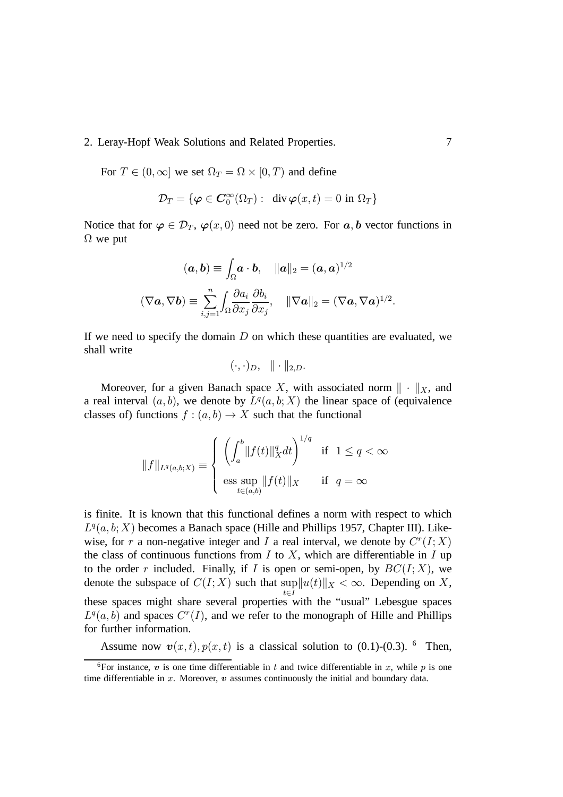For  $T \in (0, \infty]$  we set  $\Omega_T = \Omega \times [0, T)$  and define

$$
\mathcal{D}_T = \{ \boldsymbol{\varphi} \in \boldsymbol{C}_0^\infty(\Omega_T) : \operatorname{div} \boldsymbol{\varphi}(x,t) = 0 \text{ in } \Omega_T \}
$$

Notice that for  $\varphi \in \mathcal{D}_T$ ,  $\varphi(x,0)$  need not be zero. For  $a, b$  vector functions in  $\Omega$  we put

$$
(\boldsymbol{a},\boldsymbol{b}) \equiv \int_{\Omega} \boldsymbol{a} \cdot \boldsymbol{b}, \quad \|\boldsymbol{a}\|_{2} = (\boldsymbol{a}, \boldsymbol{a})^{1/2}
$$

$$
(\nabla \boldsymbol{a}, \nabla \boldsymbol{b}) \equiv \sum_{i,j=1}^{n} \int_{\Omega} \frac{\partial a_{i}}{\partial x_{j}} \frac{\partial b_{i}}{\partial x_{j}}, \quad \|\nabla \boldsymbol{a}\|_{2} = (\nabla \boldsymbol{a}, \nabla \boldsymbol{a})^{1/2}.
$$

If we need to specify the domain  $D$  on which these quantities are evaluated, we shall write

$$
(\cdot,\cdot)_D,\ \ \|\cdot\|_{2,D}.
$$

Moreover, for a given Banach space X, with associated norm  $\| \cdot \|_X$ , and a real interval  $(a, b)$ , we denote by  $L^q(a, b; X)$  the linear space of (equivalence classes of) functions  $f : (a, b) \to X$  such that the functional

$$
||f||_{L^q(a,b;X)} \equiv \left\{ \begin{array}{ll} \left(\int_a^b ||f(t)||_X^q dt\right)^{1/q} & \text{if } 1 \le q < \infty\\ \underset{t \in (a,b)}{\text{ess sup }} ||f(t)||_X & \text{if } q = \infty \end{array} \right.
$$

is finite. It is known that this functional defines a norm with respect to which  $L^q(a, b; X)$  becomes a Banach space (Hille and Phillips 1957, Chapter III). Likewise, for r a non-negative integer and I a real interval, we denote by  $C^r(I;X)$ the class of continuous functions from  $I$  to  $X$ , which are differentiable in  $I$  up to the order r included. Finally, if I is open or semi-open, by  $BC(I; X)$ , we denote the subspace of  $C(I;X)$  such that  $\sup_{t \in I} ||u(t)||_X < \infty$ . Depending on X,  $t \in \overline{I}$ these spaces might share several properties with the "usual" Lebesgue spaces  $L^q(a, b)$  and spaces  $C^r(I)$ , and we refer to the monograph of Hille and Phillips for further information.

Assume now  $\mathbf{v}(x,t)$ ,  $p(x,t)$  is a classical solution to (0.1)-(0.3). <sup>6</sup> Then,

<sup>&</sup>lt;sup>6</sup>For instance,  $\boldsymbol{v}$  is one time differentiable in  $t$  and twice differentiable in  $x$ , while  $p$  is one time differentiable in  $x$ . Moreover,  $v$  assumes continuously the initial and boundary data.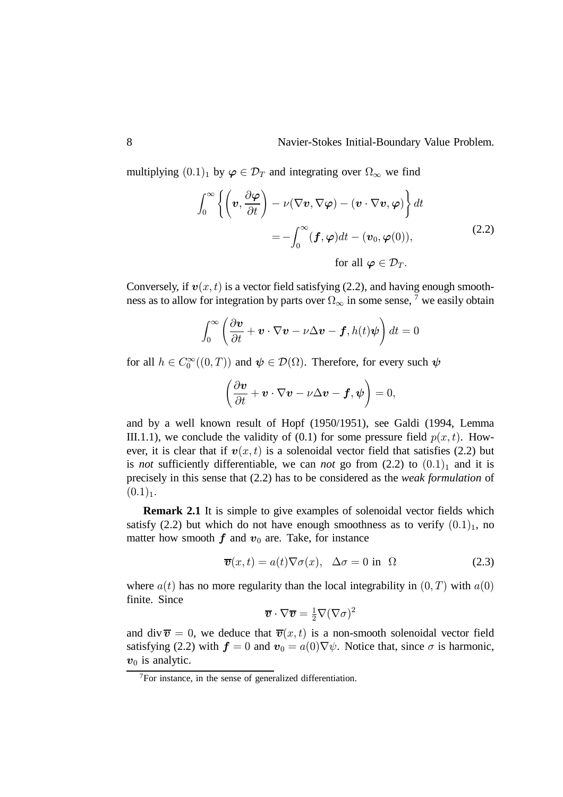multiplying  $(0.1)_1$  by  $\varphi \in \mathcal{D}_T$  and integrating over  $\Omega_{\infty}$  we find

$$
\int_0^\infty \left\{ \left( \mathbf{v}, \frac{\partial \varphi}{\partial t} \right) - \nu (\nabla \mathbf{v}, \nabla \varphi) - (\mathbf{v} \cdot \nabla \mathbf{v}, \varphi) \right\} dt
$$
  
= 
$$
- \int_0^\infty (\mathbf{f}, \varphi) dt - (\mathbf{v}_0, \varphi(0)),
$$
  
for all  $\varphi \in \mathcal{D}_T.$  (2.2)

Conversely, if  $v(x, t)$  is a vector field satisfying (2.2), and having enough smoothness as to allow for integration by parts over  $\Omega_{\infty}$  in some sense,  $\overline{7}$  we easily obtain

$$
\int_0^\infty \left(\frac{\partial \boldsymbol{v}}{\partial t} + \boldsymbol{v} \cdot \nabla \boldsymbol{v} - \nu \Delta \boldsymbol{v} - \boldsymbol{f}, h(t) \boldsymbol{\psi}\right) dt = 0
$$

for all  $h \in C_0^{\infty}((0,T))$  and  $\psi \in \mathcal{D}(\Omega)$ . Therefore, for every such  $\psi$ 

$$
\left(\frac{\partial \boldsymbol{v}}{\partial t} + \boldsymbol{v} \cdot \nabla \boldsymbol{v} - \nu \Delta \boldsymbol{v} - \boldsymbol{f}, \boldsymbol{\psi}\right) = 0,
$$

and by a well known result of Hopf (1950/1951), see Galdi (1994, Lemma III.1.1), we conclude the validity of (0.1) for some pressure field  $p(x, t)$ . However, it is clear that if  $v(x,t)$  is a solenoidal vector field that satisfies (2.2) but is *not* sufficiently differentiable, we can *not* go from  $(2.2)$  to  $(0.1)<sub>1</sub>$  and it is precisely in this sense that (2.2) has to be considered as the *weak formulation* of  $(0.1)_1$ .

**Remark 2.1** It is simple to give examples of solenoidal vector fields which satisfy (2.2) but which do not have enough smoothness as to verify  $(0.1)<sub>1</sub>$ , no matter how smooth  $f$  and  $v_0$  are. Take, for instance

$$
\overline{\boldsymbol{v}}(x,t) = a(t)\nabla\sigma(x), \quad \Delta\sigma = 0 \text{ in } \Omega \tag{2.3}
$$

where  $a(t)$  has no more regularity than the local integrability in  $(0, T)$  with  $a(0)$ finite. Since

$$
\overline{\boldsymbol{v}}\cdot\nabla\overline{\boldsymbol{v}}=\tfrac{1}{2}\nabla(\nabla\sigma)^2
$$

and div  $\bar{v} = 0$ , we deduce that  $\bar{v}(x, t)$  is a non-smooth solenoidal vector field satisfying (2.2) with  $\mathbf{f} = 0$  and  $\mathbf{v}_0 = a(0) \nabla \psi$ . Notice that, since  $\sigma$  is harmonic,  $v_0$  is analytic.

<sup>7</sup>For instance, in the sense of generalized differentiation.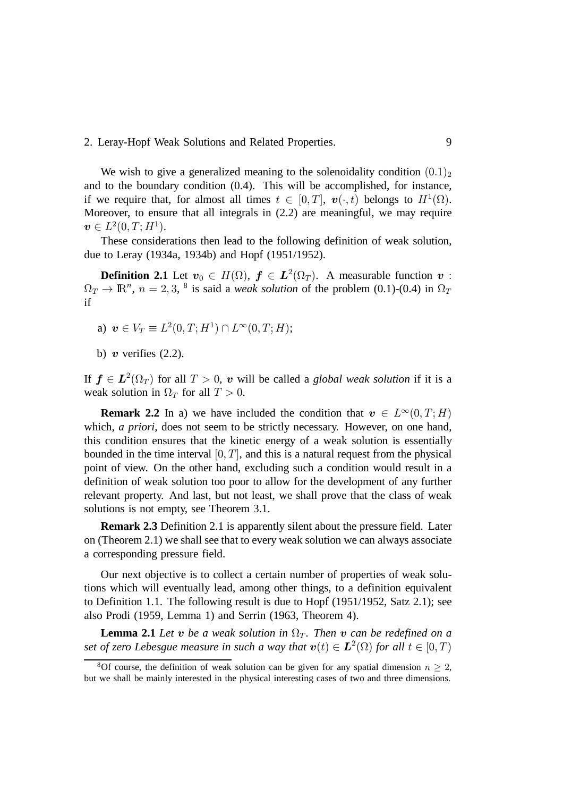We wish to give a generalized meaning to the solenoidality condition  $(0.1)$ <sub>2</sub> and to the boundary condition (0.4). This will be accomplished, for instance, if we require that, for almost all times  $t \in [0, T]$ ,  $v(\cdot, t)$  belongs to  $H^1(\Omega)$ . Moreover, to ensure that all integrals in (2.2) are meaningful, we may require  $\bm{v} \in L^2(0,T; H^1).$ 

These considerations then lead to the following definition of weak solution, due to Leray (1934a, 1934b) and Hopf (1951/1952).

**Definition 2.1** Let  $v_0 \in H(\Omega)$ ,  $f \in L^2(\Omega_T)$ . A measurable function  $v$ :  $\Omega_T \to \mathbb{R}^n$ ,  $n = 2, 3, 8$  is said a *weak solution* of the problem (0.1)-(0.4) in  $\Omega_T$ if

- a)  $\mathbf{v} \in V_T \equiv L^2(0, T; H^1) \cap L^{\infty}(0, T; H);$
- b)  $\boldsymbol{v}$  verifies (2.2).

If  $f \in L^2(\Omega_T)$  for all  $T > 0$ , v will be called a *global weak solution* if it is a weak solution in  $\Omega_T$  for all  $T > 0$ .

**Remark 2.2** In a) we have included the condition that  $v \in L^{\infty}(0, T; H)$ which, *a priori*, does not seem to be strictly necessary. However, on one hand, this condition ensures that the kinetic energy of a weak solution is essentially bounded in the time interval  $[0, T]$ , and this is a natural request from the physical point of view. On the other hand, excluding such a condition would result in a definition of weak solution too poor to allow for the development of any further relevant property. And last, but not least, we shall prove that the class of weak solutions is not empty, see Theorem 3.1.

**Remark 2.3** Definition 2.1 is apparently silent about the pressure field. Later on (Theorem 2.1) we shall see that to every weak solution we can always associate a corresponding pressure field.

Our next objective is to collect a certain number of properties of weak solutions which will eventually lead, among other things, to a definition equivalent to Definition 1.1. The following result is due to Hopf (1951/1952, Satz 2.1); see also Prodi (1959, Lemma 1) and Serrin (1963, Theorem 4).

**Lemma 2.1** Let  $v$  be a weak solution in  $\Omega_T$ . Then  $v$  can be redefined on a set of zero Lebesgue measure in such a way that  $\mathbf{v}(t) \in \mathbf{L}^2(\Omega)$  for all  $t \in [0, T)$ 

<sup>&</sup>lt;sup>8</sup>Of course, the definition of weak solution can be given for any spatial dimension  $n \geq 2$ , but we shall be mainly interested in the physical interesting cases of two and three dimensions.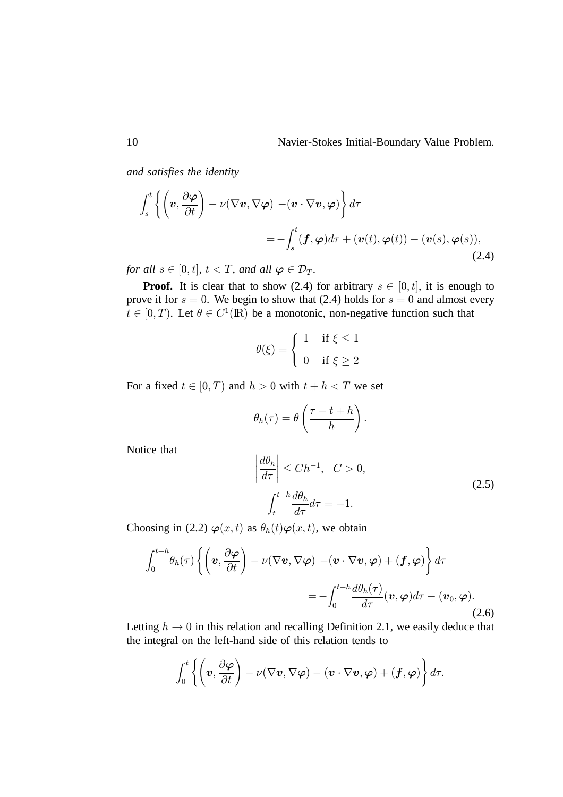*and satisfies the identity*

$$
\int_{s}^{t} \left\{ \left( \boldsymbol{v}, \frac{\partial \boldsymbol{\varphi}}{\partial t} \right) - \nu (\nabla \boldsymbol{v}, \nabla \boldsymbol{\varphi}) - (\boldsymbol{v} \cdot \nabla \boldsymbol{v}, \boldsymbol{\varphi}) \right\} d\tau
$$
\n
$$
= - \int_{s}^{t} (\boldsymbol{f}, \boldsymbol{\varphi}) d\tau + (\boldsymbol{v}(t), \boldsymbol{\varphi}(t)) - (\boldsymbol{v}(s), \boldsymbol{\varphi}(s)), \tag{2.4}
$$

for all  $s \in [0, t]$ ,  $t < T$ , and all  $\boldsymbol{\varphi} \in \mathcal{D}_T$ .

**Proof.** It is clear that to show (2.4) for arbitrary  $s \in [0, t]$ , it is enough to prove it for  $s = 0$ . We begin to show that (2.4) holds for  $s = 0$  and almost every  $t \in [0, T)$ . Let  $\theta \in C^1(\mathbb{R})$  be a monotonic, non-negative function such that

$$
\theta(\xi) = \begin{cases} 1 & \text{if } \xi \le 1 \\ 0 & \text{if } \xi \ge 2 \end{cases}
$$

For a fixed  $t \in [0, T)$  and  $h > 0$  with  $t + h < T$  we set

$$
\theta_h(\tau) = \theta\left(\frac{\tau - t + h}{h}\right).
$$

Notice that

$$
\left|\frac{d\theta_h}{d\tau}\right| \le Ch^{-1}, \quad C > 0,
$$
\n
$$
\int_t^{t+h} \frac{d\theta_h}{d\tau} d\tau = -1.
$$
\n(2.5)

Choosing in (2.2)  $\varphi(x,t)$  as  $\theta_h(t)\varphi(x,t)$ , we obtain

$$
\int_{0}^{t+h} \theta_{h}(\tau) \left\{ \left( \boldsymbol{v}, \frac{\partial \boldsymbol{\varphi}}{\partial t} \right) - \nu (\nabla \boldsymbol{v}, \nabla \boldsymbol{\varphi}) - (\boldsymbol{v} \cdot \nabla \boldsymbol{v}, \boldsymbol{\varphi}) + (\boldsymbol{f}, \boldsymbol{\varphi}) \right\} d\tau
$$
  
= 
$$
- \int_{0}^{t+h} \frac{d\theta_{h}(\tau)}{d\tau} (\boldsymbol{v}, \boldsymbol{\varphi}) d\tau - (\boldsymbol{v}_{0}, \boldsymbol{\varphi}). \tag{2.6}
$$

Letting  $h \to 0$  in this relation and recalling Definition 2.1, we easily deduce that the integral on the left-hand side of this relation tends to

$$
\int_0^t \left\{ \left( \boldsymbol{v}, \frac{\partial \boldsymbol{\varphi}}{\partial t} \right) - \nu (\nabla \boldsymbol{v}, \nabla \boldsymbol{\varphi}) - (\boldsymbol{v} \cdot \nabla \boldsymbol{v}, \boldsymbol{\varphi}) + (\boldsymbol{f}, \boldsymbol{\varphi}) \right\} d\tau.
$$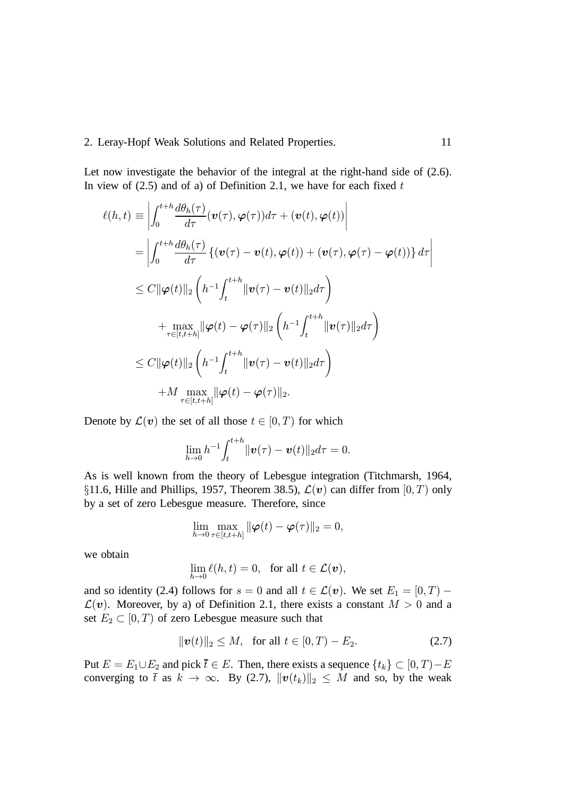Let now investigate the behavior of the integral at the right-hand side of  $(2.6)$ . In view of (2.5) and of a) of Definition 2.1, we have for each fixed  $t$ 

$$
\ell(h,t) \equiv \left| \int_0^{t+h} \frac{d\theta_h(\tau)}{d\tau} (\mathbf{v}(\tau), \varphi(\tau)) d\tau + (\mathbf{v}(t), \varphi(t)) \right|
$$
  
\n
$$
= \left| \int_0^{t+h} \frac{d\theta_h(\tau)}{d\tau} \{ (\mathbf{v}(\tau) - \mathbf{v}(t), \varphi(t)) + (\mathbf{v}(\tau), \varphi(\tau) - \varphi(t)) \} d\tau \right|
$$
  
\n
$$
\leq C \|\varphi(t)\|_2 \left( h^{-1} \int_t^{t+h} \|\mathbf{v}(\tau) - \mathbf{v}(t)\|_2 d\tau \right)
$$
  
\n
$$
+ \max_{\tau \in [t, t+h]} \|\varphi(t) - \varphi(\tau)\|_2 \left( h^{-1} \int_t^{t+h} \|\mathbf{v}(\tau)\|_2 d\tau \right)
$$
  
\n
$$
\leq C \|\varphi(t)\|_2 \left( h^{-1} \int_t^{t+h} \|\mathbf{v}(\tau) - \mathbf{v}(t)\|_2 d\tau \right)
$$
  
\n
$$
+ M \max_{\tau \in [t, t+h]} \|\varphi(t) - \varphi(\tau)\|_2.
$$

Denote by  $\mathcal{L}(v)$  the set of all those  $t \in [0, T)$  for which

$$
\lim_{h\to 0} h^{-1} \int_t^{t+h} ||\boldsymbol{v}(\tau)-\boldsymbol{v}(t)||_2 d\tau = 0.
$$

As is well known from the theory of Lebesgue integration (Titchmarsh, 1964, §11.6, Hille and Phillips, 1957, Theorem 38.5),  $\mathcal{L}(v)$  can differ from  $[0, T)$  only by a set of zero Lebesgue measure. Therefore, since

$$
\lim_{h\to 0}\max_{\tau\in[t,t+h]}\|\boldsymbol{\varphi}(t)-\boldsymbol{\varphi}(\tau)\|_2=0,
$$

we obtain

$$
\lim_{h\to 0} \ell(h,t) = 0, \text{ for all } t \in \mathcal{L}(\boldsymbol{v}),
$$

and so identity (2.4) follows for  $s = 0$  and all  $t \in \mathcal{L}(v)$ . We set  $E_1 = [0, T)$  - $\mathcal{L}(v)$ . Moreover, by a) of Definition 2.1, there exists a constant  $M > 0$  and a set  $E_2 \subset [0, T)$  of zero Lebesgue measure such that

$$
\|\mathbf{v}(t)\|_2 \le M, \text{ for all } t \in [0, T) - E_2. \tag{2.7}
$$

Put  $E = E_1 \cup E_2$  and pick  $\overline{t} \in E$ . Then, there exists a sequence  $\{t_k\} \subset [0, T) - E$ converging to  $\bar{t}$  as  $k \to \infty$ . By (2.7),  $\|\mathbf{v}(t_k)\|_2 \leq M$  and so, by the weak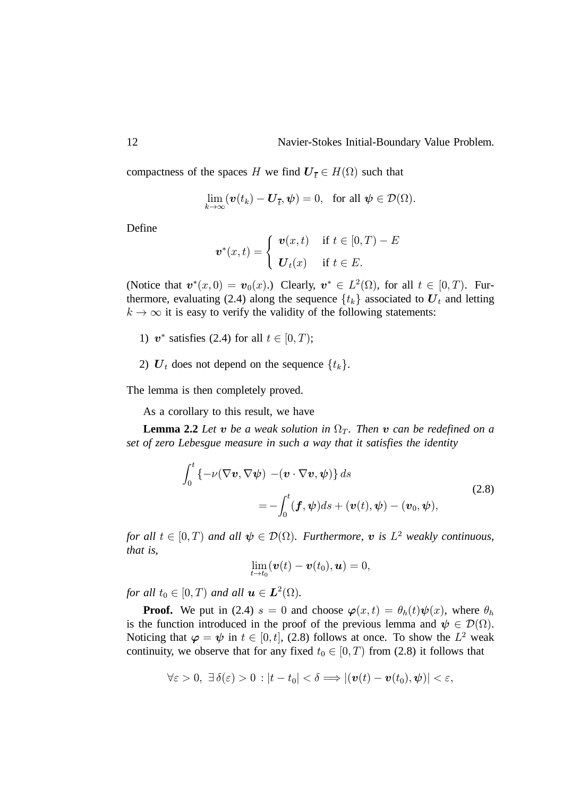compactness of the spaces H we find  $U_{\bar{t}} \in H(\Omega)$  such that

$$
\lim_{k\to\infty} (\boldsymbol{v}(t_k)-\boldsymbol{U}_{\overline{t}},\boldsymbol{\psi})=0, \text{ for all } \boldsymbol{\psi}\in\mathcal{D}(\Omega).
$$

Define

$$
\boldsymbol{v}^*(x,t) = \begin{cases} \boldsymbol{v}(x,t) & \text{if } t \in [0,T) - E \\ \boldsymbol{U}_t(x) & \text{if } t \in E. \end{cases}
$$

(Notice that  $v^*(x,0) = v_0(x)$ .) Clearly,  $v^* \in L^2(\Omega)$ , for all  $t \in [0,T)$ . Furthermore, evaluating (2.4) along the sequence  $\{t_k\}$  associated to  $\boldsymbol{U}_t$  and letting  $k \to \infty$  it is easy to verify the validity of the following statements:

- 1)  $v^*$  satisfies (2.4) for all  $t \in [0, T)$ ;
- 2)  $U_t$  does not depend on the sequence  $\{t_k\}$ .

The lemma is then completely proved.

As a corollary to this result, we have

**Lemma 2.2** Let  $v$  be a weak solution in  $\Omega_T$ . Then  $v$  can be redefined on a *set of zero Lebesgue measure in such a way that it satisfies the identity*

$$
\int_0^t \left\{-\nu(\nabla \mathbf{v}, \nabla \boldsymbol{\psi}) - (\mathbf{v} \cdot \nabla \mathbf{v}, \boldsymbol{\psi})\right\} ds
$$
\n
$$
= -\int_0^t (\mathbf{f}, \boldsymbol{\psi}) ds + (\mathbf{v}(t), \boldsymbol{\psi}) - (\mathbf{v}_0, \boldsymbol{\psi}),
$$
\n(2.8)

*for all*  $t \in [0, T)$  and all  $\psi \in \mathcal{D}(\Omega)$ . Furthermore,  $v$  is  $L^2$  weakly continuous, *that is,*

$$
\lim_{t\to t_0}(\boldsymbol{v}(t)-\boldsymbol{v}(t_0),\boldsymbol{u})=0,
$$

for all  $t_0 \in [0, T)$  and all  $\boldsymbol{u} \in \boldsymbol{L}^2(\Omega)$ .

**Proof.** We put in (2.4)  $s = 0$  and choose  $\varphi(x, t) = \theta_h(t)\psi(x)$ , where  $\theta_h$ is the function introduced in the proof of the previous lemma and  $\psi \in \mathcal{D}(\Omega)$ . Noticing that  $\varphi = \psi$  in  $t \in [0, t]$ , (2.8) follows at once. To show the  $L^2$  weak continuity, we observe that for any fixed  $t_0 \in [0, T)$  from (2.8) it follows that

$$
\forall \varepsilon > 0, \ \exists \, \delta(\varepsilon) > 0 \, : |t - t_0| < \delta \Longrightarrow |(\boldsymbol{v}(t) - \boldsymbol{v}(t_0), \boldsymbol{\psi})| < \varepsilon,
$$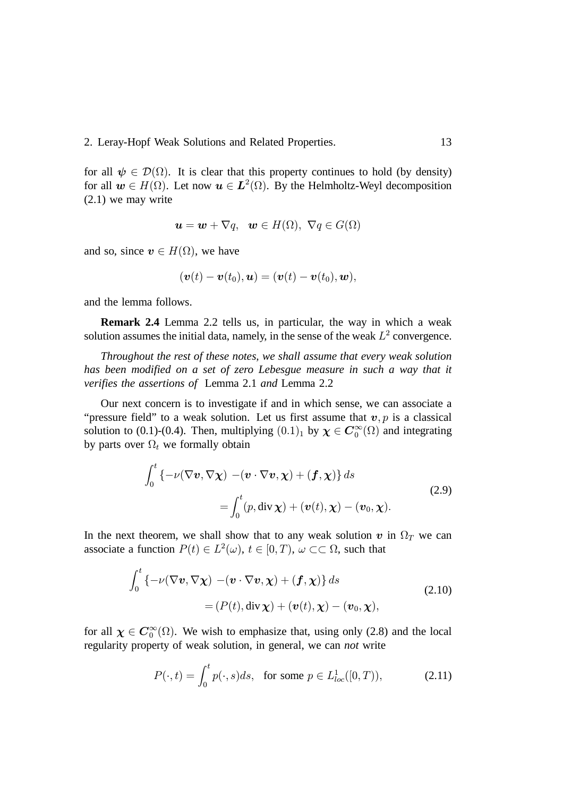for all  $\psi \in \mathcal{D}(\Omega)$ . It is clear that this property continues to hold (by density) for all  $w \in H(\Omega)$ . Let now  $u \in L^2(\Omega)$ . By the Helmholtz-Weyl decomposition (2.1) we may write

$$
\mathbf{u} = \mathbf{w} + \nabla q, \quad \mathbf{w} \in H(\Omega), \ \nabla q \in G(\Omega)
$$

and so, since  $v \in H(\Omega)$ , we have

$$
(\mathbf{v}(t)-\mathbf{v}(t_0),\mathbf{u})=(\mathbf{v}(t)-\mathbf{v}(t_0),\mathbf{w}),
$$

and the lemma follows.

**Remark 2.4** Lemma 2.2 tells us, in particular, the way in which a weak solution assumes the initial data, namely, in the sense of the weak  $L^2$  convergence.

*Throughout the rest of these notes, we shall assume that every weak solution has been modified on a set of zero Lebesgue measure in such a way that it verifies the assertions of* Lemma 2.1 *and* Lemma 2.2

Our next concern is to investigate if and in which sense, we can associate a "pressure field" to a weak solution. Let us first assume that  $v, p$  is a classical solution to (0.1)-(0.4). Then, multiplying  $(0.1)_1$  by  $\chi \in \mathbb{C}_0^{\infty}(\Omega)$  and integrating by parts over  $\Omega_t$  we formally obtain

$$
\int_0^t \left\{-\nu(\nabla \mathbf{v}, \nabla \mathbf{\chi}) - (\mathbf{v} \cdot \nabla \mathbf{v}, \mathbf{\chi}) + (\mathbf{f}, \mathbf{\chi})\right\} ds
$$
\n
$$
= \int_0^t (p, \operatorname{div} \mathbf{\chi}) + (\mathbf{v}(t), \mathbf{\chi}) - (\mathbf{v}_0, \mathbf{\chi}).
$$
\n(2.9)

In the next theorem, we shall show that to any weak solution  $v$  in  $\Omega_T$  we can associate a function  $P(t) \in L^2(\omega)$ ,  $t \in [0, T)$ ,  $\omega \subset\subset \Omega$ , such that

$$
\int_0^t \left\{-\nu(\nabla \mathbf{v}, \nabla \chi) - (\mathbf{v} \cdot \nabla \mathbf{v}, \chi) + (\mathbf{f}, \chi)\right\} ds
$$
\n
$$
= (P(t), \operatorname{div} \chi) + (\mathbf{v}(t), \chi) - (\mathbf{v}_0, \chi),
$$
\n(2.10)

for all  $\chi \in C_0^{\infty}(\Omega)$ . We wish to emphasize that, using only (2.8) and the local regularity property of weak solution, in general, we can *not* write

$$
P(\cdot, t) = \int_0^t p(\cdot, s)ds, \quad \text{for some } p \in L^1_{loc}([0, T)), \tag{2.11}
$$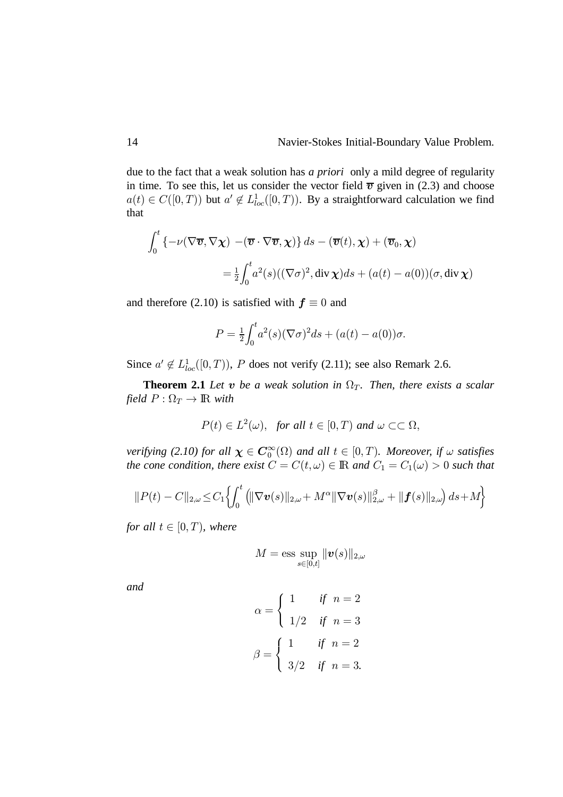due to the fact that a weak solution has *a priori* only a mild degree of regularity in time. To see this, let us consider the vector field  $\bar{v}$  given in (2.3) and choose  $a(t) \in C([0, T))$  but  $a' \notin L^1_{loc}([0, T))$ . By a straightforward calculation we find that

$$
\int_0^t \left\{ -\nu(\nabla \overline{v}, \nabla \chi) - (\overline{v} \cdot \nabla \overline{v}, \chi) \right\} ds - (\overline{v}(t), \chi) + (\overline{v}_0, \chi)
$$
  
=  $\frac{1}{2} \int_0^t a^2(s) ((\nabla \sigma)^2, \text{div } \chi) ds + (a(t) - a(0)) (\sigma, \text{div } \chi)$ 

and therefore (2.10) is satisfied with  $f \equiv 0$  and

$$
P = \frac{1}{2} \int_0^t a^2(s) (\nabla \sigma)^2 ds + (a(t) - a(0)) \sigma.
$$

Since  $a' \notin L_{loc}^1([0, T))$ , P does not verify (2.11); see also Remark 2.6.

**Theorem 2.1** Let  $v$  be a weak solution in  $\Omega_T$ . Then, there exists a scalar *field*  $P : \Omega_T \to \mathbb{R}$  *with* 

$$
P(t) \in L^2(\omega), \text{ for all } t \in [0, T) \text{ and } \omega \subset\subset \Omega,
$$

*verifying (2.10) for all*  $\chi \in \mathbb{C}_0^{\infty}(\Omega)$  *and all*  $t \in [0, T)$ *. Moreover, if*  $\omega$  *satisfies the cone condition, there exist*  $C = C(t, \omega) \in \mathbb{R}$  and  $C_1 = C_1(\omega) > 0$  such that

$$
||P(t) - C||_{2,\omega} \leq C_1 \left\{ \int_0^t (||\nabla \boldsymbol{v}(s)||_{2,\omega} + M^{\alpha} ||\nabla \boldsymbol{v}(s)||_{2,\omega}^{\beta} + ||\boldsymbol{f}(s)||_{2,\omega} \right\} ds + M \right\}
$$

*for all*  $t \in [0, T)$ *, where* 

$$
M = \text{ess} \sup_{s \in [0,t]} \|\boldsymbol{v}(s)\|_{2,\omega}
$$

*and*

$$
\alpha = \begin{cases} 1 & \text{if } n = 2 \\ 1/2 & \text{if } n = 3 \end{cases}
$$

$$
\beta = \begin{cases} 1 & \text{if } n = 2 \\ 3/2 & \text{if } n = 3. \end{cases}
$$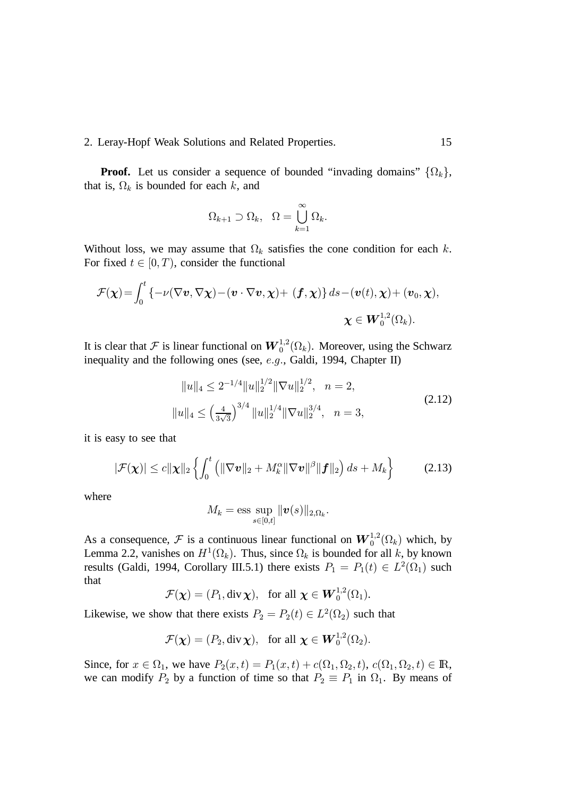**Proof.** Let us consider a sequence of bounded "invading domains"  $\{\Omega_k\},\$ that is,  $\Omega_k$  is bounded for each k, and

$$
\Omega_{k+1} \supset \Omega_k, \quad \Omega = \bigcup_{k=1}^{\infty} \Omega_k.
$$

Without loss, we may assume that  $\Omega_k$  satisfies the cone condition for each k. For fixed  $t \in [0, T)$ , consider the functional

$$
\mathcal{F}(\boldsymbol{\chi}) = \int_0^t \left\{ -\nu(\nabla \boldsymbol{v}, \nabla \boldsymbol{\chi}) - (\boldsymbol{v} \cdot \nabla \boldsymbol{v}, \boldsymbol{\chi}) + (\boldsymbol{f}, \boldsymbol{\chi}) \right\} ds - (\boldsymbol{v}(t), \boldsymbol{\chi}) + (\boldsymbol{v}_0, \boldsymbol{\chi}),
$$
  

$$
\boldsymbol{\chi} \in \boldsymbol{W}_0^{1,2}(\Omega_k).
$$

It is clear that F is linear functional on  $\boldsymbol{W}^{1,2}_0(\Omega_k)$ . Moreover, using the Schwarz inequality and the following ones (see,  $e.g.,$  Galdi, 1994, Chapter II)

$$
||u||_4 \le 2^{-1/4} ||u||_2^{1/2} ||\nabla u||_2^{1/2}, \quad n = 2,
$$
  

$$
||u||_4 \le \left(\frac{4}{3\sqrt{3}}\right)^{3/4} ||u||_2^{1/4} ||\nabla u||_2^{3/4}, \quad n = 3,
$$
 (2.12)

it is easy to see that

$$
|\mathcal{F}(\boldsymbol{\chi})| \leq c \|\boldsymbol{\chi}\|_2 \left\{ \int_0^t \left( \|\nabla \boldsymbol{v}\|_2 + M_k^{\alpha} \|\nabla \boldsymbol{v}\|^{\beta} \|\boldsymbol{f}\|_2 \right) ds + M_k \right\}
$$
 (2.13)

where

$$
M_k = \text{ess} \sup_{s \in [0,t]} \|\boldsymbol{v}(s)\|_{2,\Omega_k}.
$$

As a consequence, F is a continuous linear functional on  $\mathbf{W}_0^{1,2}(\Omega_k)$  which, by Lemma 2.2, vanishes on  $H^1(\Omega_k)$ . Thus, since  $\Omega_k$  is bounded for all k, by known results (Galdi, 1994, Corollary III.5.1) there exists  $P_1 = P_1(t) \in L^2(\Omega_1)$  such that

$$
\mathcal{F}(\boldsymbol{\chi})=(P_1,\operatorname{div}\boldsymbol{\chi}),\ \text{ for all }\boldsymbol{\chi}\in \boldsymbol{W}_0^{1,2}(\Omega_1).
$$

Likewise, we show that there exists  $P_2 = P_2(t) \in L^2(\Omega_2)$  such that

 $\mathcal{F}(\boldsymbol{\chi}) = (P_2, \text{div }\boldsymbol{\chi}), \text{ for all } \boldsymbol{\chi} \in \boldsymbol{W}_0^{1,2}(\Omega_2).$ 

Since, for  $x \in \Omega_1$ , we have  $P_2(x,t) = P_1(x,t) + c(\Omega_1, \Omega_2, t)$ ,  $c(\Omega_1, \Omega_2, t) \in \mathbb{R}$ , we can modify  $P_2$  by a function of time so that  $P_2 \equiv P_1$  in  $\Omega_1$ . By means of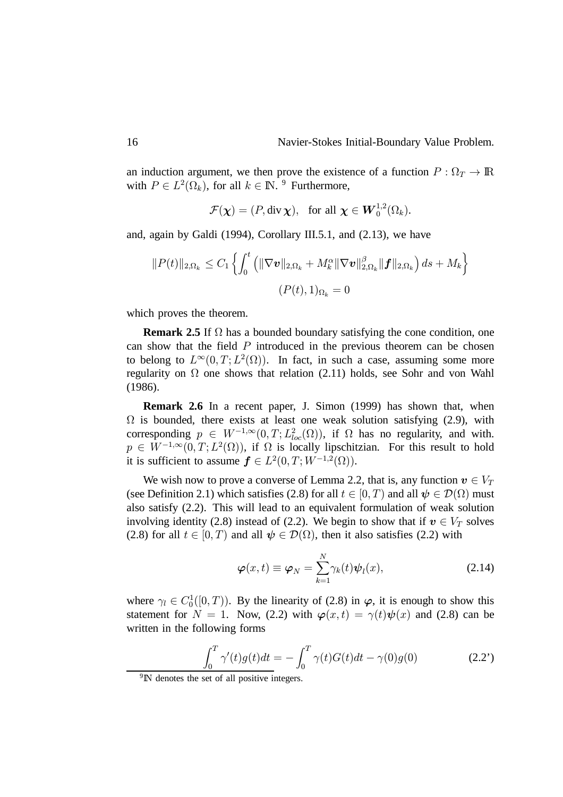an induction argument, we then prove the existence of a function  $P : \Omega_T \to \mathbb{R}$ with  $P \in L^2(\Omega_k)$ , for all  $k \in \mathbb{N}$ . <sup>9</sup> Furthermore,

$$
\mathcal{F}(\boldsymbol{\chi})=(P,\operatorname{div}\boldsymbol{\chi}),\ \ \text{for all }\boldsymbol{\chi}\in \boldsymbol{W}_0^{1,2}(\Omega_k).
$$

and, again by Galdi (1994), Corollary III.5.1, and (2.13), we have

$$
||P(t)||_{2,\Omega_k} \leq C_1 \left\{ \int_0^t \left( ||\nabla \boldsymbol{v}||_{2,\Omega_k} + M_k^{\alpha} ||\nabla \boldsymbol{v}||_{2,\Omega_k}^{\beta} ||\boldsymbol{f}||_{2,\Omega_k} \right) ds + M_k \right\}
$$
  

$$
(P(t),1)_{\Omega_k} = 0
$$

which proves the theorem.

**Remark 2.5** If  $\Omega$  has a bounded boundary satisfying the cone condition, one can show that the field  $P$  introduced in the previous theorem can be chosen to belong to  $L^{\infty}(0,T; L^2(\Omega))$ . In fact, in such a case, assuming some more regularity on  $\Omega$  one shows that relation (2.11) holds, see Sohr and von Wahl (1986).

**Remark 2.6** In a recent paper, J. Simon (1999) has shown that, when  $\Omega$  is bounded, there exists at least one weak solution satisfying (2.9), with corresponding  $p \in W^{-1,\infty}(0,T; L^2_{loc}(\Omega))$ , if  $\Omega$  has no regularity, and with.  $p \in W^{-1,\infty}(0,T;L^2(\Omega))$ , if  $\Omega$  is locally lipschitzian. For this result to hold it is sufficient to assume  $f \in L^2(0,T;W^{-1,2}(\Omega)).$ 

We wish now to prove a converse of Lemma 2.2, that is, any function  $v \in V_T$ (see Definition 2.1) which satisfies (2.8) for all  $t \in [0, T)$  and all  $\psi \in \mathcal{D}(\Omega)$  must also satisfy (2.2). This will lead to an equivalent formulation of weak solution involving identity (2.8) instead of (2.2). We begin to show that if  $v \in V_T$  solves (2.8) for all  $t \in [0, T)$  and all  $\psi \in \mathcal{D}(\Omega)$ , then it also satisfies (2.2) with

$$
\varphi(x,t) \equiv \varphi_N = \sum_{k=1}^N \gamma_k(t) \psi_l(x), \qquad (2.14)
$$

where  $\gamma_l \in C_0^1([0, T))$ . By the linearity of (2.8) in  $\varphi$ , it is enough to show this statement for  $N = 1$ . Now, (2.2) with  $\varphi(x, t) = \gamma(t)\psi(x)$  and (2.8) can be written in the following forms

$$
\int_0^T \gamma'(t)g(t)dt = -\int_0^T \gamma(t)G(t)dt - \gamma(0)g(0)
$$
\n(2.2')

<sup>9</sup>IN denotes the set of all positive integers.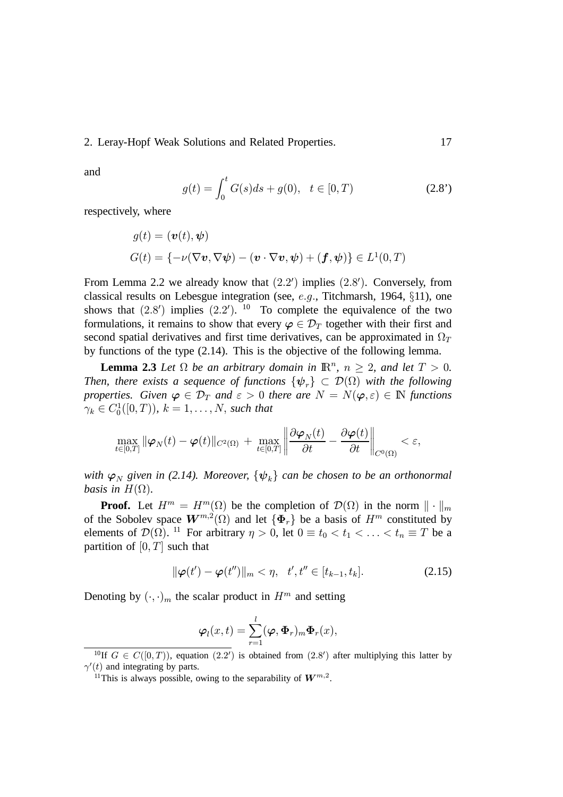and

$$
g(t) = \int_0^t G(s)ds + g(0), \quad t \in [0, T)
$$
 (2.8')

respectively, where

$$
g(t) = (\boldsymbol{v}(t), \boldsymbol{\psi})
$$
  

$$
G(t) = \{-\nu(\nabla \boldsymbol{v}, \nabla \boldsymbol{\psi}) - (\boldsymbol{v} \cdot \nabla \boldsymbol{v}, \boldsymbol{\psi}) + (\boldsymbol{f}, \boldsymbol{\psi})\} \in L^1(0, T)
$$

From Lemma 2.2 we already know that  $(2.2')$  implies  $(2.8')$ . Conversely, from classical results on Lebesgue integration (see,  $e.g.,$  Titchmarsh, 1964,  $\S 11$ ), one shows that  $(2.8')$  implies  $(2.2')$ . <sup>10</sup> To complete the equivalence of the two formulations, it remains to show that every  $\varphi \in \mathcal{D}_T$  together with their first and second spatial derivatives and first time derivatives, can be approximated in  $\Omega_T$ by functions of the type (2.14). This is the objective of the following lemma.

**Lemma 2.3** *Let*  $\Omega$  *be an arbitrary domain in*  $\mathbb{R}^n$ ,  $n \geq 2$ , *and let*  $T > 0$ . *Then, there exists a sequence of functions*  $\{\psi_{r}\}\subset \mathcal{D}(\Omega)$  with the following *properties. Given*  $\varphi \in \mathcal{D}_T$  and  $\varepsilon > 0$  there are  $N = N(\varphi, \varepsilon) \in \mathbb{N}$  functions  $\gamma_k \in C_0^1([0, T)), k = 1, \ldots, N$ , such that

$$
\max_{t\in[0,T]}\|\boldsymbol{\varphi}_N(t)-\boldsymbol{\varphi}(t)\|_{C^2(\Omega)}\,+\,\max_{t\in[0,T]}\left\|\frac{\partial \boldsymbol{\varphi}_N(t)}{\partial t}-\frac{\partial \boldsymbol{\varphi}(t)}{\partial t}\right\|_{C^0(\Omega)}<\varepsilon,
$$

*with*  $\varphi_N$  given in (2.14). Moreover,  $\{\psi_k\}$  can be chosen to be an orthonormal *basis in*  $H(\Omega)$ .

**Proof.** Let  $H^m = H^m(\Omega)$  be the completion of  $\mathcal{D}(\Omega)$  in the norm  $\|\cdot\|_m$ of the Sobolev space  $W^{m,2}(\Omega)$  and let  $\{\Phi_r\}$  be a basis of  $H^m$  constituted by elements of  $\mathcal{D}(\Omega)$ . <sup>11</sup> For arbitrary  $\eta > 0$ , let  $0 \equiv t_0 < t_1 < \ldots < t_n \equiv T$  be a partition of  $[0, T]$  such that

$$
\|\boldsymbol{\varphi}(t') - \boldsymbol{\varphi}(t'')\|_{m} < \eta, \quad t', t'' \in [t_{k-1}, t_k].\tag{2.15}
$$

Denoting by  $(\cdot, \cdot)_m$  the scalar product in  $H^m$  and setting

$$
\boldsymbol{\varphi}_l(x,t)=\sum_{r=1}^l(\boldsymbol{\varphi},\boldsymbol{\Phi}_r)_m\boldsymbol{\Phi}_r(x),
$$

<sup>&</sup>lt;sup>10</sup>If  $G \in C([0,T))$ , equation  $(2.2')$  is obtained from  $(2.8')$  after multiplying this latter by  $\gamma'(t)$  and integrating by parts.

<sup>&</sup>lt;sup>11</sup>This is always possible, owing to the separability of  $W^{m,2}$ .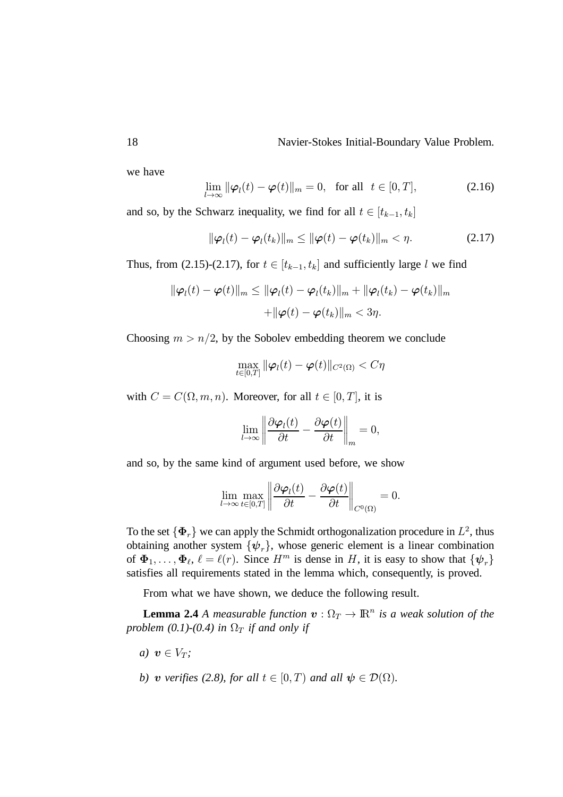we have

$$
\lim_{l \to \infty} \|\boldsymbol{\varphi}_l(t) - \boldsymbol{\varphi}(t)\|_{m} = 0, \text{ for all } t \in [0, T], \tag{2.16}
$$

and so, by the Schwarz inequality, we find for all  $t \in [t_{k-1}, t_k]$ 

$$
\|\boldsymbol{\varphi}_l(t) - \boldsymbol{\varphi}_l(t_k)\|_m \le \|\boldsymbol{\varphi}(t) - \boldsymbol{\varphi}(t_k)\|_m < \eta.
$$
 (2.17)

Thus, from (2.15)-(2.17), for  $t \in [t_{k-1}, t_k]$  and sufficiently large l we find

$$
\|\boldsymbol{\varphi}_l(t) - \boldsymbol{\varphi}(t)\|_m \le \|\boldsymbol{\varphi}_l(t) - \boldsymbol{\varphi}_l(t_k)\|_m + \|\boldsymbol{\varphi}_l(t_k) - \boldsymbol{\varphi}(t_k)\|_m
$$
  
+ 
$$
\|\boldsymbol{\varphi}(t) - \boldsymbol{\varphi}(t_k)\|_m < 3\eta.
$$

Choosing  $m > n/2$ , by the Sobolev embedding theorem we conclude

$$
\max_{t\in[0,T]}\|\boldsymbol{\varphi}_l(t)-\boldsymbol{\varphi}(t)\|_{C^2(\Omega)}
$$

with  $C = C(\Omega, m, n)$ . Moreover, for all  $t \in [0, T]$ , it is

$$
\lim_{l\to\infty}\left\|\frac{\partial\boldsymbol{\varphi}_l(t)}{\partial t}-\frac{\partial\boldsymbol{\varphi}(t)}{\partial t}\right\|_m=0,
$$

and so, by the same kind of argument used before, we show

$$
\lim_{l\to\infty}\max_{t\in[0,T]}\left\|\frac{\partial\boldsymbol\varphi_l(t)}{\partial t}-\frac{\partial\boldsymbol\varphi(t)}{\partial t}\right\|_{C^0(\Omega)}=0.
$$

To the set  $\{\Phi_r\}$  we can apply the Schmidt orthogonalization procedure in  $L^2$ , thus obtaining another system  $\{\psi_r\}$ , whose generic element is a linear combination of  $\Phi_1, \ldots, \Phi_\ell, \ell = \ell(r)$ . Since  $H^m$  is dense in H, it is easy to show that  $\{\psi_r\}$ satisfies all requirements stated in the lemma which, consequently, is proved.

From what we have shown, we deduce the following result.

**Lemma 2.4** *A measurable function*  $\mathbf{v} : \Omega_T \to \mathbb{R}^n$  *is a weak solution of the problem (0.1)-(0.4) in*  $\Omega_T$  *if and only if* 

*a*)  $\boldsymbol{v} \in V_T$ ;

*b*) *v* verifies (2.8), for all  $t \in [0, T)$  and all  $\psi \in \mathcal{D}(\Omega)$ .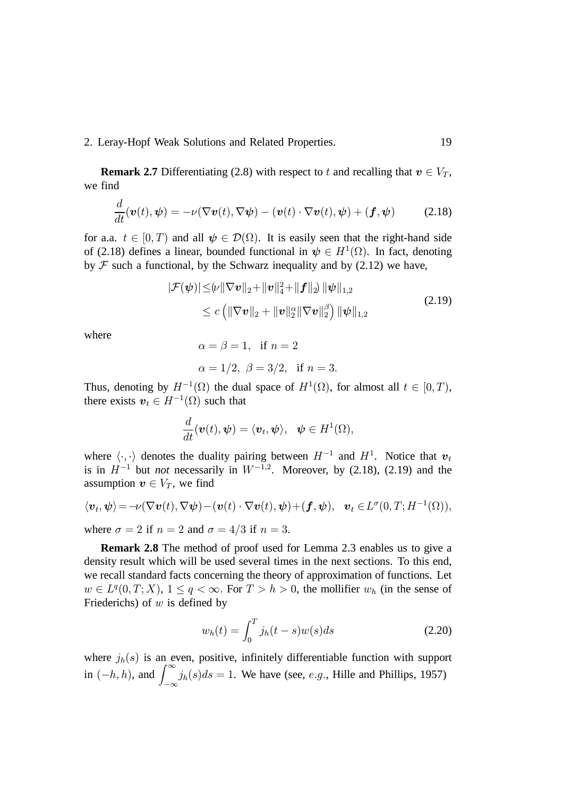**Remark 2.7** Differentiating (2.8) with respect to t and recalling that  $v \in V_T$ , we find

$$
\frac{d}{dt}(\boldsymbol{v}(t),\boldsymbol{\psi}) = -\nu(\nabla \boldsymbol{v}(t),\nabla \boldsymbol{\psi}) - (\boldsymbol{v}(t)\cdot \nabla \boldsymbol{v}(t),\boldsymbol{\psi}) + (\boldsymbol{f},\boldsymbol{\psi})
$$
(2.18)

for a.a.  $t \in [0, T)$  and all  $\psi \in \mathcal{D}(\Omega)$ . It is easily seen that the right-hand side of (2.18) defines a linear, bounded functional in  $\psi \in H^1(\Omega)$ . In fact, denoting by  $\mathcal F$  such a functional, by the Schwarz inequality and by (2.12) we have,

$$
|\mathcal{F}(\boldsymbol{\psi})| \leq |\boldsymbol{\psi}||\nabla \boldsymbol{v}||_2 + \|\boldsymbol{v}\|_4^2 + \|\boldsymbol{f}\|_2 \|\boldsymbol{\psi}\|_{1,2}
$$
  
 
$$
\leq c \left( \|\nabla \boldsymbol{v}\|_2 + \|\boldsymbol{v}\|_2^{\alpha} \|\nabla \boldsymbol{v}\|_2^{\beta} \right) \|\boldsymbol{\psi}\|_{1,2}
$$
 (2.19)

where

$$
\alpha = \beta = 1
$$
, if  $n = 2$   
 $\alpha = 1/2$ ,  $\beta = 3/2$ , if  $n = 3$ .

Thus, denoting by  $H^{-1}(\Omega)$  the dual space of  $H^1(\Omega)$ , for almost all  $t \in [0, T)$ , there exists  $v_t \in H^{-1}(\Omega)$  such that

$$
\frac{d}{dt}(\boldsymbol{v}(t),\boldsymbol{\psi})=\langle \boldsymbol{v}_t,\boldsymbol{\psi}\rangle,\ \ \boldsymbol{\psi}\in H^1(\Omega),
$$

where  $\langle \cdot, \cdot \rangle$  denotes the duality pairing between  $H^{-1}$  and  $H^1$ . Notice that  $v_t$ is in  $H^{-1}$  but *not* necessarily in  $W^{-1,2}$ . Moreover, by (2.18), (2.19) and the assumption  $v \in V_T$ , we find

$$
\langle \boldsymbol{v}_t, \boldsymbol{\psi} \rangle = -\nu(\nabla \boldsymbol{v}(t), \nabla \boldsymbol{\psi}) - (\boldsymbol{v}(t) \cdot \nabla \boldsymbol{v}(t), \boldsymbol{\psi}) + (\boldsymbol{f}, \boldsymbol{\psi}), \quad \boldsymbol{v}_t \in L^{\sigma}(0, T; H^{-1}(\Omega)),
$$

where  $\sigma = 2$  if  $n = 2$  and  $\sigma = 4/3$  if  $n = 3$ .

**Remark 2.8** The method of proof used for Lemma 2.3 enables us to give a density result which will be used several times in the next sections. To this end, we recall standard facts concerning the theory of approximation of functions. Let  $w \in L^q(0,T;X), 1 \le q < \infty$ . For  $T > h > 0$ , the mollifier  $w_h$  (in the sense of Friederichs) of  $w$  is defined by

$$
w_h(t) = \int_0^T j_h(t-s)w(s)ds
$$
 (2.20)

where  $i<sub>h</sub>(s)$  is an even, positive, infinitely differentiable function with support in  $(-h, h)$ , and  $\int_{-\infty}^{\infty} j_h(s)ds = 1$ . We have (see, *e.g.*, Hille and Phillips, 1957)  $-\infty$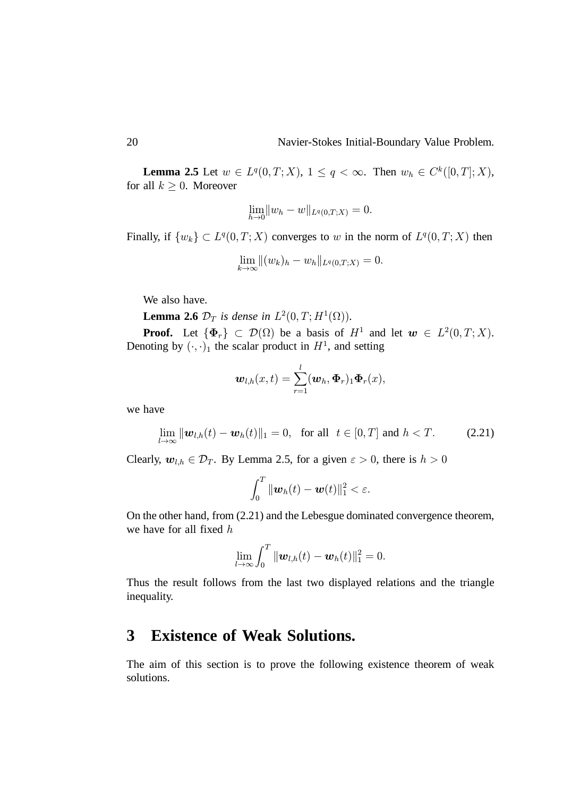**Lemma 2.5** Let  $w \in L^q(0,T;X)$ ,  $1 \le q < \infty$ . Then  $w_h \in C^k([0,T];X)$ , for all  $k \geq 0$ . Moreover

$$
\lim_{h \to 0} \|w_h - w\|_{L^q(0,T;X)} = 0.
$$

Finally, if  $\{w_k\} \subset L^q(0,T;X)$  converges to w in the norm of  $L^q(0,T;X)$  then

$$
\lim_{k\to\infty}||(w_k)_h-w_h||_{L^q(0,T;X)}=0.
$$

We also have.

**Lemma 2.6**  $\mathcal{D}_T$  is dense in  $L^2(0,T;H^1(\Omega))$ .

**Proof.** Let  $\{\Phi_r\} \subset \mathcal{D}(\Omega)$  be a basis of  $H^1$  and let  $w \in L^2(0,T;X)$ . Denoting by  $(\cdot, \cdot)_1$  the scalar product in  $H^1$ , and setting

$$
\boldsymbol{w}_{l,h}(x,t)=\sum_{r=1}^l(\boldsymbol{w}_h,\boldsymbol{\Phi}_r)_1\boldsymbol{\Phi}_r(x),
$$

we have

$$
\lim_{l \to \infty} \|\mathbf{w}_{l,h}(t) - \mathbf{w}_h(t)\|_1 = 0, \text{ for all } t \in [0, T] \text{ and } h < T. \tag{2.21}
$$

Clearly,  $w_{l,h} \in \mathcal{D}_T$ . By Lemma 2.5, for a given  $\varepsilon > 0$ , there is  $h > 0$ 

$$
\int_0^T \|\boldsymbol{w}_h(t)-\boldsymbol{w}(t)\|_1^2 < \varepsilon.
$$

On the other hand, from (2.21) and the Lebesgue dominated convergence theorem, we have for all fixed  $h$ 

$$
\lim_{l\to\infty}\int_0^T\|\boldsymbol{w}_{l,h}(t)-\boldsymbol{w}_h(t)\|_1^2=0.
$$

Thus the result follows from the last two displayed relations and the triangle inequality.

### **3 Existence of Weak Solutions.**

The aim of this section is to prove the following existence theorem of weak solutions.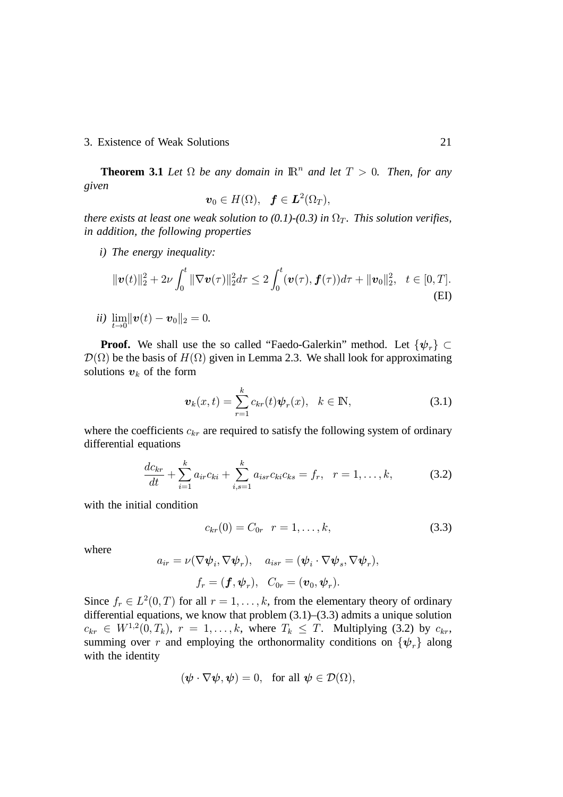### 3. Existence of Weak Solutions 21

**Theorem 3.1** Let  $\Omega$  be any domain in  $\mathbb{R}^n$  and let  $T > 0$ . Then, for any *given*

$$
\boldsymbol{v}_0\in H(\Omega),\ \ \boldsymbol{f}\in \boldsymbol{L}^2(\Omega_T),
$$

*there exists at least one weak solution to (0.1)-(0.3) in*  $\Omega_T$ *. This solution verifies, in addition, the following properties*

*i) The energy inequality:*

$$
\|\boldsymbol{v}(t)\|_{2}^{2}+2\nu\int_{0}^{t}\|\nabla\boldsymbol{v}(\tau)\|_{2}^{2}d\tau\leq2\int_{0}^{t}(\boldsymbol{v}(\tau),\boldsymbol{f}(\tau))d\tau+\|\boldsymbol{v}_{0}\|_{2}^{2},\quad t\in[0,T].
$$
\n(EI)

*ii)*  $\lim_{t\to 0} ||\bm{v}(t)-\bm{v}_0||_2=0.$ 

**Proof.** We shall use the so called "Faedo-Galerkin" method. Let  $\{\psi_r\} \subset$  $\mathcal{D}(\Omega)$  be the basis of  $H(\Omega)$  given in Lemma 2.3. We shall look for approximating solutions  $v_k$  of the form

$$
\boldsymbol{v}_k(x,t) = \sum_{r=1}^k c_{kr}(t) \boldsymbol{\psi}_r(x), \quad k \in \mathbb{N},
$$
 (3.1)

where the coefficients  $c_{kr}$  are required to satisfy the following system of ordinary differential equations

$$
\frac{dc_{kr}}{dt} + \sum_{i=1}^{k} a_{ir}c_{ki} + \sum_{i,s=1}^{k} a_{isr}c_{ki}c_{ks} = f_r, \quad r = 1, \dots, k,
$$
 (3.2)

with the initial condition

$$
c_{kr}(0) = C_{0r} \quad r = 1, \dots, k,
$$
\n(3.3)

where

$$
a_{ir} = \nu(\nabla \psi_i, \nabla \psi_r), \quad a_{isr} = (\psi_i \cdot \nabla \psi_s, \nabla \psi_r),
$$

$$
f_r = (\mathbf{f}, \psi_r), \quad C_{0r} = (\mathbf{v}_0, \psi_r).
$$

Since  $f_r \in L^2(0,T)$  for all  $r = 1, \ldots, k$ , from the elementary theory of ordinary differential equations, we know that problem (3.1)–(3.3) admits a unique solution  $c_{kr} \in W^{1,2}(0,T_k)$ ,  $r = 1,\ldots,k$ , where  $T_k \leq T$ . Multiplying (3.2) by  $c_{kr}$ , summing over r and employing the orthonormality conditions on  $\{\psi_r\}$  along with the identity

$$
(\boldsymbol{\psi} \cdot \nabla \boldsymbol{\psi}, \boldsymbol{\psi}) = 0, \text{ for all } \boldsymbol{\psi} \in \mathcal{D}(\Omega),
$$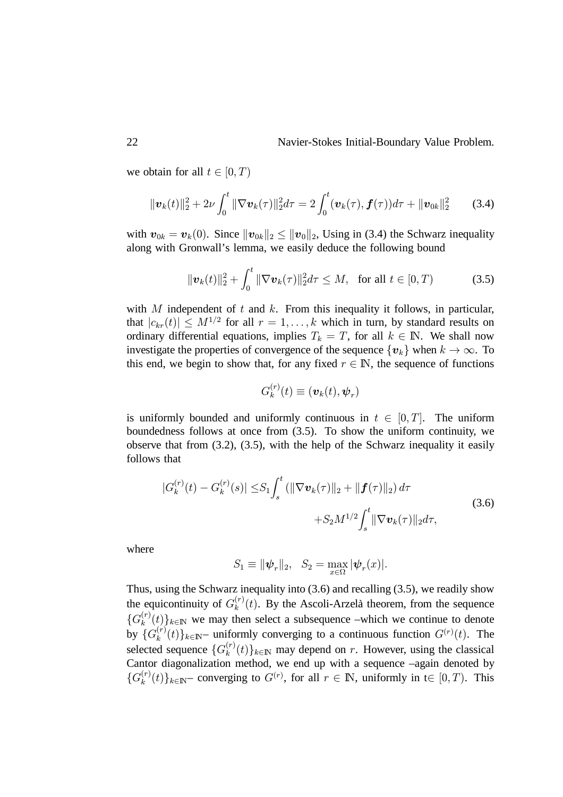we obtain for all  $t \in [0, T)$ 

$$
\|\boldsymbol{v}_k(t)\|_2^2 + 2\nu \int_0^t \|\nabla \boldsymbol{v}_k(\tau)\|_2^2 d\tau = 2 \int_0^t (\boldsymbol{v}_k(\tau), \boldsymbol{f}(\tau)) d\tau + \|\boldsymbol{v}_{0k}\|_2^2 \qquad (3.4)
$$

with  $\boldsymbol{v}_{0k} = \boldsymbol{v}_k(0)$ . Since  $\|\boldsymbol{v}_{0k}\|_2 \leq \|\boldsymbol{v}_0\|_2$ , Using in (3.4) the Schwarz inequality along with Gronwall's lemma, we easily deduce the following bound

$$
\|\boldsymbol{v}_k(t)\|_2^2 + \int_0^t \|\nabla \boldsymbol{v}_k(\tau)\|_2^2 d\tau \le M, \text{ for all } t \in [0, T)
$$
 (3.5)

with  $M$  independent of  $t$  and  $k$ . From this inequality it follows, in particular, that  $|c_{kr}(t)| \leq M^{1/2}$  for all  $r = 1, ..., k$  which in turn, by standard results on ordinary differential equations, implies  $T_k = T$ , for all  $k \in \mathbb{N}$ . We shall now investigate the properties of convergence of the sequence  $\{v_k\}$  when  $k \to \infty$ . To this end, we begin to show that, for any fixed  $r \in \mathbb{N}$ , the sequence of functions

$$
G_k^{(r)}(t) \equiv (\boldsymbol{v}_k(t), \boldsymbol{\psi}_r)
$$

is uniformly bounded and uniformly continuous in  $t \in [0, T]$ . The uniform boundedness follows at once from (3.5). To show the uniform continuity, we observe that from  $(3.2)$ ,  $(3.5)$ , with the help of the Schwarz inequality it easily follows that

$$
|G_k^{(r)}(t) - G_k^{(r)}(s)| \leq S_1 \int_s^t (||\nabla \boldsymbol{v}_k(\tau)||_2 + ||\boldsymbol{f}(\tau)||_2) d\tau + S_2 M^{1/2} \int_s^t ||\nabla \boldsymbol{v}_k(\tau)||_2 d\tau,
$$
\n(3.6)

where

$$
S_1 \equiv \|\boldsymbol{\psi}_r\|_2, \quad S_2 = \max_{x \in \Omega} |\boldsymbol{\psi}_r(x)|.
$$

Thus, using the Schwarz inequality into (3.6) and recalling (3.5), we readily show the equicontinuity of  $G_k^{(r)}$  $\binom{r}{k}(t)$ . By the Ascoli-Arzelà theorem, from the sequence  $\{G_k^{(r)}\}$  $\binom{r}{k}$  (*t*)  $k \in \mathbb{N}$  we may then select a subsequence –which we continue to denote by  $\{G_k^{(r)}\}$  $\{f_k^{(r)}(t)\}_{k \in \mathbb{N}}$  uniformly converging to a continuous function  $G^{(r)}(t)$ . The selected sequence  $\{G_k^{(r)}\}$  $\{f_k^{(r)}(t)\}_{k \in \mathbb{N}}$  may depend on r. However, using the classical Cantor diagonalization method, we end up with a sequence –again denoted by  $\{G_k^{(r)}\}$  $\{f_k^{(r)}(t)\}_{k \in \mathbb{N}}$  converging to  $G^{(r)}$ , for all  $r \in \mathbb{N}$ , uniformly in  $t \in [0, T)$ . This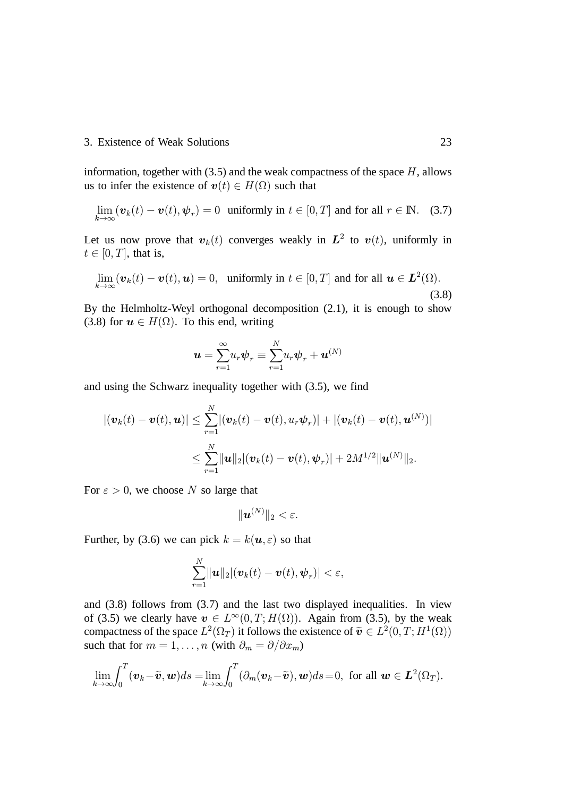### 3. Existence of Weak Solutions 23

information, together with  $(3.5)$  and the weak compactness of the space  $H$ , allows us to infer the existence of  $\mathbf{v}(t) \in H(\Omega)$  such that

$$
\lim_{k \to \infty} (\boldsymbol{v}_k(t) - \boldsymbol{v}(t), \boldsymbol{\psi}_r) = 0 \text{ uniformly in } t \in [0, T] \text{ and for all } r \in \mathbb{N}. \quad (3.7)
$$

Let us now prove that  $v_k(t)$  converges weakly in  $L^2$  to  $v(t)$ , uniformly in  $t \in [0, T]$ , that is,

$$
\lim_{k \to \infty} (\boldsymbol{v}_k(t) - \boldsymbol{v}(t), \boldsymbol{u}) = 0, \text{ uniformly in } t \in [0, T] \text{ and for all } \boldsymbol{u} \in \boldsymbol{L}^2(\Omega). \tag{3.8}
$$

By the Helmholtz-Weyl orthogonal decomposition (2.1), it is enough to show (3.8) for  $u \in H(\Omega)$ . To this end, writing

$$
\boldsymbol{u}=\sum_{r=1}^{\infty}u_r\boldsymbol{\psi}_r\equiv\sum_{r=1}^N u_r\boldsymbol{\psi}_r+\boldsymbol{u}^{(N)}
$$

and using the Schwarz inequality together with (3.5), we find

$$
|(\boldsymbol{v}_k(t)-\boldsymbol{v}(t),\boldsymbol{u})| \leq \sum_{r=1}^N |(\boldsymbol{v}_k(t)-\boldsymbol{v}(t),u_r\boldsymbol{\psi}_r)| + |(\boldsymbol{v}_k(t)-\boldsymbol{v}(t),\boldsymbol{u}^{(N)})|
$$
  

$$
\leq \sum_{r=1}^N \|\boldsymbol{u}\|_2 |(\boldsymbol{v}_k(t)-\boldsymbol{v}(t),\boldsymbol{\psi}_r)| + 2M^{1/2} \|\boldsymbol{u}^{(N)}\|_2.
$$

For  $\varepsilon > 0$ , we choose N so large that

$$
\|\bm{u}^{(N)}\|_2 < \varepsilon.
$$

Further, by (3.6) we can pick  $k = k(\mathbf{u}, \varepsilon)$  so that

$$
\sum_{r=1}^N \lVert \boldsymbol{u}\rVert_2 |(\boldsymbol{v}_k(t)-\boldsymbol{v}(t),\boldsymbol{\psi}_r)| < \varepsilon,
$$

and (3.8) follows from (3.7) and the last two displayed inequalities. In view of (3.5) we clearly have  $v \in L^{\infty}(0,T; H(\Omega))$ . Again from (3.5), by the weak compactness of the space  $L^2(\Omega_T)$  it follows the existence of  $\tilde{\boldsymbol{v}} \in L^2(0,T;H^1(\Omega))$ such that for  $m = 1, ..., n$  (with  $\partial_m = \partial/\partial x_m$ )

$$
\lim_{k\to\infty}\int_0^T(\boldsymbol{v}_k-\widetilde{\boldsymbol{v}},\boldsymbol{w})ds=\lim_{k\to\infty}\int_0^T(\partial_m(\boldsymbol{v}_k-\widetilde{\boldsymbol{v}}),\boldsymbol{w})ds=0, \text{ for all } \boldsymbol{w}\in\boldsymbol{L}^2(\Omega_T).
$$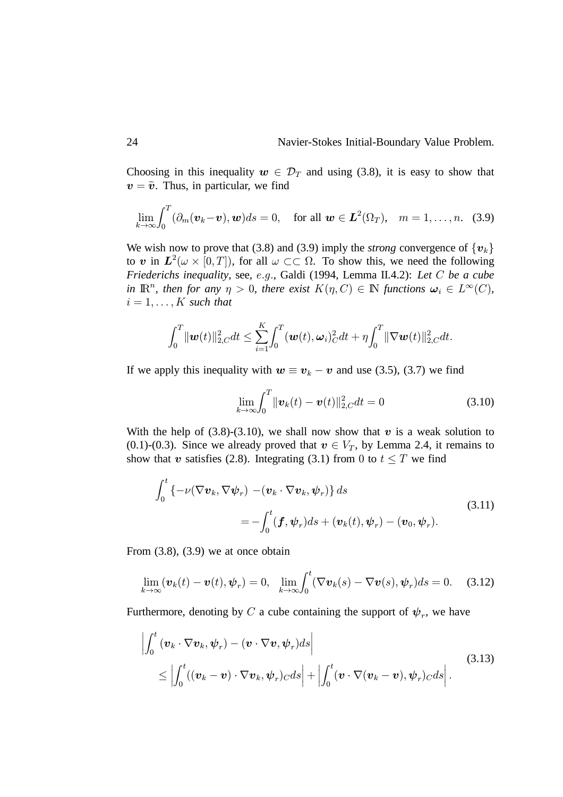Choosing in this inequality  $w \in \mathcal{D}_T$  and using (3.8), it is easy to show that  $v = \tilde{v}$ . Thus, in particular, we find

$$
\lim_{k\to\infty}\int_0^T(\partial_m(\boldsymbol{v}_k-\boldsymbol{v}),\boldsymbol{w})ds=0,\quad\text{for all }\boldsymbol{w}\in\boldsymbol{L}^2(\Omega_T),\quad m=1,\ldots,n.
$$
 (3.9)

We wish now to prove that (3.8) and (3.9) imply the *strong* convergence of  $\{v_k\}$ to  $\boldsymbol{v}$  in  $\boldsymbol{L}^2(\omega \times [0,T])$ , for all  $\omega \subset\subset \Omega$ . To show this, we need the following *Friederichs inequality, see, e.g., Galdi (1994, Lemma II.4.2): Let C be a cube* in  $\mathbb{R}^n$ , then for any  $\eta > 0$ , there exist  $K(\eta, C) \in \mathbb{N}$  functions  $\omega_i \in L^{\infty}(C)$ ,  $i = 1, \ldots, K$  such that

$$
\int_0^T \|\bm{w}(t)\|_{2,C}^2 dt \leq \sum_{i=1}^K \int_0^T (\bm{w}(t),\bm{\omega}_i)_C^2 dt + \eta \int_0^T \|\nabla \bm{w}(t)\|_{2,C}^2 dt.
$$

If we apply this inequality with  $w \equiv v_k - v$  and use (3.5), (3.7) we find

$$
\lim_{k \to \infty} \int_0^T \|\mathbf{v}_k(t) - \mathbf{v}(t)\|_{2,C}^2 dt = 0 \tag{3.10}
$$

With the help of (3.8)-(3.10), we shall now show that  $v$  is a weak solution to (0.1)-(0.3). Since we already proved that  $v \in V_T$ , by Lemma 2.4, it remains to show that  $v$  satisfies (2.8). Integrating (3.1) from 0 to  $t \leq T$  we find

$$
\int_0^t \left\{-\nu(\nabla \boldsymbol{v}_k, \nabla \boldsymbol{\psi}_r) - (\boldsymbol{v}_k \cdot \nabla \boldsymbol{v}_k, \boldsymbol{\psi}_r)\right\} ds
$$
\n
$$
= -\int_0^t (\boldsymbol{f}, \boldsymbol{\psi}_r) ds + (\boldsymbol{v}_k(t), \boldsymbol{\psi}_r) - (\boldsymbol{v}_0, \boldsymbol{\psi}_r).
$$
\n(3.11)

From  $(3.8)$ ,  $(3.9)$  we at once obtain

$$
\lim_{k \to \infty} (\boldsymbol{v}_k(t) - \boldsymbol{v}(t), \boldsymbol{\psi}_r) = 0, \quad \lim_{k \to \infty} \int_0^t (\nabla \boldsymbol{v}_k(s) - \nabla \boldsymbol{v}(s), \boldsymbol{\psi}_r) ds = 0. \tag{3.12}
$$

Furthermore, denoting by C a cube containing the support of  $\psi_r$ , we have

$$
\left| \int_0^t \left( \boldsymbol{v}_k \cdot \nabla \boldsymbol{v}_k, \boldsymbol{\psi}_r \right) - (\boldsymbol{v} \cdot \nabla \boldsymbol{v}, \boldsymbol{\psi}_r) ds \right|
$$
\n
$$
\leq \left| \int_0^t \left( (\boldsymbol{v}_k - \boldsymbol{v}) \cdot \nabla \boldsymbol{v}_k, \boldsymbol{\psi}_r \right) c ds \right| + \left| \int_0^t (\boldsymbol{v} \cdot \nabla (\boldsymbol{v}_k - \boldsymbol{v}), \boldsymbol{\psi}_r) c ds \right|. \tag{3.13}
$$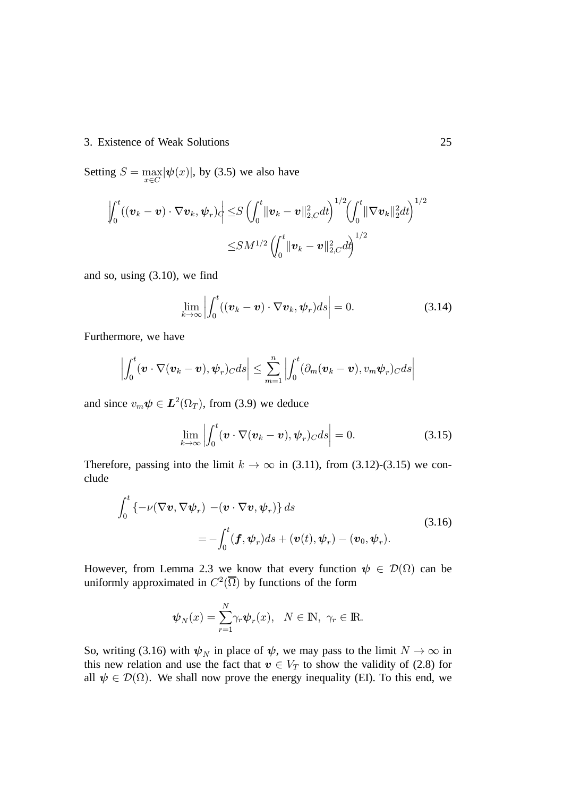### 3. Existence of Weak Solutions 25

Setting  $S = \max_{\mathcal{S}}$  $\max_{x \in C} |\psi(x)|$ , by (3.5) we also have

$$
\left| \int_0^t ((\boldsymbol{v}_k - \boldsymbol{v}) \cdot \nabla \boldsymbol{v}_k, \boldsymbol{\psi}_r) \right| \leq S \left( \int_0^t \|\boldsymbol{v}_k - \boldsymbol{v}\|_{2,C}^2 dt \right)^{1/2} \left( \int_0^t \|\nabla \boldsymbol{v}_k\|_{2}^2 dt \right)^{1/2} \leq SM^{1/2} \left( \int_0^t \|\boldsymbol{v}_k - \boldsymbol{v}\|_{2,C}^2 dt \right)^{1/2}
$$

and so, using (3.10), we find

$$
\lim_{k \to \infty} \left| \int_0^t ((\boldsymbol{v}_k - \boldsymbol{v}) \cdot \nabla \boldsymbol{v}_k, \boldsymbol{\psi}_r) ds \right| = 0.
$$
 (3.14)

Furthermore, we have

$$
\left|\int_0^t (\boldsymbol{v}\cdot\nabla(\boldsymbol{v}_k-\boldsymbol{v}),\boldsymbol{\psi}_r)_C ds\right|\leq \sum_{m=1}^n \left|\int_0^t (\partial_m(\boldsymbol{v}_k-\boldsymbol{v}),v_m\boldsymbol{\psi}_r)_C ds\right|
$$

and since  $v_m \psi \in L^2(\Omega_T)$ , from (3.9) we deduce

$$
\lim_{k \to \infty} \left| \int_0^t (\boldsymbol{v} \cdot \nabla (\boldsymbol{v}_k - \boldsymbol{v}), \boldsymbol{\psi}_r)_C ds \right| = 0.
$$
 (3.15)

Therefore, passing into the limit  $k \to \infty$  in (3.11), from (3.12)-(3.15) we conclude

$$
\int_0^t \left\{-\nu(\nabla \boldsymbol{v}, \nabla \boldsymbol{\psi}_r) - (\boldsymbol{v} \cdot \nabla \boldsymbol{v}, \boldsymbol{\psi}_r)\right\} ds
$$
\n
$$
= -\int_0^t (\boldsymbol{f}, \boldsymbol{\psi}_r) ds + (\boldsymbol{v}(t), \boldsymbol{\psi}_r) - (\boldsymbol{v}_0, \boldsymbol{\psi}_r).
$$
\n(3.16)

However, from Lemma 2.3 we know that every function  $\psi \in \mathcal{D}(\Omega)$  can be uniformly approximated in  $C^2(\overline{\Omega})$  by functions of the form

$$
\boldsymbol{\psi}_N(x) = \sum_{r=1}^N \gamma_r \boldsymbol{\psi}_r(x), \quad N \in \mathbb{N}, \ \gamma_r \in \mathbb{R}.
$$

So, writing (3.16) with  $\psi_N$  in place of  $\psi$ , we may pass to the limit  $N \to \infty$  in this new relation and use the fact that  $v \in V_T$  to show the validity of (2.8) for all  $\psi \in \mathcal{D}(\Omega)$ . We shall now prove the energy inequality (EI). To this end, we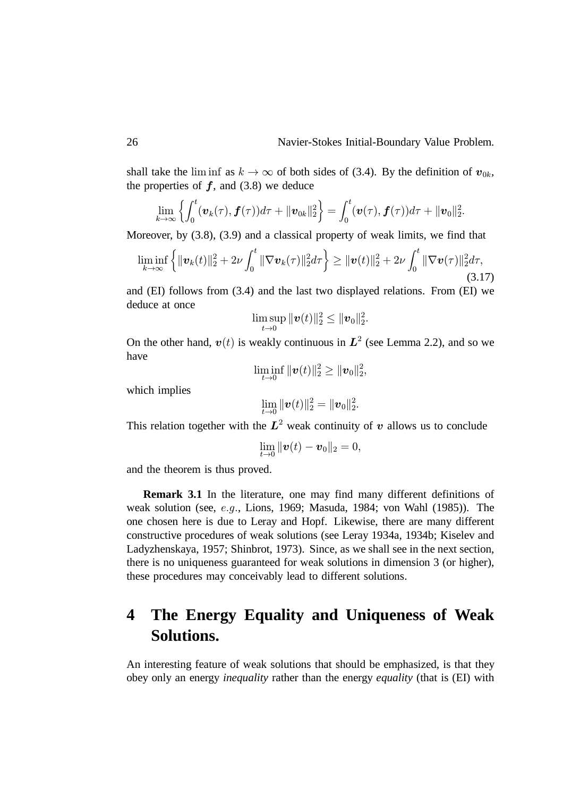shall take the liminf as  $k \to \infty$  of both sides of (3.4). By the definition of  $v_{0k}$ , the properties of  $f$ , and (3.8) we deduce

$$
\lim_{k\to\infty}\left\{\int_0^t(\boldsymbol{v}_k(\tau),\boldsymbol{f}(\tau))d\tau+\|\boldsymbol{v}_{0k}\|_2^2\right\}=\int_0^t(\boldsymbol{v}(\tau),\boldsymbol{f}(\tau))d\tau+\|\boldsymbol{v}_0\|_2^2.
$$

Moreover, by (3.8), (3.9) and a classical property of weak limits, we find that

$$
\liminf_{k \to \infty} \left\{ \|\boldsymbol{v}_k(t)\|_2^2 + 2\nu \int_0^t \|\nabla \boldsymbol{v}_k(\tau)\|_2^2 d\tau \right\} \geq \|\boldsymbol{v}(t)\|_2^2 + 2\nu \int_0^t \|\nabla \boldsymbol{v}(\tau)\|_2^2 d\tau,
$$
\n(3.17)

and (EI) follows from (3.4) and the last two displayed relations. From (EI) we deduce at once

$$
\limsup_{t\to 0} \|\bm{v}(t)\|_2^2 \leq \|\bm{v}_0\|_2^2.
$$

On the other hand,  $v(t)$  is weakly continuous in  $L^2$  (see Lemma 2.2), and so we have

$$
\liminf_{t\to 0} \|\bm{v}(t)\|_2^2 \geq \|\bm{v}_0\|_2^2,
$$

which implies

$$
\lim_{t\to 0} \|\boldsymbol{v}(t)\|_2^2 = \|\boldsymbol{v}_0\|_2^2.
$$

This relation together with the  $L^2$  weak continuity of  $v$  allows us to conclude

$$
\lim_{t\to 0} \|\bm{v}(t)-\bm{v}_0\|_2=0,
$$

and the theorem is thus proved.

**Remark 3.1** In the literature, one may find many different definitions of weak solution (see, e.g., Lions, 1969; Masuda, 1984; von Wahl (1985)). The one chosen here is due to Leray and Hopf. Likewise, there are many different constructive procedures of weak solutions (see Leray 1934a, 1934b; Kiselev and Ladyzhenskaya, 1957; Shinbrot, 1973). Since, as we shall see in the next section, there is no uniqueness guaranteed for weak solutions in dimension 3 (or higher), these procedures may conceivably lead to different solutions.

# **4 The Energy Equality and Uniqueness of Weak Solutions.**

An interesting feature of weak solutions that should be emphasized, is that they obey only an energy *inequality* rather than the energy *equality* (that is (EI) with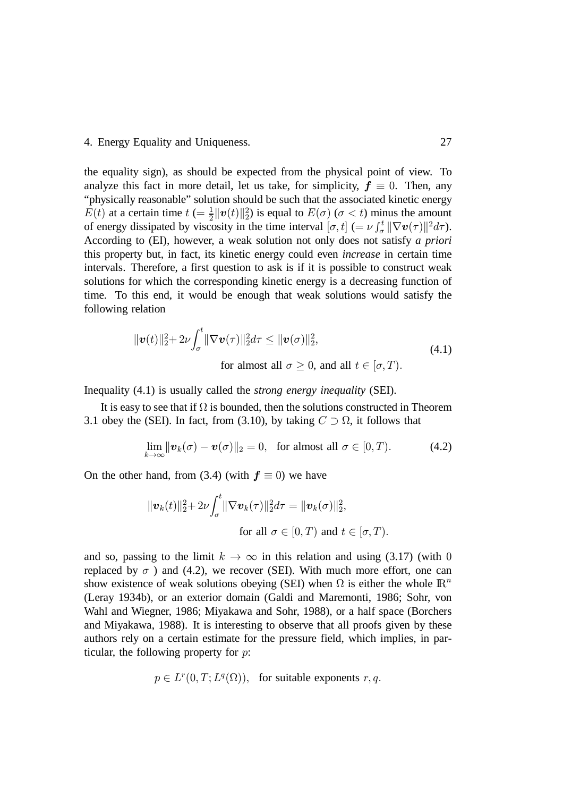### 4. Energy Equality and Uniqueness. 27

the equality sign), as should be expected from the physical point of view. To analyze this fact in more detail, let us take, for simplicity,  $f \equiv 0$ . Then, any "physically reasonable" solution should be such that the associated kinetic energy  $E(t)$  at a certain time  $t = \frac{1}{2}$  $\frac{1}{2} ||\boldsymbol{v}(t)||_2^2$  is equal to  $E(\sigma)$  ( $\sigma < t$ ) minus the amount of energy dissipated by viscosity in the time interval  $[\sigma, t]$  (=  $\nu \int_{\sigma}^{t} ||\nabla \boldsymbol{v}(\tau)||^2 d\tau$ ). According to (EI), however, a weak solution not only does not satisfy *a priori* this property but, in fact, its kinetic energy could even *increase* in certain time intervals. Therefore, a first question to ask is if it is possible to construct weak solutions for which the corresponding kinetic energy is a decreasing function of time. To this end, it would be enough that weak solutions would satisfy the following relation

$$
\|\boldsymbol{v}(t)\|_{2}^{2} + 2\nu \int_{\sigma}^{t} \|\nabla \boldsymbol{v}(\tau)\|_{2}^{2} d\tau \leq \|\boldsymbol{v}(\sigma)\|_{2}^{2},
$$
\nfor almost all  $\sigma \geq 0$ , and all  $t \in [\sigma, T)$ .

\n(4.1)

Inequality (4.1) is usually called the *strong energy inequality* (SEI).

It is easy to see that if  $\Omega$  is bounded, then the solutions constructed in Theorem 3.1 obey the (SEI). In fact, from (3.10), by taking  $C \supset \Omega$ , it follows that

$$
\lim_{k \to \infty} \|\boldsymbol{v}_k(\sigma) - \boldsymbol{v}(\sigma)\|_2 = 0, \text{ for almost all } \sigma \in [0, T). \tag{4.2}
$$

On the other hand, from (3.4) (with  $f \equiv 0$ ) we have

$$
\|\boldsymbol{v}_k(t)\|_2^2 + 2\nu \int_{\sigma}^t \|\nabla \boldsymbol{v}_k(\tau)\|_2^2 d\tau = \|\boldsymbol{v}_k(\sigma)\|_2^2,
$$
  
for all  $\sigma \in [0, T)$  and  $t \in [\sigma, T)$ .

and so, passing to the limit  $k \to \infty$  in this relation and using (3.17) (with 0 replaced by  $\sigma$  ) and (4.2), we recover (SEI). With much more effort, one can show existence of weak solutions obeying (SEI) when  $\Omega$  is either the whole  $\mathbb{R}^n$ (Leray 1934b), or an exterior domain (Galdi and Maremonti, 1986; Sohr, von Wahl and Wiegner, 1986; Miyakawa and Sohr, 1988), or a half space (Borchers and Miyakawa, 1988). It is interesting to observe that all proofs given by these authors rely on a certain estimate for the pressure field, which implies, in particular, the following property for  $p$ :

$$
p \in L^r(0,T;L^q(\Omega)), \text{ for suitable exponents } r, q.
$$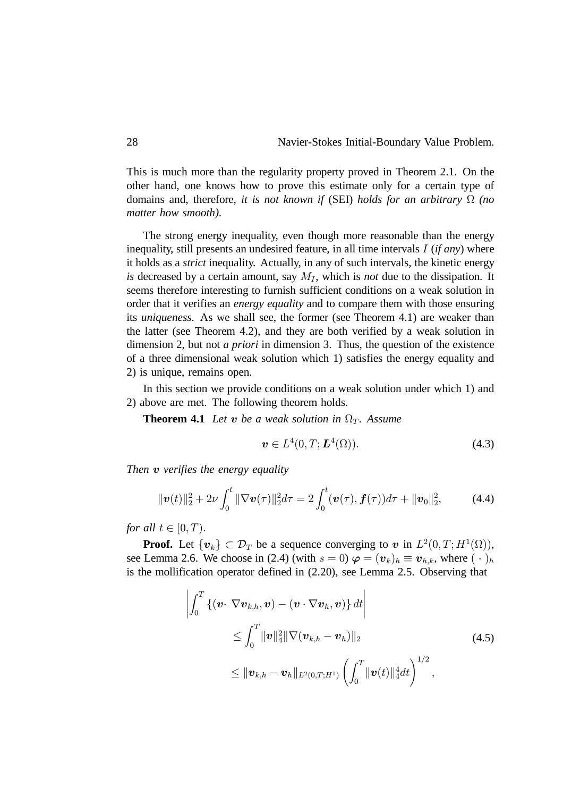This is much more than the regularity property proved in Theorem 2.1. On the other hand, one knows how to prove this estimate only for a certain type of domains and, therefore, *it is not known if* (SEI) *holds for an arbitrary (no matter how smooth)*.

The strong energy inequality, even though more reasonable than the energy inequality, still presents an undesired feature, in all time intervals I (*if any*) where it holds as a *strict* inequality. Actually, in any of such intervals, the kinetic energy *is* decreased by a certain amount, say  $M_I$ , which is *not* due to the dissipation. It seems therefore interesting to furnish sufficient conditions on a weak solution in order that it verifies an *energy equality* and to compare them with those ensuring its *uniqueness*. As we shall see, the former (see Theorem 4.1) are weaker than the latter (see Theorem 4.2), and they are both verified by a weak solution in dimension 2, but not *a priori* in dimension 3. Thus, the question of the existence of a three dimensional weak solution which 1) satisfies the energy equality and 2) is unique, remains open.

In this section we provide conditions on a weak solution under which 1) and 2) above are met. The following theorem holds.

**Theorem 4.1** *Let*  $\boldsymbol{v}$  *be a weak solution in*  $\Omega_T$ *. Assume* 

$$
\boldsymbol{v} \in L^4(0, T; \boldsymbol{L}^4(\Omega)). \tag{4.3}
$$

*Then*  $v$  verifies the energy equality

$$
\|\boldsymbol{v}(t)\|_{2}^{2}+2\nu\int_{0}^{t}\|\nabla\boldsymbol{v}(\tau)\|_{2}^{2}d\tau=2\int_{0}^{t}(\boldsymbol{v}(\tau),\boldsymbol{f}(\tau))d\tau+\|\boldsymbol{v}_{0}\|_{2}^{2},\qquad(4.4)
$$

*for all*  $t \in [0, T)$ .

**Proof.** Let  $\{v_k\} \subset \mathcal{D}_T$  be a sequence converging to  $v$  in  $L^2(0,T;H^1(\Omega))$ , see Lemma 2.6. We choose in (2.4) (with  $s = 0$ )  $\varphi = (\mathbf{v}_k)_h \equiv \mathbf{v}_{h,k}$ , where  $(\cdot)_h$ is the mollification operator defined in (2.20), see Lemma 2.5. Observing that

$$
\left| \int_0^T \left\{ (\boldsymbol{v} \cdot \nabla \boldsymbol{v}_{k,h}, \boldsymbol{v}) - (\boldsymbol{v} \cdot \nabla \boldsymbol{v}_h, \boldsymbol{v}) \right\} dt \right|
$$
\n
$$
\leq \int_0^T \|\boldsymbol{v}\|_4^2 \|\nabla (\boldsymbol{v}_{k,h} - \boldsymbol{v}_h)\|_2
$$
\n
$$
\leq \|\boldsymbol{v}_{k,h} - \boldsymbol{v}_h\|_{L^2(0,T;H^1)} \left( \int_0^T \|\boldsymbol{v}(t)\|_4^4 dt \right)^{1/2},
$$
\n(4.5)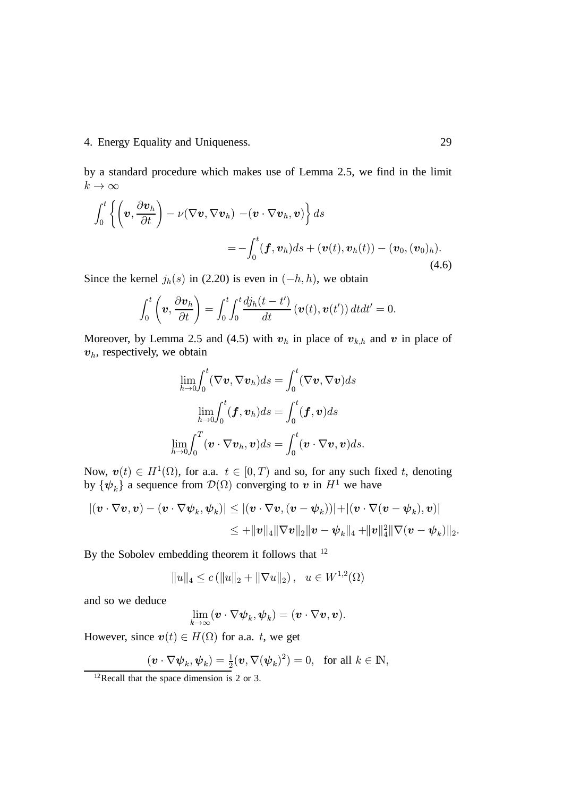### 4. Energy Equality and Uniqueness. 29

by a standard procedure which makes use of Lemma 2.5, we find in the limit  $k\to\infty$ 

$$
\int_0^t \left\{ \left( \boldsymbol{v}, \frac{\partial \boldsymbol{v}_h}{\partial t} \right) - \nu (\nabla \boldsymbol{v}, \nabla \boldsymbol{v}_h) - (\boldsymbol{v} \cdot \nabla \boldsymbol{v}_h, \boldsymbol{v}) \right\} ds
$$
  
= 
$$
- \int_0^t (\boldsymbol{f}, \boldsymbol{v}_h) ds + (\boldsymbol{v}(t), \boldsymbol{v}_h(t)) - (\boldsymbol{v}_0, (\boldsymbol{v}_0)_h).
$$
(4.6)

Since the kernel  $j_h(s)$  in (2.20) is even in  $(-h, h)$ , we obtain

$$
\int_0^t \left(\boldsymbol{v}, \frac{\partial \boldsymbol{v}_h}{\partial t}\right) = \int_0^t \int_0^t \frac{dj_h(t-t')}{dt} \left(\boldsymbol{v}(t), \boldsymbol{v}(t')\right) dt dt' = 0.
$$

Moreover, by Lemma 2.5 and (4.5) with  $v_h$  in place of  $v_{k,h}$  and  $v$  in place of  $v<sub>h</sub>$ , respectively, we obtain

$$
\lim_{h\to 0} \int_0^t (\nabla \boldsymbol{v}, \nabla \boldsymbol{v}_h) ds = \int_0^t (\nabla \boldsymbol{v}, \nabla \boldsymbol{v}) ds
$$

$$
\lim_{h\to 0} \int_0^t (\boldsymbol{f}, \boldsymbol{v}_h) ds = \int_0^t (\boldsymbol{f}, \boldsymbol{v}) ds
$$

$$
\lim_{h\to 0} \int_0^T (\boldsymbol{v} \cdot \nabla \boldsymbol{v}_h, \boldsymbol{v}) ds = \int_0^t (\boldsymbol{v} \cdot \nabla \boldsymbol{v}, \boldsymbol{v}) ds.
$$

Now,  $\mathbf{v}(t) \in H^1(\Omega)$ , for a.a.  $t \in [0, T)$  and so, for any such fixed t, denoting by  $\{\psi_k\}$  a sequence from  $\mathcal{D}(\Omega)$  converging to  $v$  in  $H^1$  we have

$$
\begin{aligned} |(\boldsymbol{v}\cdot\nabla \boldsymbol{v},\boldsymbol{v})-(\boldsymbol{v}\cdot\nabla \boldsymbol{\psi}_k,\boldsymbol{\psi}_k)|&\leq |(\boldsymbol{v}\cdot\nabla \boldsymbol{v},(\boldsymbol{v}-\boldsymbol{\psi}_k))|+|(\boldsymbol{v}\cdot\nabla (\boldsymbol{v}-\boldsymbol{\psi}_k),\boldsymbol{v})|\\&\leq +\|\boldsymbol{v}\|_4\|\nabla \boldsymbol{v}\|_2\|\boldsymbol{v}-\boldsymbol{\psi}_k\|_4+\|\boldsymbol{v}\|_4^2\|\nabla (\boldsymbol{v}-\boldsymbol{\psi}_k)\|_2.\end{aligned}
$$

By the Sobolev embedding theorem it follows that <sup>12</sup>

$$
||u||_4 \le c (||u||_2 + ||\nabla u||_2), \ \ u \in W^{1,2}(\Omega)
$$

and so we deduce

$$
\lim_{k\to\infty} (\boldsymbol{v}\cdot\nabla\boldsymbol{\psi}_k,\boldsymbol{\psi}_k) = (\boldsymbol{v}\cdot\nabla\boldsymbol{v},\boldsymbol{v}).
$$

However, since  $\boldsymbol{v}(t) \in H(\Omega)$  for a.a. t, we get

$$
(\boldsymbol{v} \cdot \nabla \boldsymbol{\psi}_k, \boldsymbol{\psi}_k) = \frac{1}{2} (\boldsymbol{v}, \nabla (\boldsymbol{\psi}_k)^2) = 0, \text{ for all } k \in \mathbb{N},
$$

 $12$ Recall that the space dimension is 2 or 3.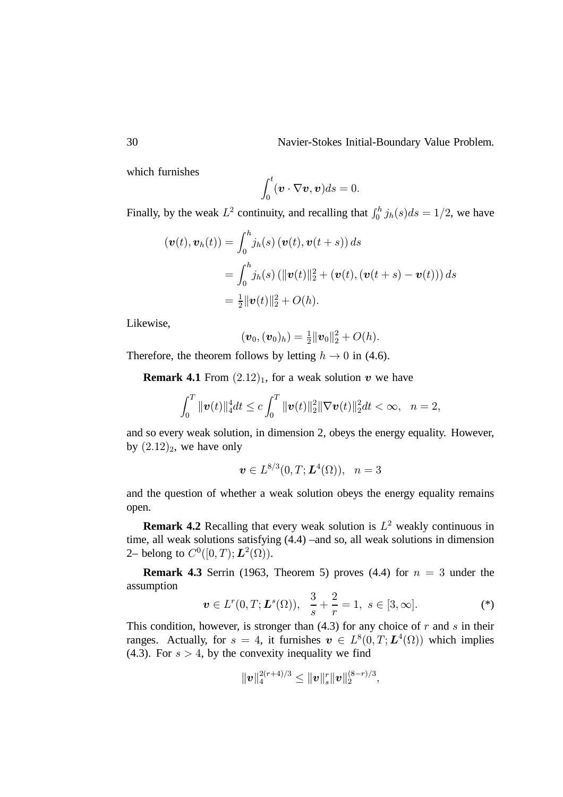which furnishes

$$
\int_0^t (\boldsymbol{v} \cdot \nabla \boldsymbol{v}, \boldsymbol{v}) ds = 0.
$$

Finally, by the weak  $L^2$  continuity, and recalling that  $\int_0^h j_h(s)ds = 1/2$ , we have

$$
(\boldsymbol{v}(t), \boldsymbol{v}_h(t)) = \int_0^h j_h(s) \left( \boldsymbol{v}(t), \boldsymbol{v}(t+s) \right) ds
$$
  
= 
$$
\int_0^h j_h(s) \left( \|\boldsymbol{v}(t)\|_2^2 + (\boldsymbol{v}(t), (\boldsymbol{v}(t+s) - \boldsymbol{v}(t))) \right) ds
$$
  
= 
$$
\frac{1}{2} \|\boldsymbol{v}(t)\|_2^2 + O(h).
$$

Likewise,

$$
(\boldsymbol{v}_0, (\boldsymbol{v}_0)_h) = \frac{1}{2} ||\boldsymbol{v}_0||_2^2 + O(h).
$$

Therefore, the theorem follows by letting  $h \to 0$  in (4.6).

**Remark 4.1** From  $(2.12)_1$ , for a weak solution  $v$  we have

$$
\int_0^T \|\boldsymbol{v}(t)\|_4^4 dt \leq c \int_0^T \|\boldsymbol{v}(t)\|_2^2 \|\nabla \boldsymbol{v}(t)\|_2^2 dt < \infty, \quad n = 2,
$$

and so every weak solution, in dimension 2, obeys the energy equality. However, by  $(2.12)_2$ , we have only

$$
\bm{v} \in L^{8/3}(0,T;\bm{L}^4(\Omega)), \ \ n=3
$$

and the question of whether a weak solution obeys the energy equality remains open.

**Remark 4.2** Recalling that every weak solution is  $L^2$  weakly continuous in time, all weak solutions satisfying (4.4) –and so, all weak solutions in dimension 2– belong to  $C^0([0,T); L^2(\Omega))$ .

**Remark 4.3** Serrin (1963, Theorem 5) proves (4.4) for  $n = 3$  under the assumption

$$
\boldsymbol{v} \in L^{r}(0,T; \boldsymbol{L}^{s}(\Omega)), \ \ \frac{3}{s} + \frac{2}{r} = 1, \ s \in [3,\infty]. \tag{*}
$$

This condition, however, is stronger than  $(4.3)$  for any choice of  $r$  and  $s$  in their ranges. Actually, for  $s = 4$ , it furnishes  $\mathbf{v} \in L^8(0,T; \mathbf{L}^4(\Omega))$  which implies (4.3). For  $s > 4$ , by the convexity inequality we find

$$
\|\boldsymbol{v}\|_4^{2(r+4)/3}\leq \|\boldsymbol{v}\|_s^r \|\boldsymbol{v}\|_2^{(8-r)/3},
$$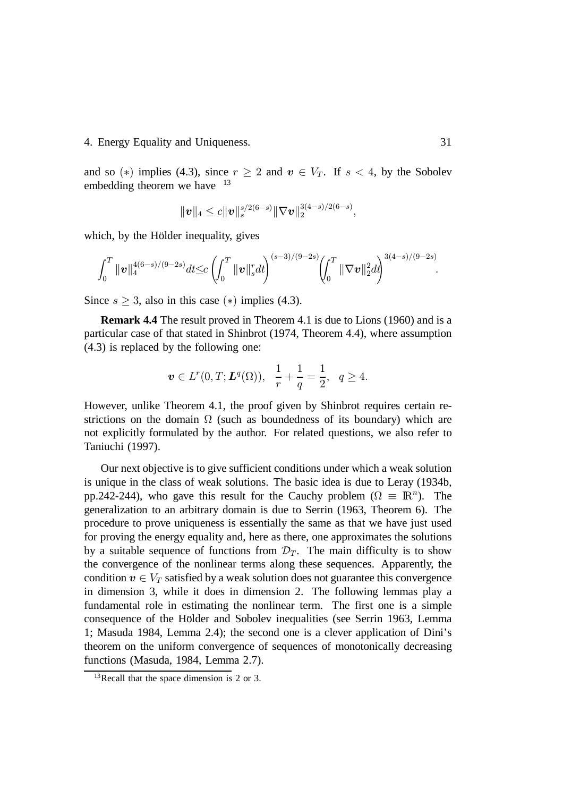### 4. Energy Equality and Uniqueness. 31

and so (\*) implies (4.3), since  $r \geq 2$  and  $v \in V_T$ . If  $s < 4$ , by the Sobolev embedding theorem we have  $13$ 

$$
\|\bm{v}\|_4 \leq c \|\bm{v}\|_s^{s/2(6-s)} \|\nabla \bm{v}\|_2^{3(4-s)/2(6-s)},
$$

which, by the Holder inequality, gives

$$
\int_0^T \|\boldsymbol{v}\|_4^{4(6-s)/(9-2s)} dt \leq c \left(\int_0^T \|\boldsymbol{v}\|_s^r dt\right)^{(s-3)/(9-2s)} \left(\int_0^T \|\nabla \boldsymbol{v}\|_2^2 dt\right)^{3(4-s)/(9-2s)}.
$$

Since  $s \geq 3$ , also in this case (\*) implies (4.3).

**Remark 4.4** The result proved in Theorem 4.1 is due to Lions (1960) and is a particular case of that stated in Shinbrot (1974, Theorem 4.4), where assumption (4.3) is replaced by the following one:

$$
\boldsymbol{v} \in L^r(0,T; \boldsymbol{L}^q(\Omega)), \ \ \frac{1}{r} + \frac{1}{q} = \frac{1}{2}, \ \ q \ge 4.
$$

However, unlike Theorem 4.1, the proof given by Shinbrot requires certain restrictions on the domain  $\Omega$  (such as boundedness of its boundary) which are not explicitly formulated by the author. For related questions, we also refer to Taniuchi (1997).

Our next objective is to give sufficient conditions under which a weak solution is unique in the class of weak solutions. The basic idea is due to Leray (1934b, pp.242-244), who gave this result for the Cauchy problem ( $\Omega \equiv \mathbb{R}^n$ ). The generalization to an arbitrary domain is due to Serrin (1963, Theorem 6). The procedure to prove uniqueness is essentially the same as that we have just used for proving the energy equality and, here as there, one approximates the solutions by a suitable sequence of functions from  $\mathcal{D}_T$ . The main difficulty is to show the convergence of the nonlinear terms along these sequences. Apparently, the condition  $\boldsymbol{v} \in V_T$  satisfied by a weak solution does not guarantee this convergence in dimension 3, while it does in dimension 2. The following lemmas play a fundamental role in estimating the nonlinear term. The first one is a simple consequence of the Hölder and Sobolev inequalities (see Serrin 1963, Lemma 1; Masuda 1984, Lemma 2.4); the second one is a clever application of Dini's theorem on the uniform convergence of sequences of monotonically decreasing functions (Masuda, 1984, Lemma 2.7).

<sup>&</sup>lt;sup>13</sup>Recall that the space dimension is 2 or 3.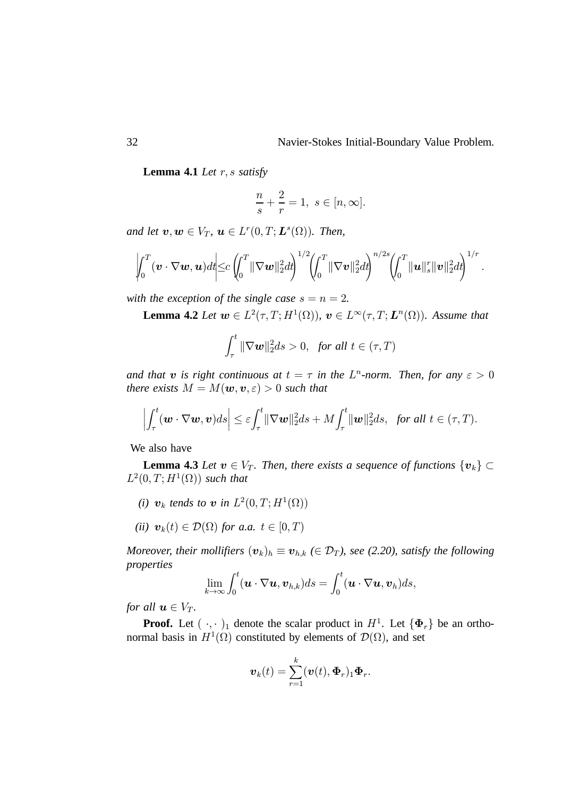**Lemma 4.1** *Let*  $r$ ,  $s$  *satisfy* 

$$
\frac{n}{s} + \frac{2}{r} = 1, \ s \in [n, \infty].
$$

and let  $v, w \in V_T$ ,  $u \in L^r(0, T; L^s(\Omega))$ . Then,

$$
\left|\int_0^T (\boldsymbol{v}\cdot\nabla\boldsymbol{w},\boldsymbol{u})d t\right|\leq c\left(\int_0^T \|\nabla\boldsymbol{w}\|_2^2 d t\right)^{1/2}\left(\int_0^T \|\nabla\boldsymbol{v}\|_2^2 d t\right)^{n/2s}\left(\int_0^T \|\boldsymbol{u}\|_s^r \|\boldsymbol{v}\|_2^2 d t\right)^{1/r}.
$$

with the exception of the single case  $s = n = 2$ .

**Lemma 4.2** *Let*  $\mathbf{w} \in L^2(\tau, T; H^1(\Omega))$ ,  $\mathbf{v} \in L^\infty(\tau, T; \mathbf{L}^n(\Omega))$ . Assume that

$$
\int_{\tau}^{t} \|\nabla \boldsymbol{w}\|_{2}^{2} ds > 0, \text{ for all } t \in (\tau, T)
$$

and that **v** is right continuous at  $t = \tau$  in the  $L^n$ -norm. Then, for any  $\varepsilon > 0$ *there exists*  $M = M(\boldsymbol{w}, \boldsymbol{v}, \varepsilon) > 0$  *such that* 

$$
\left|\int_{\tau}^{t}(\boldsymbol{w}\cdot\nabla\boldsymbol{w},\boldsymbol{v})ds\right|\leq\varepsilon\int_{\tau}^{t}\|\nabla\boldsymbol{w}\|_{2}^{2}ds+M\int_{\tau}^{t}\|\boldsymbol{w}\|_{2}^{2}ds,\ \ \text{for all}\ t\in(\tau,T).
$$

We also have

**Lemma 4.3** Let  $v \in V_T$ . Then, there exists a sequence of functions  $\{v_k\} \subset$  $L^2(0,T;H^1(\Omega))$  such that

- *(i)*  $v_k$  tends to  $v$  in  $L^2(0,T;H^1(\Omega))$
- (*ii*)  $\mathbf{v}_k(t) \in \mathcal{D}(\Omega)$  for a.a.  $t \in [0, T)$

*Moreover, their mollifiers*  $(\boldsymbol{v}_k)_h \equiv \boldsymbol{v}_{h,k}$  ( $\in \mathcal{D}_T$ ), see (2.20), satisfy the following *properties*

$$
\lim_{k\to\infty}\int_0^t(\boldsymbol{u}\cdot\nabla\boldsymbol{u},\boldsymbol{v}_{h,k})ds=\int_0^t(\boldsymbol{u}\cdot\nabla\boldsymbol{u},\boldsymbol{v}_h)ds,
$$

*for all*  $u \in V_T$ *.* 

**Proof.** Let  $(\cdot, \cdot)_1$  denote the scalar product in  $H^1$ . Let  $\{\Phi_r\}$  be an orthonormal basis in  $H^1(\Omega)$  constituted by elements of  $\mathcal{D}(\Omega)$ , and set

$$
\boldsymbol{v}_k(t)=\sum_{r=1}^k(\boldsymbol{v}(t),\boldsymbol{\Phi}_r)_1\boldsymbol{\Phi}_r.
$$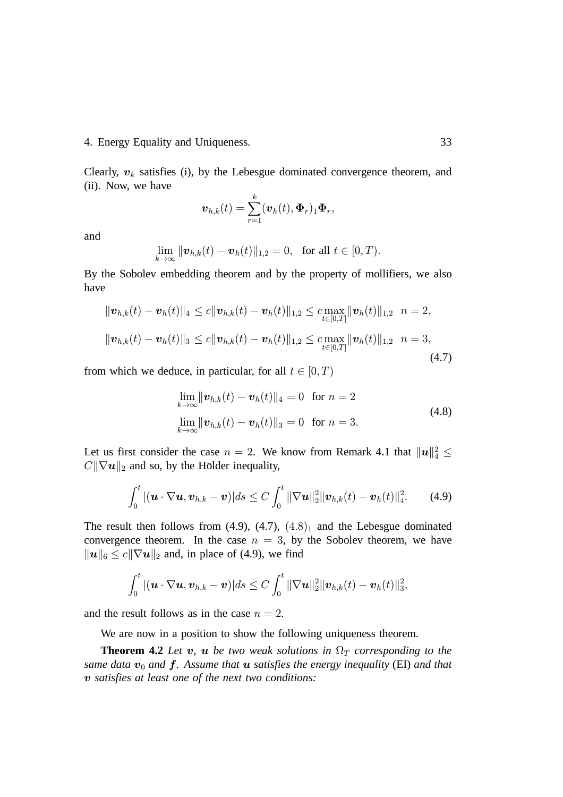### 4. Energy Equality and Uniqueness. 33

Clearly,  $v_k$  satisfies (i), by the Lebesgue dominated convergence theorem, and (ii). Now, we have

$$
\boldsymbol{v}_{h,k}(t) = \sum_{r=1}^k (\boldsymbol{v}_h(t), \boldsymbol{\Phi}_r)_1 \boldsymbol{\Phi}_r,
$$

and

$$
\lim_{k\to\infty} \|\mathbf{v}_{h,k}(t)-\mathbf{v}_h(t)\|_{1,2}=0, \text{ for all } t\in[0,T).
$$

By the Sobolev embedding theorem and by the property of mollifiers, we also have

$$
\|\boldsymbol{v}_{h,k}(t) - \boldsymbol{v}_h(t)\|_4 \leq c \|\boldsymbol{v}_{h,k}(t) - \boldsymbol{v}_h(t)\|_{1,2} \leq c \max_{t \in [0,T]} \|\boldsymbol{v}_h(t)\|_{1,2} \quad n = 2,
$$
  

$$
\|\boldsymbol{v}_{h,k}(t) - \boldsymbol{v}_h(t)\|_3 \leq c \|\boldsymbol{v}_{h,k}(t) - \boldsymbol{v}_h(t)\|_{1,2} \leq c \max_{t \in [0,T]} \|\boldsymbol{v}_h(t)\|_{1,2} \quad n = 3,
$$
  
(4.7)

from which we deduce, in particular, for all  $t \in [0, T)$ 

$$
\lim_{k \to \infty} \|\mathbf{v}_{h,k}(t) - \mathbf{v}_h(t)\|_4 = 0 \quad \text{for } n = 2
$$
\n
$$
\lim_{k \to \infty} \|\mathbf{v}_{h,k}(t) - \mathbf{v}_h(t)\|_3 = 0 \quad \text{for } n = 3.
$$
\n(4.8)

Let us first consider the case  $n = 2$ . We know from Remark 4.1 that  $||u||_4^2 \le$  $C\|\nabla u\|_2$  and so, by the Holder inequality,

$$
\int_0^t |(\boldsymbol{u}\cdot\nabla\boldsymbol{u},\boldsymbol{v}_{h,k}-\boldsymbol{v})|ds \leq C \int_0^t \|\nabla\boldsymbol{u}\|_2^2 \|\boldsymbol{v}_{h,k}(t)-\boldsymbol{v}_h(t)\|_4^2. \qquad (4.9)
$$

The result then follows from  $(4.9)$ ,  $(4.7)$ ,  $(4.8)$ <sub>1</sub> and the Lebesgue dominated convergence theorem. In the case  $n = 3$ , by the Sobolev theorem, we have  $\|\boldsymbol{u}\|_6 \leq c \|\nabla \boldsymbol{u}\|_2$  and, in place of (4.9), we find

$$
\int_0^t |(\boldsymbol{u}\cdot\nabla \boldsymbol{u},\boldsymbol{v}_{h,k}-\boldsymbol{v})|ds \leq C \int_0^t \|\nabla \boldsymbol{u}\|_2^2 \|\boldsymbol{v}_{h,k}(t)-\boldsymbol{v}_h(t)\|_3^2,
$$

and the result follows as in the case  $n = 2$ .

We are now in a position to show the following uniqueness theorem.

**Theorem 4.2** *Let*  $v$ ,  $u$  *be two weak solutions in*  $\Omega_T$  *corresponding to the* same data  $\boldsymbol{v}_0$  and  $\boldsymbol{f}$ . Assume that  $\boldsymbol{u}$  satisfies the energy inequality (EI) and that - *satisfies at least one of the next two conditions:*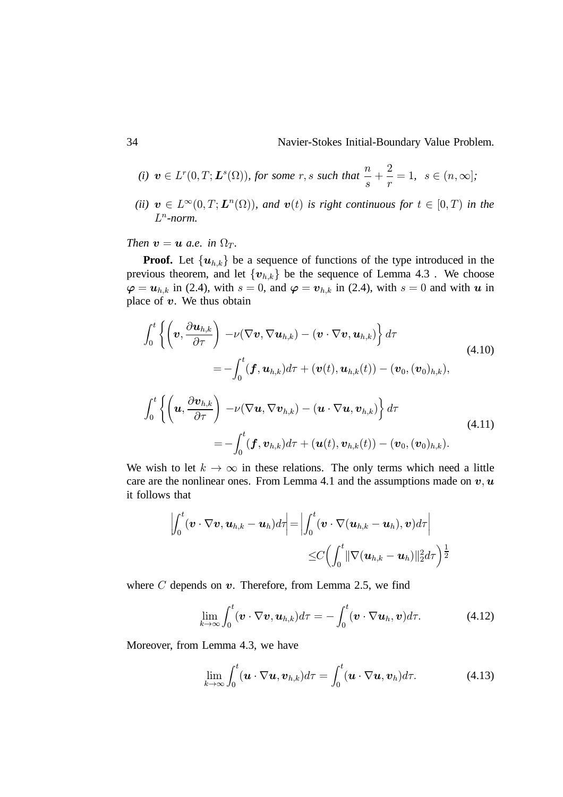34 Navier-Stokes Initial-Boundary Value Problem.

(i) 
$$
v \in L^r(0,T; L^s(\Omega))
$$
, for some  $r, s$  such that  $\frac{n}{s} + \frac{2}{r} = 1$ ,  $s \in (n, \infty]$ ;

(*ii*)  $v \in L^{\infty}(0,T; L^{n}(\Omega))$ , and  $v(t)$  is right continuous for  $t \in [0,T)$  in the  $L^n$ -norm.

### *Then*  $v = u$  *a.e.* in  $\Omega_T$ .

**Proof.** Let  $\{u_{h,k}\}\)$  be a sequence of functions of the type introduced in the previous theorem, and let  $\{v_{h,k}\}\$ be the sequence of Lemma 4.3. We choose  $\boldsymbol{\varphi} = \boldsymbol{u}_{h,k}$  in (2.4), with  $s = 0$ , and  $\boldsymbol{\varphi} = \boldsymbol{v}_{h,k}$  in (2.4), with  $s = 0$  and with  $\boldsymbol{u}$  in place of  $v$ . We thus obtain

$$
\int_{0}^{t} \left\{ \left( \boldsymbol{v}, \frac{\partial \boldsymbol{u}_{h,k}}{\partial \tau} \right) - \nu(\nabla \boldsymbol{v}, \nabla \boldsymbol{u}_{h,k}) - (\boldsymbol{v} \cdot \nabla \boldsymbol{v}, \boldsymbol{u}_{h,k}) \right\} d\tau
$$
\n
$$
= -\int_{0}^{t} (\boldsymbol{f}, \boldsymbol{u}_{h,k}) d\tau + (\boldsymbol{v}(t), \boldsymbol{u}_{h,k}(t)) - (\boldsymbol{v}_{0}, (\boldsymbol{v}_{0})_{h,k}),
$$
\n
$$
\int_{0}^{t} \left\{ \left( \boldsymbol{u}, \frac{\partial \boldsymbol{v}_{h,k}}{\partial \tau} \right) - \nu(\nabla \boldsymbol{u}, \nabla \boldsymbol{v}_{h,k}) - (\boldsymbol{u} \cdot \nabla \boldsymbol{u}, \boldsymbol{v}_{h,k}) \right\} d\tau
$$
\n
$$
= -\int_{0}^{t} (\boldsymbol{f}, \boldsymbol{v}_{h,k}) d\tau + (\boldsymbol{u}(t), \boldsymbol{v}_{h,k}(t)) - (\boldsymbol{v}_{0}, (\boldsymbol{v}_{0})_{h,k}).
$$
\n(4.11)

We wish to let  $k \to \infty$  in these relations. The only terms which need a little care are the nonlinear ones. From Lemma 4.1 and the assumptions made on  $v, u$ it follows that

$$
\left|\int_0^t (\boldsymbol{v}\cdot\nabla \boldsymbol{v},\boldsymbol{u}_{h,k}-\boldsymbol{u}_h)d\tau\right|=\left|\int_0^t (\boldsymbol{v}\cdot\nabla (\boldsymbol{u}_{h,k}-\boldsymbol{u}_h),\boldsymbol{v})d\tau\right|\n\leq C\left(\int_0^t \|\nabla (\boldsymbol{u}_{h,k}-\boldsymbol{u}_h)\|_2^2d\tau\right)^{\frac{1}{2}}
$$

where  $C$  depends on  $v$ . Therefore, from Lemma 2.5, we find

$$
\lim_{k\to\infty}\int_0^t(\boldsymbol{v}\cdot\nabla\boldsymbol{v},\boldsymbol{u}_{h,k})d\tau=-\int_0^t(\boldsymbol{v}\cdot\nabla\boldsymbol{u}_h,\boldsymbol{v})d\tau.
$$
 (4.12)

Moreover, from Lemma 4.3, we have

$$
\lim_{k \to \infty} \int_0^t (\boldsymbol{u} \cdot \nabla \boldsymbol{u}, \boldsymbol{v}_{h,k}) d\tau = \int_0^t (\boldsymbol{u} \cdot \nabla \boldsymbol{u}, \boldsymbol{v}_h) d\tau.
$$
 (4.13)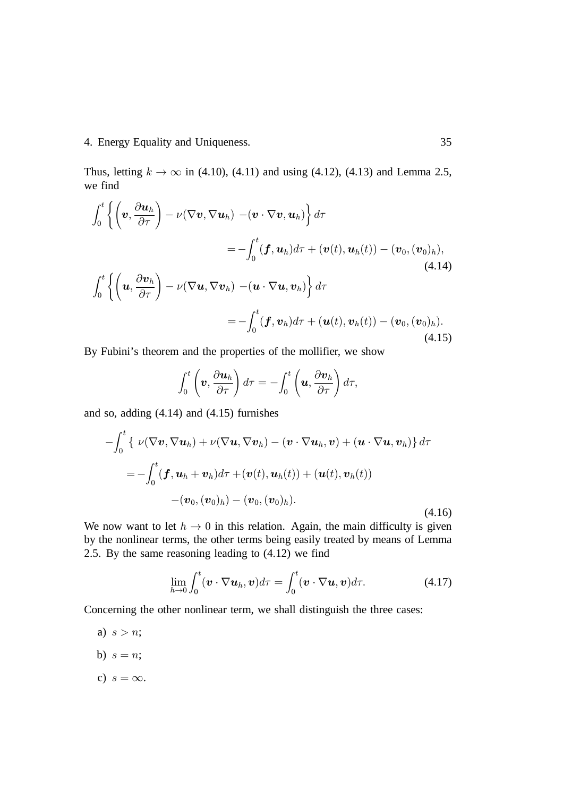### 4. Energy Equality and Uniqueness. 35

Thus, letting  $k \to \infty$  in (4.10), (4.11) and using (4.12), (4.13) and Lemma 2.5, we find

$$
\int_0^t \left\{ \left( \boldsymbol{v}, \frac{\partial \boldsymbol{u}_h}{\partial \tau} \right) - \nu (\nabla \boldsymbol{v}, \nabla \boldsymbol{u}_h) - (\boldsymbol{v} \cdot \nabla \boldsymbol{v}, \boldsymbol{u}_h) \right\} d\tau \n= -\int_0^t (\boldsymbol{f}, \boldsymbol{u}_h) d\tau + (\boldsymbol{v}(t), \boldsymbol{u}_h(t)) - (\boldsymbol{v}_0, (\boldsymbol{v}_0)_h),
$$
\n(4.14)\n
$$
\int_0^t \left\{ \left( \boldsymbol{u}, \frac{\partial \boldsymbol{v}_h}{\partial \tau} \right) - \nu (\nabla \boldsymbol{u}, \nabla \boldsymbol{v}_h) - (\boldsymbol{u} \cdot \nabla \boldsymbol{u}, \boldsymbol{v}_h) \right\} d\tau \n= -\int_0^t (\boldsymbol{f}, \boldsymbol{v}_h) d\tau + (\boldsymbol{u}(t), \boldsymbol{v}_h(t)) - (\boldsymbol{v}_0, (\boldsymbol{v}_0)_h).
$$
\n(4.15)

By Fubini's theorem and the properties of the mollifier, we show

$$
\int_0^t \left(\boldsymbol{v}, \frac{\partial \boldsymbol{u}_h}{\partial \tau}\right) d\tau = -\int_0^t \left(\boldsymbol{u}, \frac{\partial \boldsymbol{v}_h}{\partial \tau}\right) d\tau,
$$

and so, adding (4.14) and (4.15) furnishes

$$
-\int_0^t \{ \nu(\nabla \boldsymbol{v}, \nabla \boldsymbol{u}_h) + \nu(\nabla \boldsymbol{u}, \nabla \boldsymbol{v}_h) - (\boldsymbol{v} \cdot \nabla \boldsymbol{u}_h, \boldsymbol{v}) + (\boldsymbol{u} \cdot \nabla \boldsymbol{u}, \boldsymbol{v}_h) \} d\tau = -\int_0^t (\boldsymbol{f}, \boldsymbol{u}_h + \boldsymbol{v}_h) d\tau + (\boldsymbol{v}(t), \boldsymbol{u}_h(t)) + (\boldsymbol{u}(t), \boldsymbol{v}_h(t)) - (\boldsymbol{v}_0, (\boldsymbol{v}_0)_h) - (\boldsymbol{v}_0, (\boldsymbol{v}_0)_h).
$$
(4.16)

We now want to let  $h \to 0$  in this relation. Again, the main difficulty is given by the nonlinear terms, the other terms being easily treated by means of Lemma 2.5. By the same reasoning leading to (4.12) we find

$$
\lim_{h \to 0} \int_0^t (\boldsymbol{v} \cdot \nabla \boldsymbol{u}_h, \boldsymbol{v}) d\tau = \int_0^t (\boldsymbol{v} \cdot \nabla \boldsymbol{u}, \boldsymbol{v}) d\tau.
$$
 (4.17)

Concerning the other nonlinear term, we shall distinguish the three cases:

- a)  $s > n$ ;
- b)  $s = n;$
- c)  $s = \infty$ .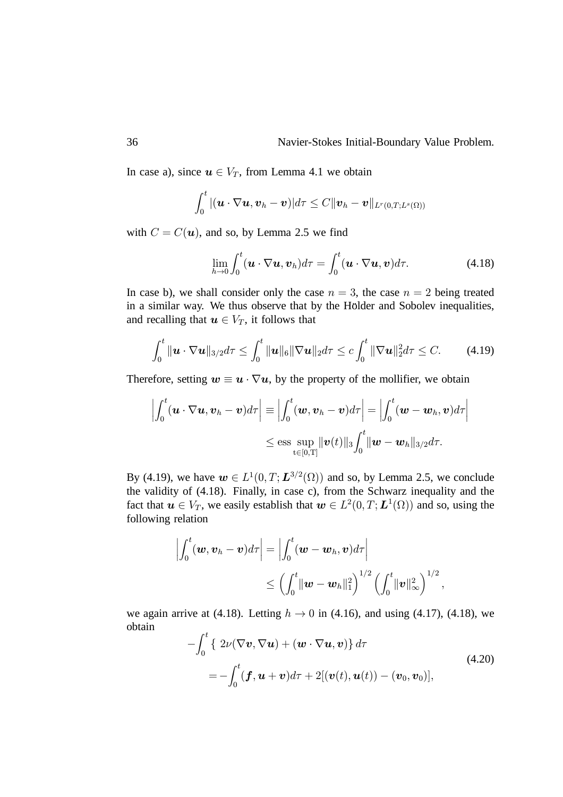In case a), since  $u \in V_T$ , from Lemma 4.1 we obtain

$$
\int_0^t |(\boldsymbol{u}\cdot\nabla \boldsymbol{u},\boldsymbol{v}_h-\boldsymbol{v})|d\tau\leq C\|\boldsymbol{v}_h-\boldsymbol{v}\|_{L^r(0,T;L^s(\Omega))}
$$

with  $C = C(\boldsymbol{u})$ , and so, by Lemma 2.5 we find

$$
\lim_{h \to 0} \int_0^t (\boldsymbol{u} \cdot \nabla \boldsymbol{u}, \boldsymbol{v}_h) d\tau = \int_0^t (\boldsymbol{u} \cdot \nabla \boldsymbol{u}, \boldsymbol{v}) d\tau.
$$
 (4.18)

In case b), we shall consider only the case  $n = 3$ , the case  $n = 2$  being treated in a similar way. We thus observe that by the Hölder and Sobolev inequalities, and recalling that  $u \in V_T$ , it follows that

$$
\int_0^t \|\bm{u}\cdot\nabla\bm{u}\|_{3/2} d\tau \leq \int_0^t \|\bm{u}\|_6 \|\nabla\bm{u}\|_2 d\tau \leq c \int_0^t \|\nabla\bm{u}\|_2^2 d\tau \leq C. \tag{4.19}
$$

Therefore, setting  $w \equiv u \cdot \nabla u$ , by the property of the mollifier, we obtain

$$
\left| \int_0^t (\boldsymbol{u} \cdot \nabla \boldsymbol{u}, \boldsymbol{v}_h - \boldsymbol{v}) d\tau \right| \equiv \left| \int_0^t (\boldsymbol{w}, \boldsymbol{v}_h - \boldsymbol{v}) d\tau \right| = \left| \int_0^t (\boldsymbol{w} - \boldsymbol{w}_h, \boldsymbol{v}) d\tau \right|
$$
  

$$
\le \text{ess} \sup_{t \in [0, T]} \|\boldsymbol{v}(t)\|_3 \int_0^t \|\boldsymbol{w} - \boldsymbol{w}_h\|_{3/2} d\tau.
$$

By (4.19), we have  $\mathbf{w} \in L^1(0,T;\mathbf{L}^{3/2}(\Omega))$  and so, by Lemma 2.5, we conclude the validity of (4.18). Finally, in case c), from the Schwarz inequality and the fact that  $u \in V_T$ , we easily establish that  $w \in L^2(0,T; L^1(\Omega))$  and so, using the following relation

$$
\left| \int_0^t (\boldsymbol{w}, \boldsymbol{v}_h - \boldsymbol{v}) d\tau \right| = \left| \int_0^t (\boldsymbol{w} - \boldsymbol{w}_h, \boldsymbol{v}) d\tau \right|
$$
  

$$
\leq \left( \int_0^t \|\boldsymbol{w} - \boldsymbol{w}_h\|_1^2 \right)^{1/2} \left( \int_0^t \|\boldsymbol{v}\|_{\infty}^2 \right)^{1/2},
$$

we again arrive at (4.18). Letting  $h \rightarrow 0$  in (4.16), and using (4.17), (4.18), we obtain

$$
-\int_0^t \{ 2\nu(\nabla \boldsymbol{v}, \nabla \boldsymbol{u}) + (\boldsymbol{w} \cdot \nabla \boldsymbol{u}, \boldsymbol{v}) \} d\tau = -\int_0^t (\boldsymbol{f}, \boldsymbol{u} + \boldsymbol{v}) d\tau + 2[(\boldsymbol{v}(t), \boldsymbol{u}(t)) - (\boldsymbol{v}_0, \boldsymbol{v}_0)],
$$
(4.20)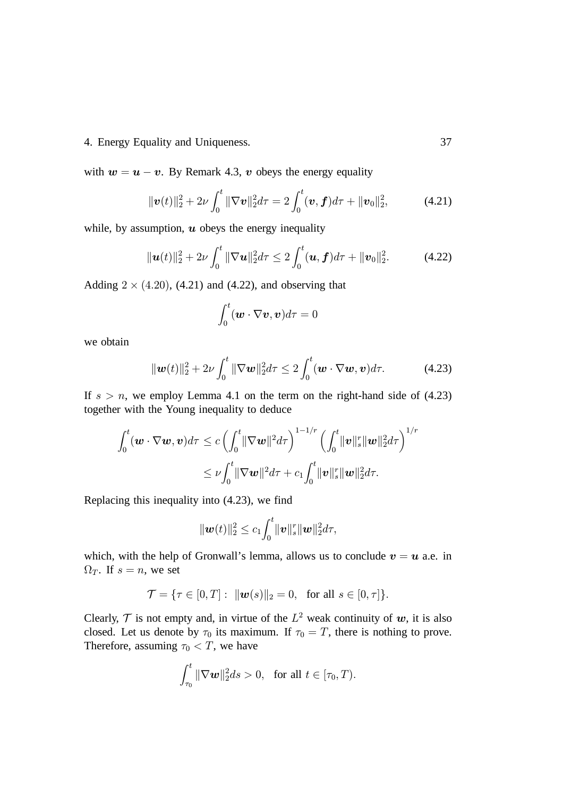### 4. Energy Equality and Uniqueness. 37

with  $w = u - v$ . By Remark 4.3, v obeys the energy equality

$$
\|\boldsymbol{v}(t)\|_2^2 + 2\nu \int_0^t \|\nabla \boldsymbol{v}\|_2^2 d\tau = 2 \int_0^t (\boldsymbol{v}, \boldsymbol{f}) d\tau + \|\boldsymbol{v}_0\|_2^2, \tag{4.21}
$$

while, by assumption,  $\boldsymbol{u}$  obeys the energy inequality

$$
\|\boldsymbol{u}(t)\|_{2}^{2}+2\nu\int_{0}^{t}\|\nabla\boldsymbol{u}\|_{2}^{2}d\tau\leq2\int_{0}^{t}(\boldsymbol{u},\boldsymbol{f})d\tau+\|\boldsymbol{v}_{0}\|_{2}^{2}.
$$
 (4.22)

Adding  $2 \times (4.20)$ , (4.21) and (4.22), and observing that

$$
\int_0^t (\boldsymbol{w} \cdot \nabla \boldsymbol{v}, \boldsymbol{v}) d\tau = 0
$$

we obtain

$$
\|\boldsymbol{w}(t)\|_2^2 + 2\nu \int_0^t \|\nabla \boldsymbol{w}\|_2^2 d\tau \le 2 \int_0^t (\boldsymbol{w} \cdot \nabla \boldsymbol{w}, \boldsymbol{v}) d\tau. \tag{4.23}
$$

If  $s > n$ , we employ Lemma 4.1 on the term on the right-hand side of (4.23) together with the Young inequality to deduce

$$
\int_0^t (\boldsymbol{w} \cdot \nabla \boldsymbol{w}, \boldsymbol{v}) d\tau \le c \left( \int_0^t \lVert \nabla \boldsymbol{w} \rVert^2 d\tau \right)^{1-1/r} \left( \int_0^t \lVert \boldsymbol{v} \rVert_s^r \lVert \boldsymbol{w} \rVert_2^2 d\tau \right)^{1/r} \n\le \nu \int_0^t \lVert \nabla \boldsymbol{w} \rVert^2 d\tau + c_1 \int_0^t \lVert \boldsymbol{v} \rVert_s^r \lVert \boldsymbol{w} \rVert_2^2 d\tau.
$$

Replacing this inequality into (4.23), we find

$$
\|\bm{w}(t)\|_2^2 \leq c_1 \int_0^t \|\bm{v}\|_s^r \|\bm{w}\|_2^2 d\tau,
$$

which, with the help of Gronwall's lemma, allows us to conclude  $v = u$  a.e. in  $\Omega_T$ . If  $s = n$ , we set

$$
\mathcal{T} = \{\tau \in [0, T]: \ \|\mathbf{w}(s)\|_2 = 0, \ \text{ for all } s \in [0, \tau]\}.
$$

Clearly,  $\mathcal T$  is not empty and, in virtue of the  $L^2$  weak continuity of  $w$ , it is also closed. Let us denote by  $\tau_0$  its maximum. If  $\tau_0 = T$ , there is nothing to prove. Therefore, assuming  $\tau_0 < T$ , we have

$$
\int_{\tau_0}^t \|\nabla \boldsymbol{w}\|_2^2 ds > 0, \text{ for all } t \in [\tau_0, T).
$$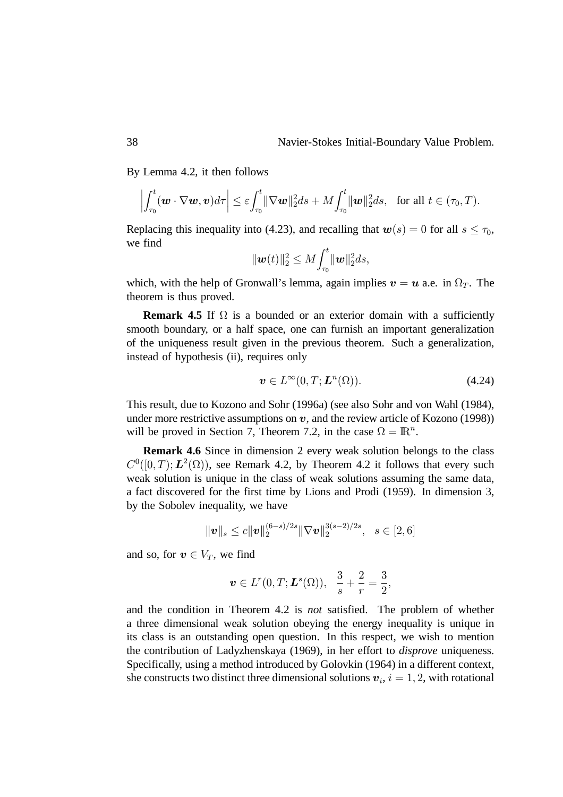By Lemma 4.2, it then follows

$$
\left|\int_{\tau_0}^t (\boldsymbol{w}\cdot\nabla\boldsymbol{w},\boldsymbol{v})d\tau\right|\leq \varepsilon\int_{\tau_0}^t \|\nabla\boldsymbol{w}\|_2^2 ds + M \int_{\tau_0}^t \|\boldsymbol{w}\|_2^2 ds, \text{ for all } t\in(\tau_0,T).
$$

Replacing this inequality into (4.23), and recalling that  $w(s) = 0$  for all  $s \le \tau_0$ , we find

$$
\|\bm{w}(t)\|_2^2 \leq M \! \int_{\tau_0}^t \lVert \bm{w} \rVert_2^2 ds,
$$

which, with the help of Gronwall's lemma, again implies  $v = u$  a.e. in  $\Omega_T$ . The theorem is thus proved.

**Remark 4.5** If  $\Omega$  is a bounded or an exterior domain with a sufficiently smooth boundary, or a half space, one can furnish an important generalization of the uniqueness result given in the previous theorem. Such a generalization, instead of hypothesis (ii), requires only

$$
\mathbf{v} \in L^{\infty}(0, T; \mathbf{L}^n(\Omega)).
$$
\n(4.24)

This result, due to Kozono and Sohr (1996a) (see also Sohr and von Wahl (1984), under more restrictive assumptions on  $v$ , and the review article of Kozono (1998)) will be proved in Section 7, Theorem 7.2, in the case  $\Omega = \mathbb{R}^n$ .

**Remark 4.6** Since in dimension 2 every weak solution belongs to the class  $C^0([0,T); L^2(\Omega)$ , see Remark 4.2, by Theorem 4.2 it follows that every such weak solution is unique in the class of weak solutions assuming the same data, a fact discovered for the first time by Lions and Prodi (1959). In dimension 3, by the Sobolev inequality, we have

$$
\|\boldsymbol{v}\|_{s} \leq c \|\boldsymbol{v}\|_{2}^{(6-s)/2s} \|\nabla \boldsymbol{v}\|_{2}^{3(s-2)/2s}, \ \ s \in [2,6]
$$

and so, for  $v \in V_T$ , we find

$$
\boldsymbol{v} \in L^{r}(0,T; \boldsymbol{L}^{s}(\Omega)), \ \ \frac{3}{s}+\frac{2}{r}=\frac{3}{2},
$$

and the condition in Theorem 4.2 is *not* satisfied. The problem of whether a three dimensional weak solution obeying the energy inequality is unique in its class is an outstanding open question. In this respect, we wish to mention the contribution of Ladyzhenskaya (1969), in her effort to *disprove* uniqueness. Specifically, using a method introduced by Golovkin (1964) in a different context, she constructs two distinct three dimensional solutions  $v_i$ ,  $i = 1, 2$ , with rotational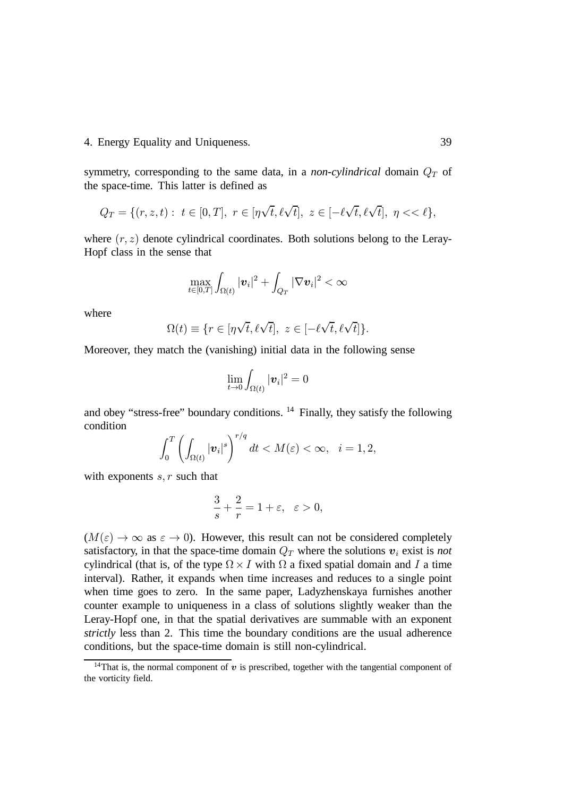#### 4. Energy Equality and Uniqueness. 39

symmetry, corresponding to the same data, in a *non-cylindrical* domain  $Q_T$  of the space-time. This latter is defined as

$$
Q_T = \{ (r, z, t) : t \in [0, T], r \in [\eta \sqrt{t}, \ell \sqrt{t}], z \in [-\ell \sqrt{t}, \ell \sqrt{t}], \eta << \ell \},\
$$

where  $(r, z)$  denote cylindrical coordinates. Both solutions belong to the Leray-Hopf class in the sense that

$$
\max_{t\in[0,T]}\int_{\Omega(t)}|\boldsymbol{v}_i|^2+\int_{Q_T}|\nabla \boldsymbol{v}_i|^2<\infty
$$

where

$$
\Omega(t) \equiv \{ r \in [\eta\sqrt{t}, \ell\sqrt{t}], \ z \in [-\ell\sqrt{t}, \ell\sqrt{t}] \}.
$$

Moreover, they match the (vanishing) initial data in the following sense

$$
\lim_{t\to 0}\int_{\Omega(t)}|\boldsymbol{v}_i|^2=0
$$

and obey "stress-free" boundary conditions. <sup>14</sup> Finally, they satisfy the following condition

$$
\int_0^T \left( \int_{\Omega(t)} |\boldsymbol{v}_i|^s \right)^{r/q} dt < M(\varepsilon) < \infty, \quad i = 1, 2,
$$

with exponents  $s, r$  such that

$$
\frac{3}{s} + \frac{2}{r} = 1 + \varepsilon, \quad \varepsilon > 0,
$$

 $(M(\varepsilon) \to \infty$  as  $\varepsilon \to 0$ ). However, this result can not be considered completely satisfactory, in that the space-time domain  $Q_T$  where the solutions  $v_i$  exist is *not* cylindrical (that is, of the type  $\Omega \times I$  with  $\Omega$  a fixed spatial domain and I a time interval). Rather, it expands when time increases and reduces to a single point when time goes to zero. In the same paper, Ladyzhenskaya furnishes another counter example to uniqueness in a class of solutions slightly weaker than the Leray-Hopf one, in that the spatial derivatives are summable with an exponent *strictly* less than 2. This time the boundary conditions are the usual adherence conditions, but the space-time domain is still non-cylindrical.

<sup>&</sup>lt;sup>14</sup>That is, the normal component of  $v$  is prescribed, together with the tangential component of the vorticity field.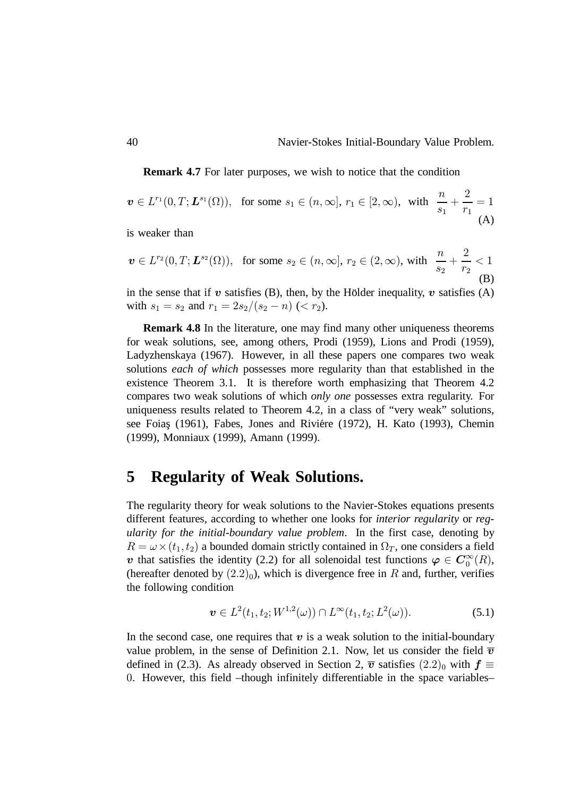**Remark 4.7** For later purposes, we wish to notice that the condition

$$
\mathbf{v} \in L^{r_1}(0, T; \mathbf{L}^{s_1}(\Omega)), \text{ for some } s_1 \in (n, \infty], r_1 \in [2, \infty), \text{ with } \frac{n}{s_1} + \frac{2}{r_1} = 1
$$
\n(A)

is weaker than

$$
\boldsymbol{v} \in L^{r_2}(0,T; \boldsymbol{L}^{s_2}(\Omega)), \text{ for some } s_2 \in (n,\infty], r_2 \in (2,\infty), \text{ with } \frac{n}{s_2} + \frac{2}{r_2} < 1
$$
\n(B)

in the sense that if  $v$  satisfies (B), then, by the Holder inequality,  $v$  satisfies (A) with  $s_1 = s_2$  and  $r_1 = 2s_2/(s_2 - n)$  (<  $r_2$ ).

**Remark 4.8** In the literature, one may find many other uniqueness theorems for weak solutions, see, among others, Prodi (1959), Lions and Prodi (1959), Ladyzhenskaya (1967). However, in all these papers one compares two weak solutions *each of which* possesses more regularity than that established in the existence Theorem 3.1. It is therefore worth emphasizing that Theorem 4.2 compares two weak solutions of which *only one* possesses extra regularity. For uniqueness results related to Theorem 4.2, in a class of "very weak" solutions, see Foias (1961), Fabes, Jones and Riviére (1972), H. Kato (1993), Chemin (1999), Monniaux (1999), Amann (1999).

## **5 Regularity of Weak Solutions.**

The regularity theory for weak solutions to the Navier-Stokes equations presents different features, according to whether one looks for *interior regularity* or *regularity for the initial-boundary value problem*. In the first case, denoting by  $R = \omega \times (t_1, t_2)$  a bounded domain strictly contained in  $\Omega_T$ , one considers a field v that satisfies the identity (2.2) for all solenoidal test functions  $\varphi \in \mathcal{C}_0^{\infty}(R)$ , (hereafter denoted by  $(2.2)_0$ ), which is divergence free in R and, further, verifies the following condition

$$
\boldsymbol{v} \in L^{2}(t_{1}, t_{2}; W^{1,2}(\omega)) \cap L^{\infty}(t_{1}, t_{2}; L^{2}(\omega)).
$$
\n(5.1)

In the second case, one requires that  $v$  is a weak solution to the initial-boundary value problem, in the sense of Definition 2.1. Now, let us consider the field  $\overline{v}$ defined in (2.3). As already observed in Section 2,  $\bar{v}$  satisfies (2.2)<sub>0</sub> with  $f \equiv$ . However, this field –though infinitely differentiable in the space variables–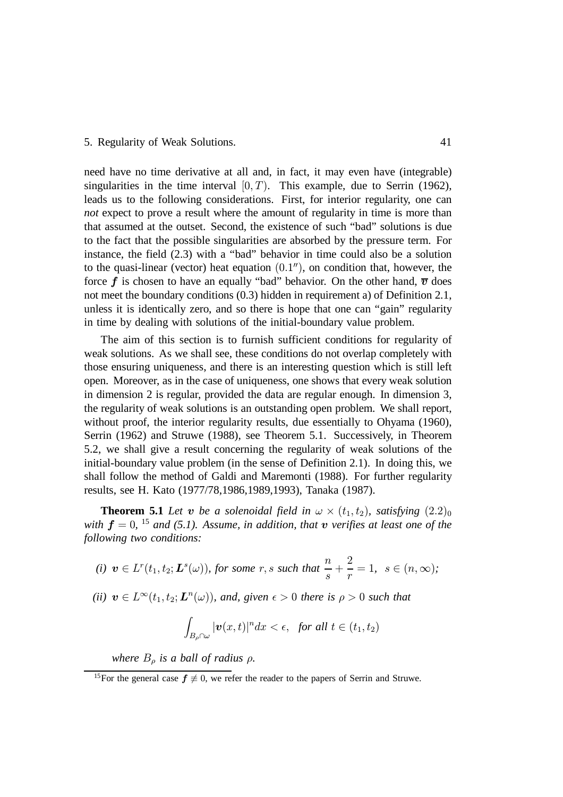#### 5. Regularity of Weak Solutions. 41

need have no time derivative at all and, in fact, it may even have (integrable) singularities in the time interval  $[0, T)$ . This example, due to Serrin (1962), leads us to the following considerations. First, for interior regularity, one can *not* expect to prove a result where the amount of regularity in time is more than that assumed at the outset. Second, the existence of such "bad" solutions is due to the fact that the possible singularities are absorbed by the pressure term. For instance, the field (2.3) with a "bad" behavior in time could also be a solution to the quasi-linear (vector) heat equation  $(0.1'')$ , on condition that, however, the force  $f$  is chosen to have an equally "bad" behavior. On the other hand,  $\overline{v}$  does not meet the boundary conditions (0.3) hidden in requirement a) of Definition 2.1, unless it is identically zero, and so there is hope that one can "gain" regularity in time by dealing with solutions of the initial-boundary value problem.

The aim of this section is to furnish sufficient conditions for regularity of weak solutions. As we shall see, these conditions do not overlap completely with those ensuring uniqueness, and there is an interesting question which is still left open. Moreover, as in the case of uniqueness, one shows that every weak solution in dimension 2 is regular, provided the data are regular enough. In dimension 3, the regularity of weak solutions is an outstanding open problem. We shall report, without proof, the interior regularity results, due essentially to Ohyama (1960), Serrin (1962) and Struwe (1988), see Theorem 5.1. Successively, in Theorem 5.2, we shall give a result concerning the regularity of weak solutions of the initial-boundary value problem (in the sense of Definition 2.1). In doing this, we shall follow the method of Galdi and Maremonti (1988). For further regularity results, see H. Kato (1977/78,1986,1989,1993), Tanaka (1987).

**Theorem 5.1** Let **v** be a solenoidal field in  $\omega \times (t_1, t_2)$ , satisfying  $(2.2)_0$ with  $f = 0$ , <sup>15</sup> and (5.1). Assume, in addition, that  $v$  verifies at least one of the *following two conditions:*

(i) 
$$
\mathbf{v} \in L^r(t_1, t_2; \mathbf{L}^s(\omega))
$$
, for some  $r, s$  such that  $\frac{n}{s} + \frac{2}{r} = 1$ ,  $s \in (n, \infty)$ ;

(*ii*)  $v \in L^{\infty}(t_1, t_2; L^{n}(\omega))$ , and, given  $\epsilon > 0$  there is  $\rho > 0$  such that

$$
\int_{B_{\rho}\cap \omega} |\boldsymbol{v}(x,t)|^n dx < \epsilon, \text{ for all } t \in (t_1,t_2)
$$

*where*  $B_{\rho}$  *is a ball of radius*  $\rho$ *.* 

<sup>&</sup>lt;sup>15</sup>For the general case  $f \neq 0$ , we refer the reader to the papers of Serrin and Struwe.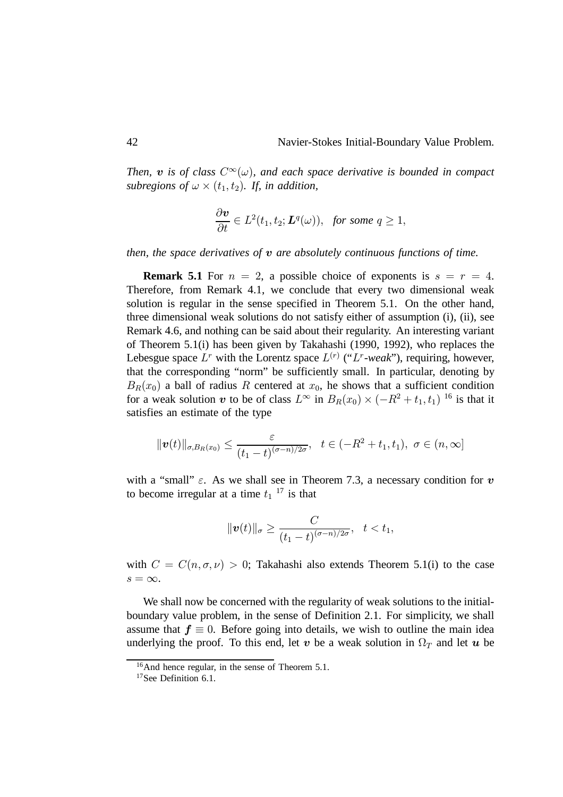Then,  $\bm{v}$  is of class  $C^{\infty}(\omega)$ , and each space derivative is bounded in compact subregions of  $\omega \times (t_1, t_2)$ . If, in addition,

$$
\frac{\partial \boldsymbol{v}}{\partial t} \in L^2(t_1, t_2; \boldsymbol{L}^q(\omega)), \ \ for \ some \ q \ge 1,
$$

*then, the space derivatives of*  $v$  are absolutely continuous functions of time.

**Remark 5.1** For  $n = 2$ , a possible choice of exponents is  $s = r = 4$ . Therefore, from Remark 4.1, we conclude that every two dimensional weak solution is regular in the sense specified in Theorem 5.1. On the other hand, three dimensional weak solutions do not satisfy either of assumption (i), (ii), see Remark 4.6, and nothing can be said about their regularity. An interesting variant of Theorem 5.1(i) has been given by Takahashi (1990, 1992), who replaces the Lebesgue space  $L^r$  with the Lorentz space  $L^{(r)}$  (" $L^r$ -weak"), requiring, however, that the corresponding "norm" be sufficiently small. In particular, denoting by  $B_R(x_0)$  a ball of radius R centered at  $x_0$ , he shows that a sufficient condition for a weak solution  $\boldsymbol{v}$  to be of class  $L^{\infty}$  in  $B_R(x_0) \times (-R^2 + t_1, t_1)^{-16}$  is that it satisfies an estimate of the type

$$
\|\boldsymbol{v}(t)\|_{\sigma,B_R(x_0)} \leq \frac{\varepsilon}{(t_1-t)^{(\sigma-n)/2\sigma}}, \quad t \in (-R^2+t_1,t_1), \ \sigma \in (n,\infty]
$$

with a "small"  $\varepsilon$ . As we shall see in Theorem 7.3, a necessary condition for  $v$ to become irregular at a time  $t_1$ <sup>17</sup> is that

$$
\|\boldsymbol{v}(t)\|_{\sigma}\geq\frac{C}{(t_1-t)^{(\sigma-n)/2\sigma}},\quad t
$$

with  $C = C(n, \sigma, \nu) > 0$ ; Takahashi also extends Theorem 5.1(i) to the case  $s = \infty$ .

We shall now be concerned with the regularity of weak solutions to the initialboundary value problem, in the sense of Definition 2.1. For simplicity, we shall assume that  $f \equiv 0$ . Before going into details, we wish to outline the main idea underlying the proof. To this end, let  $\bm v$  be a weak solution in  $\Omega_T$  and let  $\bm u$  be

<sup>16</sup>And hence regular, in the sense of Theorem 5.1.

<sup>17</sup>See Definition 6.1.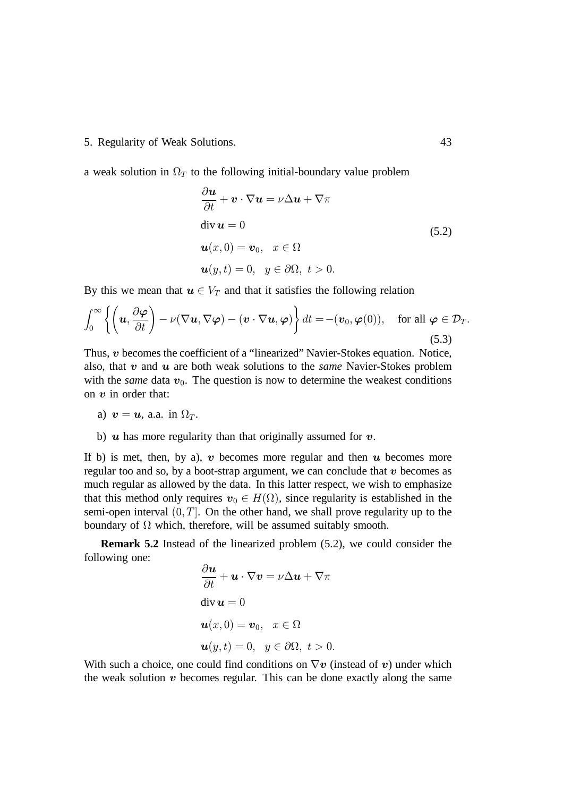#### 5. Regularity of Weak Solutions. 43

a weak solution in  $\Omega_T$  to the following initial-boundary value problem

$$
\frac{\partial \boldsymbol{u}}{\partial t} + \boldsymbol{v} \cdot \nabla \boldsymbol{u} = \nu \Delta \boldsymbol{u} + \nabla \pi
$$
  
div  $\boldsymbol{u} = 0$   
 $\boldsymbol{u}(x, 0) = \boldsymbol{v}_0, \quad x \in \Omega$   
 $\boldsymbol{u}(y, t) = 0, \quad y \in \partial \Omega, \quad t > 0.$  (5.2)

By this we mean that  $u \in V_T$  and that it satisfies the following relation

$$
\int_0^\infty \left\{ \left( \boldsymbol{u}, \frac{\partial \boldsymbol{\varphi}}{\partial t} \right) - \nu (\nabla \boldsymbol{u}, \nabla \boldsymbol{\varphi}) - (\boldsymbol{v} \cdot \nabla \boldsymbol{u}, \boldsymbol{\varphi}) \right\} dt = -(\boldsymbol{v}_0, \boldsymbol{\varphi}(0)), \text{ for all } \boldsymbol{\varphi} \in \mathcal{D}_T.
$$
\n(5.3)

Thus,  $v$  becomes the coefficient of a "linearized" Navier-Stokes equation. Notice, also, that  $v$  and  $u$  are both weak solutions to the *same* Navier-Stokes problem with the *same* data  $v_0$ . The question is now to determine the weakest conditions on  $v$  in order that:

a) 
$$
v = u
$$
, a.a. in  $\Omega_T$ .

b)  $\boldsymbol{u}$  has more regularity than that originally assumed for  $\boldsymbol{v}$ .

If b) is met, then, by a),  $v$  becomes more regular and then  $u$  becomes more regular too and so, by a boot-strap argument, we can conclude that  $v$  becomes as much regular as allowed by the data. In this latter respect, we wish to emphasize that this method only requires  $v_0 \in H(\Omega)$ , since regularity is established in the semi-open interval  $(0, T]$ . On the other hand, we shall prove regularity up to the boundary of  $\Omega$  which, therefore, will be assumed suitably smooth.

**Remark 5.2** Instead of the linearized problem (5.2), we could consider the following one:

$$
\frac{\partial \boldsymbol{u}}{\partial t} + \boldsymbol{u} \cdot \nabla \boldsymbol{v} = \nu \Delta \boldsymbol{u} + \nabla \pi
$$
  
div  $\boldsymbol{u} = 0$   
 $\boldsymbol{u}(x, 0) = \boldsymbol{v}_0, \quad x \in \Omega$   
 $\boldsymbol{u}(y, t) = 0, \quad y \in \partial \Omega, \quad t > 0.$ 

With such a choice, one could find conditions on  $\nabla v$  (instead of v) under which the weak solution  $v$  becomes regular. This can be done exactly along the same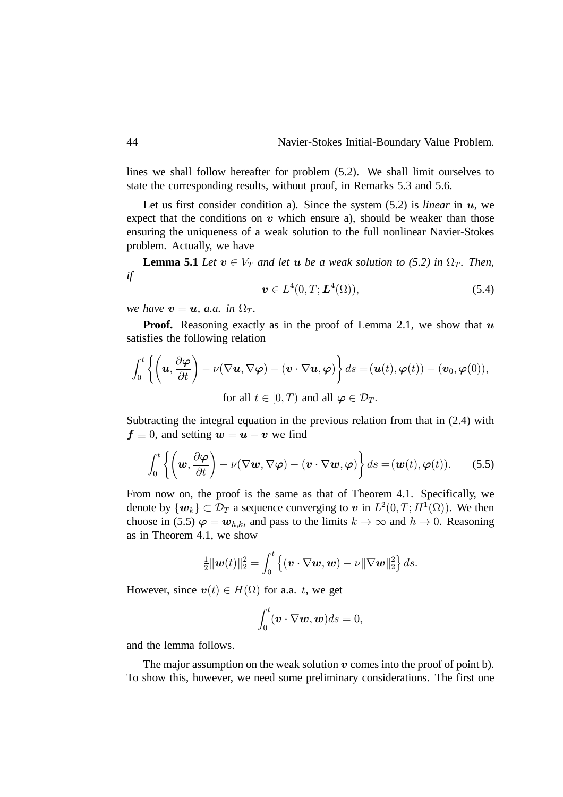lines we shall follow hereafter for problem (5.2). We shall limit ourselves to state the corresponding results, without proof, in Remarks 5.3 and 5.6.

Let us first consider condition a). Since the system  $(5.2)$  is *linear* in  $u$ , we expect that the conditions on  $v$  which ensure a), should be weaker than those ensuring the uniqueness of a weak solution to the full nonlinear Navier-Stokes problem. Actually, we have

**Lemma 5.1** *Let*  $v \in V_T$  *and let a be a weak solution to (5.2) in*  $\Omega_T$ *. Then, if*

$$
\boldsymbol{v} \in L^4(0, T; \boldsymbol{L}^4(\Omega)), \tag{5.4}
$$

*we have*  $v = u$ , *a.a.* in  $\Omega_T$ .

**Proof.** Reasoning exactly as in the proof of Lemma 2.1, we show that  $\boldsymbol{u}$ satisfies the following relation

$$
\int_0^t \left\{ \left( \mathbf{u}, \frac{\partial \boldsymbol{\varphi}}{\partial t} \right) - \nu (\nabla \mathbf{u}, \nabla \boldsymbol{\varphi}) - (\mathbf{v} \cdot \nabla \mathbf{u}, \boldsymbol{\varphi}) \right\} ds = (\mathbf{u}(t), \boldsymbol{\varphi}(t)) - (\mathbf{v}_0, \boldsymbol{\varphi}(0)),
$$
  
for all  $t \in [0, T)$  and all  $\boldsymbol{\varphi} \in \mathcal{D}_T$ .

Subtracting the integral equation in the previous relation from that in (2.4) with  $f \equiv 0$ , and setting  $w = u - v$  we find

$$
\int_0^t \left\{ \left( \boldsymbol{w}, \frac{\partial \boldsymbol{\varphi}}{\partial t} \right) - \nu (\nabla \boldsymbol{w}, \nabla \boldsymbol{\varphi}) - (\boldsymbol{v} \cdot \nabla \boldsymbol{w}, \boldsymbol{\varphi}) \right\} ds = (\boldsymbol{w}(t), \boldsymbol{\varphi}(t)).
$$
 (5.5)

From now on, the proof is the same as that of Theorem 4.1. Specifically, we denote by  $\{w_k\} \subset \mathcal{D}_T$  a sequence converging to  $v$  in  $L^2(0,T;H^1(\Omega))$ . We then choose in (5.5)  $\varphi = w_{h,k}$ , and pass to the limits  $k \to \infty$  and  $h \to 0$ . Reasoning as in Theorem 4.1, we show

$$
\frac{1}{2} \|\boldsymbol{w}(t)\|_2^2 = \int_0^t \left\{ (\boldsymbol{v} \cdot \nabla \boldsymbol{w}, \boldsymbol{w}) - \nu \|\nabla \boldsymbol{w}\|_2^2 \right\} ds.
$$

However, since  $\mathbf{v}(t) \in H(\Omega)$  for a.a. t, we get

$$
\int_0^t (\boldsymbol{v} \cdot \nabla \boldsymbol{w}, \boldsymbol{w}) ds = 0,
$$

and the lemma follows.

The major assumption on the weak solution  $v$  comes into the proof of point b). To show this, however, we need some preliminary considerations. The first one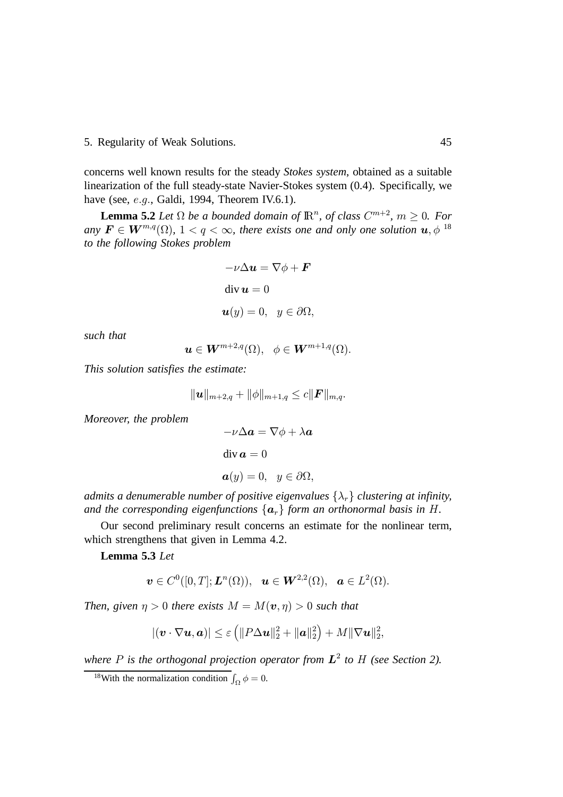5. Regularity of Weak Solutions. 45

concerns well known results for the steady *Stokes system*, obtained as a suitable linearization of the full steady-state Navier-Stokes system (0.4). Specifically, we have (see,  $e.g.,$  Galdi, 1994, Theorem IV.6.1).

**Lemma 5.2** *Let*  $\Omega$  *be a bounded domain of*  $\mathbb{R}^n$ *, of class*  $C^{m+2}$ *,*  $m \geq 0$ *. For*  $any \mathbf{F} \in \mathbf{W}^{m,q}(\Omega)$ ,  $1 < q < \infty$ , there exists one and only one solution  $\mathbf{u}, \phi$  <sup>18</sup> *to the following Stokes problem*

$$
-\nu \Delta u = \nabla \phi + \mathbf{F}
$$
  
div  $\mathbf{u} = 0$   
 $\mathbf{u}(y) = 0, \quad y \in \partial \Omega,$ 

*such that*

$$
\boldsymbol{u}\in \boldsymbol{W}^{m+2,q}(\Omega),\;\;\phi\in \boldsymbol{W}^{m+1,q}(\Omega).
$$

*This solution satisfies the estimate:*

$$
\|\bm{u}\|_{m+2,q}+\|\phi\|_{m+1,q}\leq c\|\bm{F}\|_{m,q}.
$$

*Moreover, the problem*

$$
-\nu \Delta a = \nabla \phi + \lambda a
$$
  
div  $\boldsymbol{a} = 0$   

$$
\boldsymbol{a}(y) = 0, \quad y \in \partial \Omega,
$$

*admits a denumerable number of positive eigenvalues*  $\{\lambda_r\}$  *clustering at infinity,* and the corresponding eigenfunctions  $\{a_r\}$  form an orthonormal basis in  $H$ .

Our second preliminary result concerns an estimate for the nonlinear term, which strengthens that given in Lemma 4.2.

**Lemma 5.3** *Let*

$$
\boldsymbol{v}\in C^0([0,T];\boldsymbol{L}^n(\Omega)),\ \boldsymbol{u}\in \boldsymbol{W}^{2,2}(\Omega),\ \boldsymbol{a}\in L^2(\Omega).
$$

*Then, given*  $\eta > 0$  there exists  $M = M(\boldsymbol{v}, \eta) > 0$  such that

$$
|(\boldsymbol{v}\cdot\nabla\boldsymbol{u},\boldsymbol{a})|\leq\varepsilon\left(\|P\Delta\boldsymbol{u}\|_{2}^{2}+\|\boldsymbol{a}\|_{2}^{2}\right)+M\|\nabla\boldsymbol{u}\|_{2}^{2},
$$

where  $P$  is the orthogonal projection operator from  $L^2$  to  $H$  (see Section 2).

<sup>&</sup>lt;sup>18</sup>With the normalization condition  $\int_{\Omega} \phi = 0$ .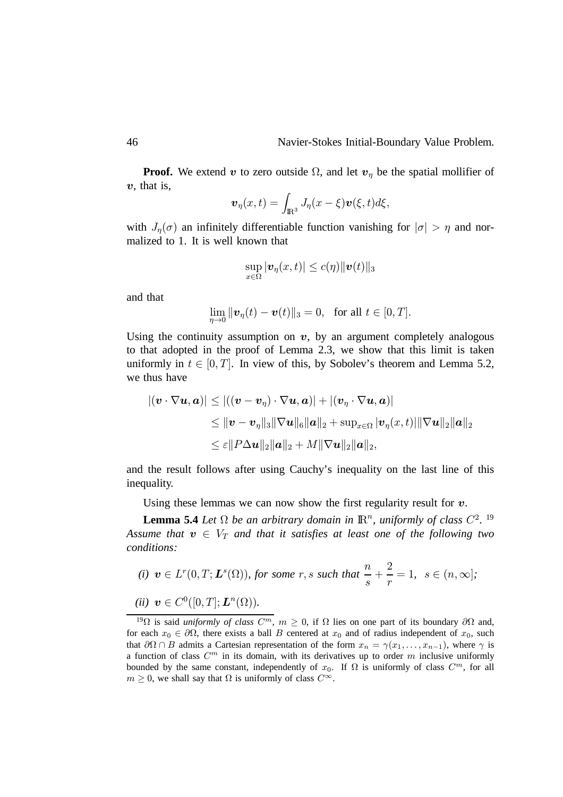**Proof.** We extend  $v$  to zero outside  $\Omega$ , and let  $v_{\eta}$  be the spatial mollifier of  $v$ , that is,

$$
\boldsymbol{v}_{\eta}(x,t)=\int_{\mathbb{R}^{3}}J_{\eta}(x-\xi)\boldsymbol{v}(\xi,t)d\xi,
$$

with  $J_{\eta}(\sigma)$  an infinitely differentiable function vanishing for  $|\sigma| > \eta$  and normalized to 1. It is well known that

$$
\sup_{x\in\Omega}|\boldsymbol{v}_{\eta}(x,t)|\leq c(\eta)\|\boldsymbol{v}(t)\|_{3}
$$

and that

$$
\lim_{\eta \to 0} \|\mathbf{v}_{\eta}(t) - \mathbf{v}(t)\|_{3} = 0, \text{ for all } t \in [0, T].
$$

Using the continuity assumption on  $v$ , by an argument completely analogous to that adopted in the proof of Lemma 2.3, we show that this limit is taken uniformly in  $t \in [0, T]$ . In view of this, by Sobolev's theorem and Lemma 5.2, we thus have

$$
\begin{aligned} |(\boldsymbol{v} \cdot \nabla \boldsymbol{u}, \boldsymbol{a})| &\leq |((\boldsymbol{v} - \boldsymbol{v}_\eta) \cdot \nabla \boldsymbol{u}, \boldsymbol{a})| + |(\boldsymbol{v}_\eta \cdot \nabla \boldsymbol{u}, \boldsymbol{a})| \\ &\leq \|\boldsymbol{v} - \boldsymbol{v}_\eta\|_3 \|\nabla \boldsymbol{u}\|_6 \|\boldsymbol{a}\|_2 + \sup_{x \in \Omega} |\boldsymbol{v}_\eta(x, t)| \|\nabla \boldsymbol{u}\|_2 \|\boldsymbol{a}\|_2 \\ &\leq \varepsilon \|P\Delta \boldsymbol{u}\|_2 \|\boldsymbol{a}\|_2 + M \|\nabla \boldsymbol{u}\|_2 \|\boldsymbol{a}\|_2, \end{aligned}
$$

and the result follows after using Cauchy's inequality on the last line of this inequality.

Using these lemmas we can now show the first regularity result for  $v$ .

**Lemma 5.4** *Let*  $\Omega$  *be an arbitrary domain in*  $\mathbb{R}^n$ *, uniformly of class*  $C^2$ . <sup>19</sup> Assume that  $\boldsymbol{v} \in V_T$  and that it satisfies at least one of the following two *conditions:*

(i) 
$$
v \in L^r(0,T; L^s(\Omega))
$$
, for some  $r, s$  such that  $\frac{n}{s} + \frac{2}{r} = 1$ ,  $s \in (n, \infty]$ ;

$$
(ii) \ \boldsymbol{v} \in C^0([0,T];\boldsymbol{L}^n(\Omega)).
$$

<sup>&</sup>lt;sup>19</sup> $\Omega$  is said *uniformly of class*  $C^m$ ,  $m \ge 0$ , if  $\Omega$  lies on one part of its boundary  $\partial\Omega$  and, for each  $x_0 \in \partial \Omega$ , there exists a ball B centered at  $x_0$  and of radius independent of  $x_0$ , such that  $\partial \Omega \cap B$  admits a Cartesian representation of the form  $x_n = \gamma(x_1, \dots, x_{n-1})$ , where  $\gamma$  is a function of class  $C<sup>m</sup>$  in its domain, with its derivatives up to order m inclusive uniformly bounded by the same constant, independently of  $x_0$ . If  $\Omega$  is uniformly of class  $C^m$ , for all  $m \geq 0$ , we shall say that  $\Omega$  is uniformly of class  $C^{\infty}$ .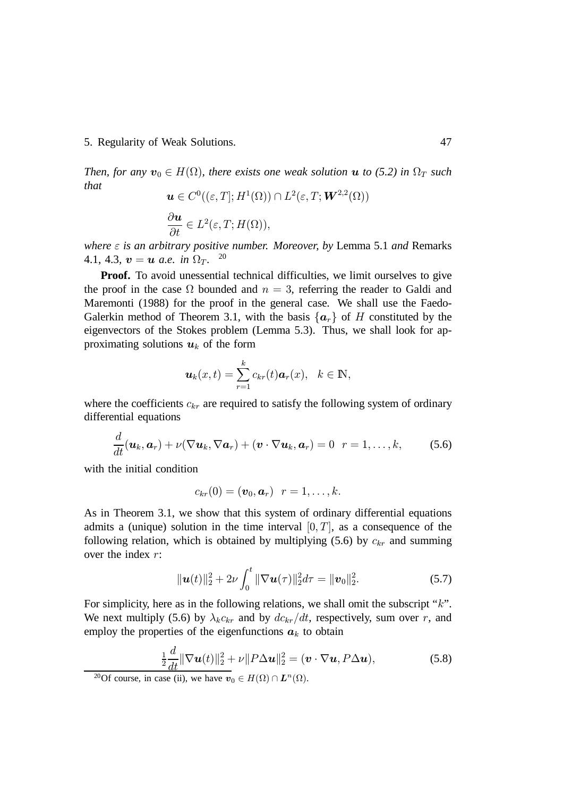5. Regularity of Weak Solutions. 47

*Then, for any*  $\mathbf{v}_0 \in H(\Omega)$ , there exists one weak solution  $\mathbf{u}$  to (5.2) in  $\Omega_T$  such *that*

$$
\mathbf{u} \in C^0((\varepsilon, T]; H^1(\Omega)) \cap L^2(\varepsilon, T; \mathbf{W}^{2,2}(\Omega))
$$
  

$$
\frac{\partial \mathbf{u}}{\partial t} \in L^2(\varepsilon, T; H(\Omega)),
$$

*where*  $\epsilon$  *is an arbitrary positive number. Moreover, by Lemma 5.1 and Remarks*  $4.1, 4.3, v = u$  a.e. in  $\Omega_T$ . <sup>20</sup>

**Proof.** To avoid unessential technical difficulties, we limit ourselves to give the proof in the case  $\Omega$  bounded and  $n = 3$ , referring the reader to Galdi and Maremonti (1988) for the proof in the general case. We shall use the Faedo-Galerkin method of Theorem 3.1, with the basis  $\{a_r\}$  of H constituted by the eigenvectors of the Stokes problem (Lemma 5.3). Thus, we shall look for approximating solutions  $u_k$  of the form

$$
\boldsymbol{u}_k(x,t)=\sum_{r=1}^k c_{kr}(t)\boldsymbol{a}_r(x),\ \ k\in\mathbb{N},
$$

where the coefficients  $c_{kr}$  are required to satisfy the following system of ordinary differential equations

$$
\frac{d}{dt}(\boldsymbol{u}_k, \boldsymbol{a}_r) + \nu (\nabla \boldsymbol{u}_k, \nabla \boldsymbol{a}_r) + (\boldsymbol{v} \cdot \nabla \boldsymbol{u}_k, \boldsymbol{a}_r) = 0 \ \ r = 1, \ldots, k,
$$
 (5.6)

with the initial condition

$$
c_{kr}(0)=(\boldsymbol{v}_0,\boldsymbol{a}_r)\ \ r=1,\ldots,k.
$$

As in Theorem 3.1, we show that this system of ordinary differential equations admits a (unique) solution in the time interval  $[0, T]$ , as a consequence of the following relation, which is obtained by multiplying (5.6) by  $c_{kr}$  and summing over the index  $r$ :

$$
\|\boldsymbol{u}(t)\|_2^2 + 2\nu \int_0^t \|\nabla \boldsymbol{u}(\tau)\|_2^2 d\tau = \|\boldsymbol{v}_0\|_2^2.
$$
 (5.7)

For simplicity, here as in the following relations, we shall omit the subscript " $k$ ". We next multiply (5.6) by  $\lambda_k c_{kr}$  and by  $dc_{kr}/dt$ , respectively, sum over r, and employ the properties of the eigenfunctions  $a_k$  to obtain

$$
\frac{1}{2}\frac{d}{dt}\|\nabla \boldsymbol{u}(t)\|_{2}^{2} + \nu\|P\Delta \boldsymbol{u}\|_{2}^{2} = (\boldsymbol{v} \cdot \nabla \boldsymbol{u}, P\Delta \boldsymbol{u}),\tag{5.8}
$$

<sup>&</sup>lt;sup>20</sup>Of course, in case (ii), we have  $v_0 \in H(\Omega) \cap L^n(\Omega)$ .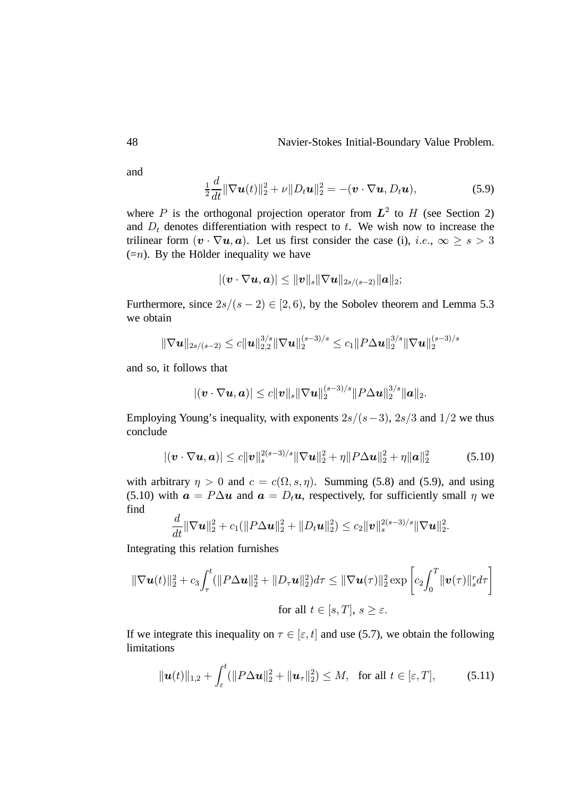and

$$
\frac{1}{2}\frac{d}{dt}\|\nabla \boldsymbol{u}(t)\|_2^2 + \nu\|D_t\boldsymbol{u}\|_2^2 = -(\boldsymbol{v}\cdot\nabla \boldsymbol{u}, D_t\boldsymbol{u}),\tag{5.9}
$$

where P is the orthogonal projection operator from  $L^2$  to H (see Section 2) and  $D_t$  denotes differentiation with respect to  $t$ . We wish now to increase the trilinear form  $(v \cdot \nabla u, a)$ . Let us first consider the case (i), *i.e.*,  $\infty \ge s > 3$  $(=n)$ . By the Holder inequality we have

$$
|(\boldsymbol v\cdot\nabla\boldsymbol u,\boldsymbol a)|\leq \|\boldsymbol v\|_s\|\nabla\boldsymbol u\|_{2s/(s-2)}\|\boldsymbol a\|_2;
$$

Furthermore, since  $2s/(s-2) \in [2,6)$ , by the Sobolev theorem and Lemma 5.3 we obtain

$$
\|\nabla \boldsymbol{u}\|_{2s/(s-2)} \leq c \|\boldsymbol{u}\|_{2,2}^{3/s} \|\nabla \boldsymbol{u}\|_{2}^{(s-3)/s} \leq c_1 \|P\Delta \boldsymbol{u}\|_{2}^{3/s} \|\nabla \boldsymbol{u}\|_{2}^{(s-3)/s}
$$

and so, it follows that

$$
|(v \cdot \nabla u, a)| \leq c ||v||_s ||\nabla u||_2^{(s-3)/s} ||P \Delta u||_2^{3/s} ||a||_2.
$$

Employing Young's inequality, with exponents  $2s/(s-3)$ ,  $2s/3$  and  $1/2$  we thus conclude

$$
|(\mathbf{v} \cdot \nabla \mathbf{u}, \mathbf{a})| \leq c \|\mathbf{v}\|_{s}^{2(s-3)/s} \|\nabla \mathbf{u}\|_{2}^{2} + \eta \|P \Delta \mathbf{u}\|_{2}^{2} + \eta \|\mathbf{a}\|_{2}^{2}
$$
(5.10)

with arbitrary  $\eta > 0$  and  $c = c(\Omega, s, \eta)$ . Summing (5.8) and (5.9), and using (5.10) with  $\mathbf{a} = P \Delta \mathbf{u}$  and  $\mathbf{a} = D_t \mathbf{u}$ , respectively, for sufficiently small  $\eta$  we find

$$
\frac{d}{dt}\|\nabla {\bm u}\|_2^2 + c_1(\|P\Delta {\bm u}\|_2^2 + \|D_t {\bm u}\|_2^2) \leq c_2\|{\bm v}\|_s^{2(s-3)/s}\|\nabla {\bm u}\|_2^2.
$$

Integrating this relation furnishes

$$
\|\nabla \boldsymbol{u}(t)\|_{2}^{2}+c_{3}\int_{\tau}^{t}(\|P\Delta \boldsymbol{u}\|_{2}^{2}+\|D_{\tau}\boldsymbol{u}\|_{2}^{2})d\tau \leq \|\nabla \boldsymbol{u}(\tau)\|_{2}^{2}\exp\left[c_{2}\int_{0}^{T}\|\boldsymbol{v}(\tau)\|_{s}^{r}d\tau\right]
$$
  
for all  $t \in [s, T], s \geq \varepsilon$ .

If we integrate this inequality on  $\tau \in [\varepsilon, t]$  and use (5.7), we obtain the following limitations

$$
\|\bm{u}(t)\|_{1,2}+\int_{\varepsilon}^{t}(\|P\Delta\bm{u}\|_{2}^{2}+\|\bm{u}_{\tau}\|_{2}^{2})\leq M, \text{ for all } t\in[\varepsilon,T],
$$
 (5.11)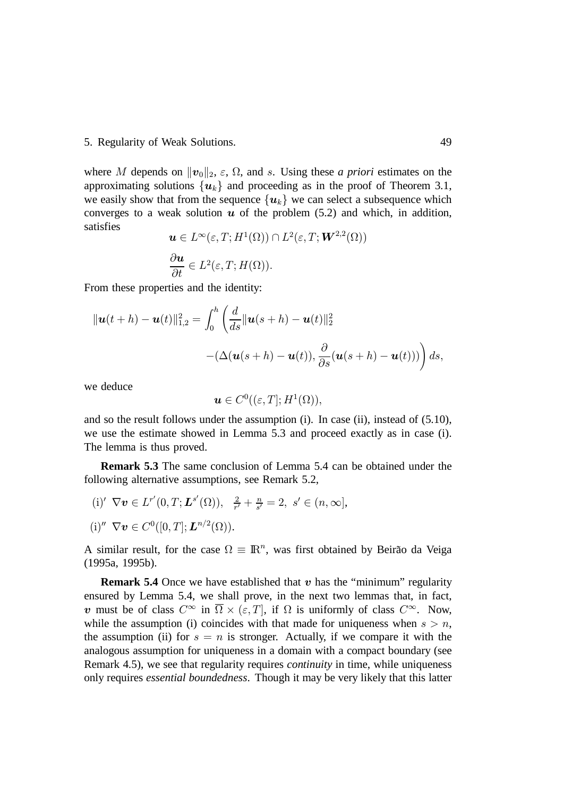#### 5. Regularity of Weak Solutions. 49

where M depends on  $||\boldsymbol{v}_0||_2$ ,  $\varepsilon$ ,  $\Omega$ , and s. Using these *a priori* estimates on the approximating solutions  $\{u_k\}$  and proceeding as in the proof of Theorem 3.1, we easily show that from the sequence  $\{u_k\}$  we can select a subsequence which converges to a weak solution  $u$  of the problem (5.2) and which, in addition, satisfies

$$
\mathbf{u} \in L^{\infty}(\varepsilon, T; H^{1}(\Omega)) \cap L^{2}(\varepsilon, T; \mathbf{W}^{2,2}(\Omega))
$$
  

$$
\frac{\partial \mathbf{u}}{\partial t} \in L^{2}(\varepsilon, T; H(\Omega)).
$$

From these properties and the identity:

$$
\|\mathbf{u}(t+h)-\mathbf{u}(t)\|_{1,2}^2 = \int_0^h \left(\frac{d}{ds} \|\mathbf{u}(s+h)-\mathbf{u}(t)\|_2^2 -(\Delta(\mathbf{u}(s+h)-\mathbf{u}(t)), \frac{\partial}{\partial s}(\mathbf{u}(s+h)-\mathbf{u}(t)))\right) ds,
$$

we deduce

$$
\boldsymbol{u}\in C^0((\varepsilon,T];H^1(\Omega)),
$$

and so the result follows under the assumption (i). In case (ii), instead of (5.10), we use the estimate showed in Lemma 5.3 and proceed exactly as in case (i). The lemma is thus proved.

**Remark 5.3** The same conclusion of Lemma 5.4 can be obtained under the following alternative assumptions, see Remark 5.2,

(i)'  $\nabla v \in L^{r'}(0,T; L^{s'}(\Omega)), \frac{2}{r'} + \frac{n}{s'}$  $\frac{n}{s'} = 2, s' \in (n, \infty],$ (i)"  $\nabla v \in C^0([0, T]; L^{n/2}(\Omega)).$ 

A similar result, for the case  $\Omega \equiv \mathbb{R}^n$ , was first obtained by Beirão da Veiga (1995a, 1995b).

**Remark 5.4** Once we have established that  $v$  has the "minimum" regularity ensured by Lemma 5.4, we shall prove, in the next two lemmas that, in fact, v must be of class  $C^{\infty}$  in  $\overline{\Omega} \times (\varepsilon, T]$ , if  $\Omega$  is uniformly of class  $C^{\infty}$ . Now, while the assumption (i) coincides with that made for uniqueness when  $s > n$ , the assumption (ii) for  $s = n$  is stronger. Actually, if we compare it with the analogous assumption for uniqueness in a domain with a compact boundary (see Remark 4.5), we see that regularity requires *continuity* in time, while uniqueness only requires *essential boundedness*. Though it may be very likely that this latter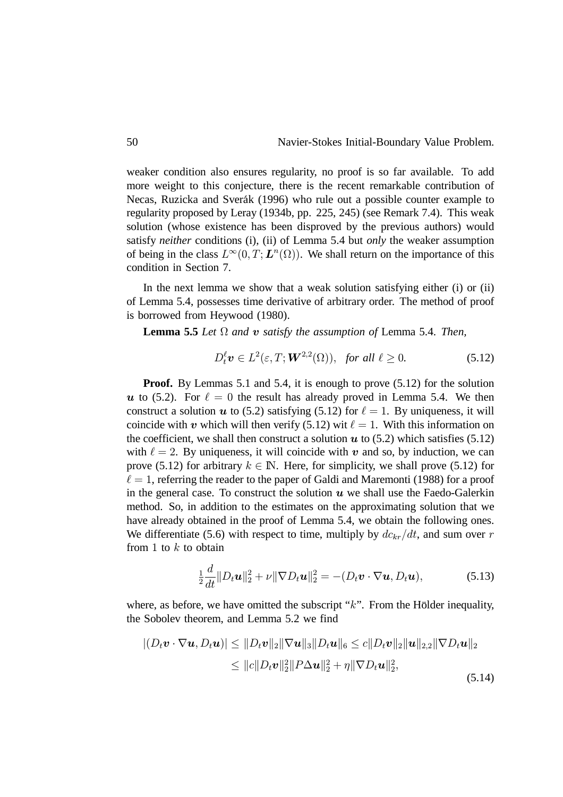weaker condition also ensures regularity, no proof is so far available. To add more weight to this conjecture, there is the recent remarkable contribution of Necas, Ruzicka and Sverak (1996) who rule out a possible counter example to regularity proposed by Leray (1934b, pp. 225, 245) (see Remark 7.4). This weak solution (whose existence has been disproved by the previous authors) would satisfy *neither* conditions (i), (ii) of Lemma 5.4 but *only* the weaker assumption of being in the class  $L^{\infty}(0,T; L^{n}(\Omega))$ . We shall return on the importance of this condition in Section 7.

In the next lemma we show that a weak solution satisfying either (i) or (ii) of Lemma 5.4, possesses time derivative of arbitrary order. The method of proof is borrowed from Heywood (1980).

**Lemma 5.5** *Let*  $\Omega$  *and*  $\boldsymbol{v}$  *satisfy the assumption of* Lemma 5.4. *Then,* 

$$
D_t^{\ell} \mathbf{v} \in L^2(\varepsilon, T; \mathbf{W}^{2,2}(\Omega)), \text{ for all } \ell \ge 0.
$$
 (5.12)

**Proof.** By Lemmas 5.1 and 5.4, it is enough to prove (5.12) for the solution u to (5.2). For  $\ell = 0$  the result has already proved in Lemma 5.4. We then construct a solution  $u$  to (5.2) satisfying (5.12) for  $\ell = 1$ . By uniqueness, it will coincide with  $v$  which will then verify (5.12) wit  $\ell = 1$ . With this information on the coefficient, we shall then construct a solution  $u$  to (5.2) which satisfies (5.12) with  $\ell = 2$ . By uniqueness, it will coincide with  $\boldsymbol{v}$  and so, by induction, we can prove (5.12) for arbitrary  $k \in \mathbb{N}$ . Here, for simplicity, we shall prove (5.12) for  $\ell = 1$ , referring the reader to the paper of Galdi and Maremonti (1988) for a proof in the general case. To construct the solution  $u$  we shall use the Faedo-Galerkin method. So, in addition to the estimates on the approximating solution that we have already obtained in the proof of Lemma 5.4, we obtain the following ones. We differentiate (5.6) with respect to time, multiply by  $dc_{kr}/dt$ , and sum over r from 1 to  $k$  to obtain

$$
\frac{1}{2}\frac{d}{dt}\|D_t\boldsymbol{u}\|_2^2 + \nu \|\nabla D_t\boldsymbol{u}\|_2^2 = -(D_t\boldsymbol{v}\cdot\nabla\boldsymbol{u}, D_t\boldsymbol{u}),\tag{5.13}
$$

where, as before, we have omitted the subscript " $k$ ". From the Holder inequality, the Sobolev theorem, and Lemma 5.2 we find

$$
|(D_t \mathbf{v} \cdot \nabla \mathbf{u}, D_t \mathbf{u})| \leq ||D_t \mathbf{v}||_2 ||\nabla \mathbf{u}||_3 ||D_t \mathbf{u}||_6 \leq c ||D_t \mathbf{v}||_2 ||\mathbf{u}||_{2,2} ||\nabla D_t \mathbf{u}||_2
$$
  
\n
$$
\leq ||c||D_t \mathbf{v}||_2^2 ||P \Delta \mathbf{u}||_2^2 + \eta ||\nabla D_t \mathbf{u}||_2^2,
$$
\n(5.14)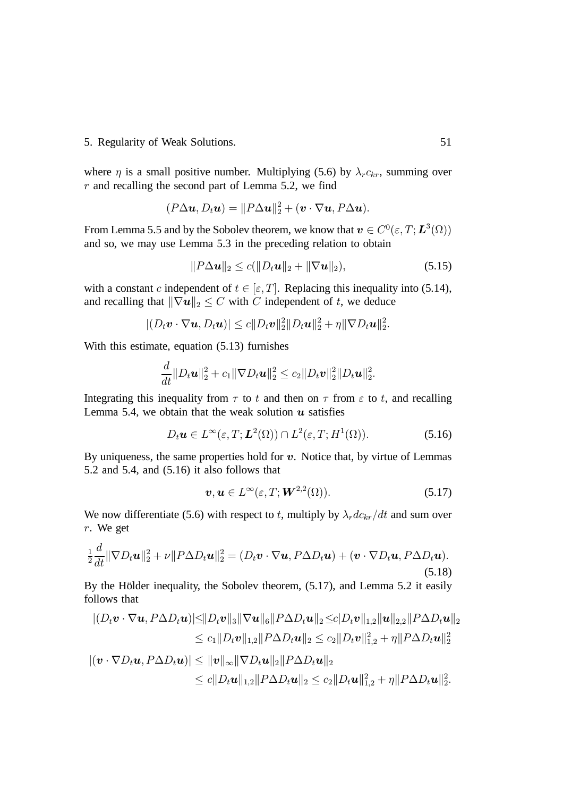### 5. Regularity of Weak Solutions. 51

where  $\eta$  is a small positive number. Multiplying (5.6) by  $\lambda_r c_{kr}$ , summing over  $r$  and recalling the second part of Lemma 5.2, we find

$$
(P\Delta u, D_t u) = ||P\Delta u||_2^2 + (\boldsymbol{v} \cdot \nabla u, P\Delta u).
$$

From Lemma 5.5 and by the Sobolev theorem, we know that  $\bm{v} \in C^0(\varepsilon, T; \bm{L}^3(\Omega))$ and so, we may use Lemma 5.3 in the preceding relation to obtain

$$
||P\Delta u||_2 \le c(||D_t u||_2 + ||\nabla u||_2),
$$
\n(5.15)

with a constant c independent of  $t \in [\varepsilon, T]$ . Replacing this inequality into (5.14), and recalling that  $\|\nabla u\|_2 \leq C$  with C independent of t, we deduce

$$
|(D_t\boldsymbol{v}\cdot\nabla\boldsymbol{u},D_t\boldsymbol{u})|\leq c||D_t\boldsymbol{v}||_2^2||D_t\boldsymbol{u}||_2^2+\eta||\nabla D_t\boldsymbol{u}||_2^2.
$$

With this estimate, equation (5.13) furnishes

$$
\frac{d}{dt}\|D_t\bm{u}\|_2^2+c_1\|\nabla D_t\bm{u}\|_2^2\leq c_2\|D_t\bm{v}\|_2^2\|D_t\bm{u}\|_2^2.
$$

Integrating this inequality from  $\tau$  to  $t$  and then on  $\tau$  from  $\varepsilon$  to  $t$ , and recalling Lemma 5.4, we obtain that the weak solution  $\boldsymbol{u}$  satisfies

$$
D_t \mathbf{u} \in L^{\infty}(\varepsilon, T; \mathbf{L}^2(\Omega)) \cap L^2(\varepsilon, T; H^1(\Omega)).
$$
\n(5.16)

By uniqueness, the same properties hold for  $v$ . Notice that, by virtue of Lemmas 5.2 and 5.4, and (5.16) it also follows that

$$
\boldsymbol{v}, \boldsymbol{u} \in L^{\infty}(\varepsilon, T; \boldsymbol{W}^{2,2}(\Omega)). \tag{5.17}
$$

We now differentiate (5.6) with respect to t, multiply by  $\lambda_r d c_{kr} / dt$  and sum over  $r$ . We get

$$
\frac{1}{2}\frac{d}{dt}\|\nabla D_t\mathbf{u}\|_2^2 + \nu\|P\Delta D_t\mathbf{u}\|_2^2 = (D_t\mathbf{v}\cdot\nabla\mathbf{u}, P\Delta D_t\mathbf{u}) + (\mathbf{v}\cdot\nabla D_t\mathbf{u}, P\Delta D_t\mathbf{u}).
$$
\n(5.18)

By the Holder inequality, the Sobolev theorem,  $(5.17)$ , and Lemma 5.2 it easily follows that

$$
|(D_t \mathbf{v} \cdot \nabla \mathbf{u}, P \Delta D_t \mathbf{u})| \leq ||D_t \mathbf{v}||_3 ||\nabla \mathbf{u}||_6 ||P \Delta D_t \mathbf{u}||_2 \leq c|D_t \mathbf{v}||_{1,2} ||\mathbf{u}||_{2,2} ||P \Delta D_t \mathbf{u}||_2
$$
  
\n
$$
\leq c_1 ||D_t \mathbf{v}||_{1,2} ||P \Delta D_t \mathbf{u}||_2 \leq c_2 ||D_t \mathbf{v}||_{1,2}^2 + \eta ||P \Delta D_t \mathbf{u}||_2^2
$$
  
\n
$$
|(\mathbf{v} \cdot \nabla D_t \mathbf{u}, P \Delta D_t \mathbf{u})| \leq ||\mathbf{v}||_{\infty} ||\nabla D_t \mathbf{u}||_2 ||P \Delta D_t \mathbf{u}||_2
$$
  
\n
$$
\leq c||D_t \mathbf{u}||_{1,2} ||P \Delta D_t \mathbf{u}||_2 \leq c_2 ||D_t \mathbf{u}||_{1,2}^2 + \eta ||P \Delta D_t \mathbf{u}||_2^2.
$$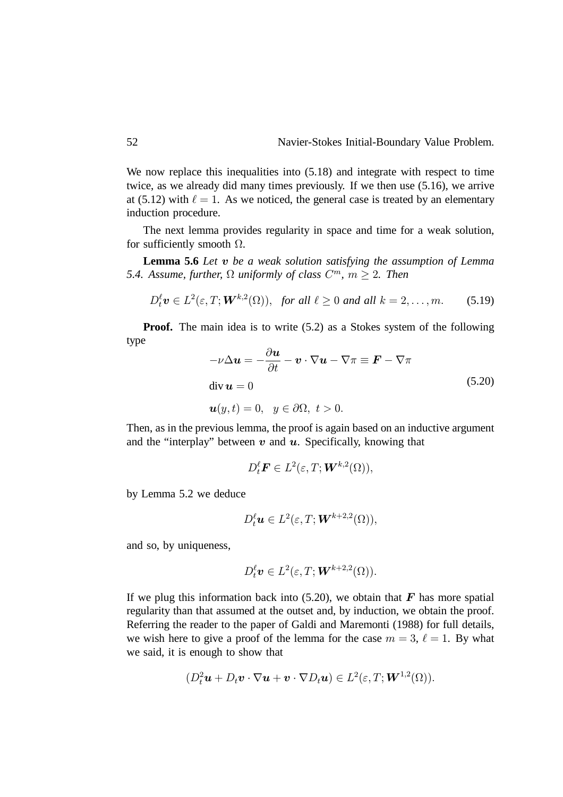We now replace this inequalities into  $(5.18)$  and integrate with respect to time twice, as we already did many times previously. If we then use (5.16), we arrive at (5.12) with  $\ell = 1$ . As we noticed, the general case is treated by an elementary induction procedure.

The next lemma provides regularity in space and time for a weak solution, for sufficiently smooth  $\Omega$ .

Lemma 5.6 Let  $v$  be a weak solution satisfying the assumption of Lemma 5.4. Assume, further,  $\Omega$  uniformly of class  $C^m$ ,  $m \geq 2$ . Then

$$
D_t^{\ell} \mathbf{v} \in L^2(\varepsilon, T; \mathbf{W}^{k,2}(\Omega)), \text{ for all } \ell \ge 0 \text{ and all } k = 2, \ldots, m. \tag{5.19}
$$

**Proof.** The main idea is to write (5.2) as a Stokes system of the following type

$$
-\nu \Delta u = -\frac{\partial u}{\partial t} - v \cdot \nabla u - \nabla \pi \equiv \mathbf{F} - \nabla \pi
$$
  
div  $u = 0$  (5.20)  
 $u(y, t) = 0, y \in \partial \Omega, t > 0.$ 

Then, as in the previous lemma, the proof is again based on an inductive argument and the "interplay" between  $v$  and  $u$ . Specifically, knowing that

$$
D_t^{\ell} \boldsymbol{F} \in L^2(\varepsilon,T; \boldsymbol{W}^{k,2}(\Omega)),
$$

by Lemma 5.2 we deduce

$$
D_t^{\ell} \mathbf{u} \in L^2(\varepsilon, T; \mathbf{W}^{k+2,2}(\Omega)),
$$

and so, by uniqueness,

$$
D_t^{\ell} \mathbf{v} \in L^2(\varepsilon, T; \mathbf{W}^{k+2,2}(\Omega)).
$$

If we plug this information back into  $(5.20)$ , we obtain that F has more spatial regularity than that assumed at the outset and, by induction, we obtain the proof. Referring the reader to the paper of Galdi and Maremonti (1988) for full details, we wish here to give a proof of the lemma for the case  $m = 3$ ,  $\ell = 1$ . By what we said, it is enough to show that

$$
(D_t^2\boldsymbol{u}+D_t\boldsymbol{v}\cdot\nabla\boldsymbol{u}+\boldsymbol{v}\cdot\nabla D_t\boldsymbol{u})\in L^2(\varepsilon,T;\boldsymbol{W}^{1,2}(\Omega)).
$$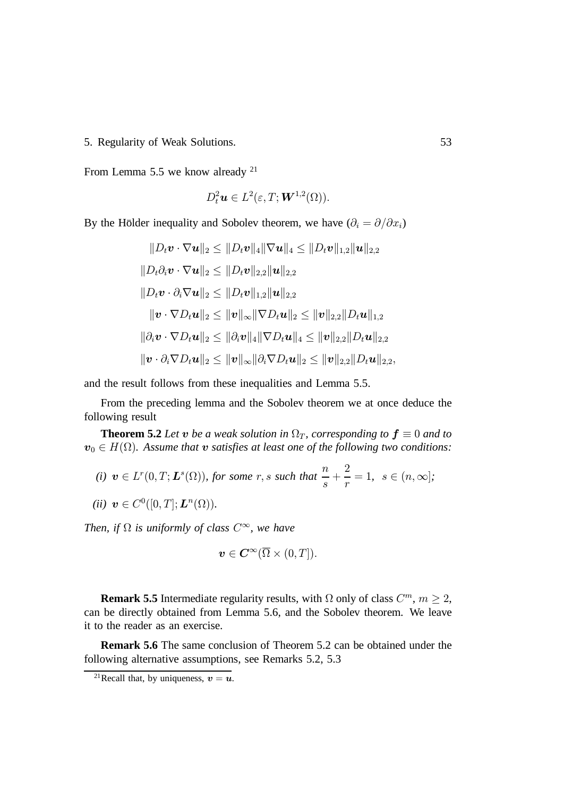5. Regularity of Weak Solutions. 53

From Lemma 5.5 we know already <sup>21</sup>

$$
D_t^2\boldsymbol{u}\in L^2(\varepsilon,T;\boldsymbol{W}^{1,2}(\Omega)).
$$

By the Holder inequality and Sobolev theorem, we have  $(\partial_i = \partial/\partial x_i)$ 

$$
||D_t \mathbf{v} \cdot \nabla \mathbf{u}||_2 \le ||D_t \mathbf{v}||_4 ||\nabla \mathbf{u}||_4 \le ||D_t \mathbf{v}||_{1,2} ||\mathbf{u}||_{2,2}
$$
  
\n
$$
||D_t \partial_i \mathbf{v} \cdot \nabla \mathbf{u}||_2 \le ||D_t \mathbf{v}||_{2,2} ||\mathbf{u}||_{2,2}
$$
  
\n
$$
||D_t \mathbf{v} \cdot \partial_i \nabla \mathbf{u}||_2 \le ||D_t \mathbf{v}||_{1,2} ||\mathbf{u}||_{2,2}
$$
  
\n
$$
||\mathbf{v} \cdot \nabla D_t \mathbf{u}||_2 \le ||\mathbf{v}||_{\infty} ||\nabla D_t \mathbf{u}||_2 \le ||\mathbf{v}||_{2,2} ||D_t \mathbf{u}||_{1,2}
$$
  
\n
$$
||\partial_i \mathbf{v} \cdot \nabla D_t \mathbf{u}||_2 \le ||\partial_i \mathbf{v}||_4 ||\nabla D_t \mathbf{u}||_4 \le ||\mathbf{v}||_{2,2} ||D_t \mathbf{u}||_{2,2}
$$
  
\n
$$
||\mathbf{v} \cdot \partial_i \nabla D_t \mathbf{u}||_2 \le ||\mathbf{v}||_{\infty} ||\partial_i \nabla D_t \mathbf{u}||_2 \le ||\mathbf{v}||_{2,2} ||D_t \mathbf{u}||_{2,2},
$$

and the result follows from these inequalities and Lemma 5.5.

From the preceding lemma and the Sobolev theorem we at once deduce the following result

**Theorem 5.2** Let **v** be a weak solution in  $\Omega_T$ , corresponding to  $f \equiv 0$  and to  $\boldsymbol{v}_0 \in H(\Omega)$ . Assume that  $\boldsymbol{v}$  satisfies at least one of the following two conditions:

(i) 
$$
\mathbf{v} \in L^r(0,T; \mathbf{L}^s(\Omega))
$$
, for some  $r, s$  such that  $\frac{n}{s} + \frac{2}{r} = 1$ ,  $s \in (n,\infty]$ ;

$$
(ii) \ \boldsymbol{v} \in C^0([0,T];\boldsymbol{L}^n(\Omega)).
$$

*Then, if*  $\Omega$  *is uniformly of class*  $C^{\infty}$ *, we have* 

$$
\boldsymbol{v}\in\boldsymbol{C}^{\infty}(\overline{\Omega}\times(0,T]).
$$

**Remark 5.5** Intermediate regularity results, with  $\Omega$  only of class  $C^m$ ,  $m \geq 2$ , can be directly obtained from Lemma 5.6, and the Sobolev theorem. We leave it to the reader as an exercise.

**Remark 5.6** The same conclusion of Theorem 5.2 can be obtained under the following alternative assumptions, see Remarks 5.2, 5.3

<sup>&</sup>lt;sup>21</sup> Recall that, by uniqueness,  $v = u$ .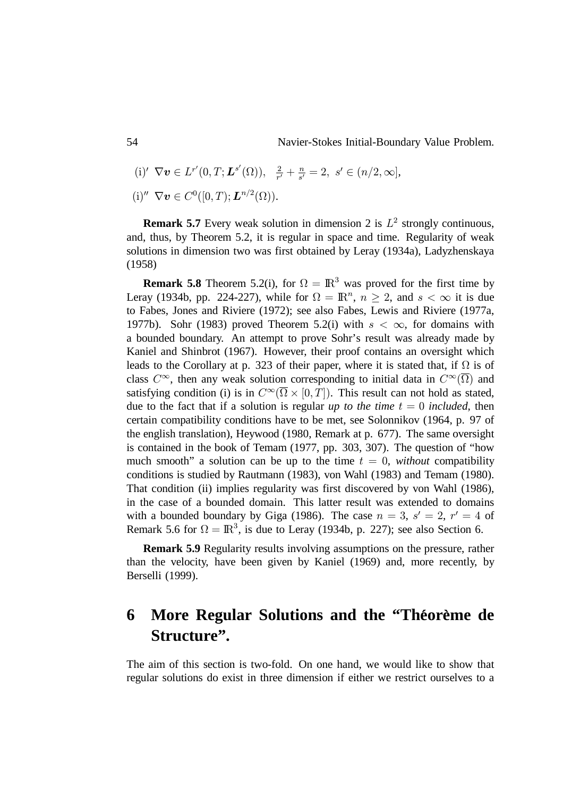54 Navier-Stokes Initial-Boundary Value Problem.

- (i)'  $\nabla v \in L^{r'}(0,T; L^{s'}(\Omega)), \frac{2}{r'} + \frac{n}{s'}$  $\frac{n}{s'}=2, s' \in (n/2,\infty],$
- (i)"  $\nabla v \in C^0([0, T); L^{n/2}(\Omega)).$

**Remark 5.7** Every weak solution in dimension 2 is  $L^2$  strongly continuous, and, thus, by Theorem 5.2, it is regular in space and time. Regularity of weak solutions in dimension two was first obtained by Leray (1934a), Ladyzhenskaya (1958)

**Remark 5.8** Theorem 5.2(i), for  $\Omega = \mathbb{R}^3$  was proved for the first time by Leray (1934b, pp. 224-227), while for  $\Omega = \mathbb{R}^n$ ,  $n \ge 2$ , and  $s < \infty$  it is due to Fabes, Jones and Riviere (1972); see also Fabes, Lewis and Riviere (1977a, 1977b). Sohr (1983) proved Theorem 5.2(i) with  $s < \infty$ , for domains with a bounded boundary. An attempt to prove Sohr's result was already made by Kaniel and Shinbrot (1967). However, their proof contains an oversight which leads to the Corollary at p. 323 of their paper, where it is stated that, if  $\Omega$  is of class  $C^{\infty}$ , then any weak solution corresponding to initial data in  $C^{\infty}(\overline{\Omega})$  and satisfying condition (i) is in  $C^{\infty}(\overline{\Omega} \times [0,T])$ . This result can not hold as stated, due to the fact that if a solution is regular *up to the time*  $t = 0$  *included*, then certain compatibility conditions have to be met, see Solonnikov (1964, p. 97 of the english translation), Heywood (1980, Remark at p. 677). The same oversight is contained in the book of Temam (1977, pp. 303, 307). The question of "how much smooth" a solution can be up to the time  $t = 0$ , *without* compatibility conditions is studied by Rautmann (1983), von Wahl (1983) and Temam (1980). That condition (ii) implies regularity was first discovered by von Wahl (1986), in the case of a bounded domain. This latter result was extended to domains with a bounded boundary by Giga (1986). The case  $n = 3$ ,  $s' = 2$ ,  $r' = 4$  of Remark 5.6 for  $\Omega = \mathbb{R}^3$ , is due to Leray (1934b, p. 227); see also Section 6.

**Remark 5.9** Regularity results involving assumptions on the pressure, rather than the velocity, have been given by Kaniel (1969) and, more recently, by Berselli (1999).

## **6** More Regular Solutions and the "Theoreme de **Structure".**

The aim of this section is two-fold. On one hand, we would like to show that regular solutions do exist in three dimension if either we restrict ourselves to a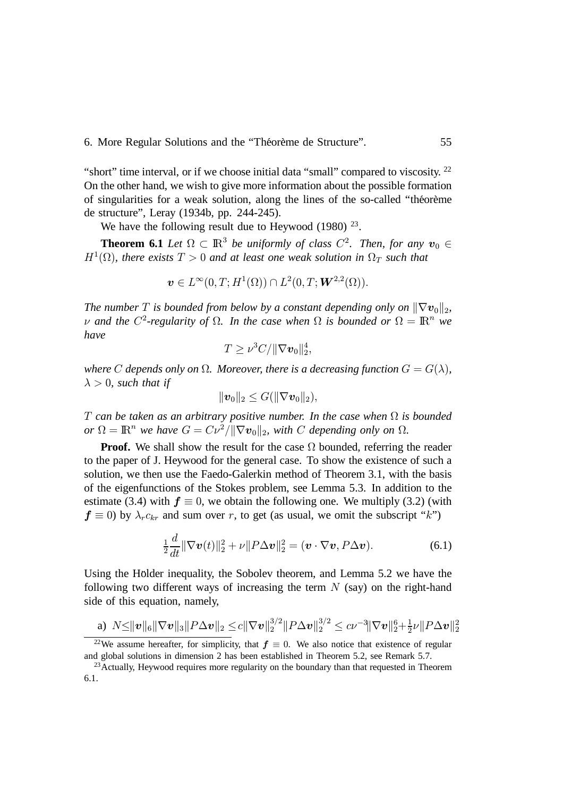6. More Regular Solutions and the "Théorème de Structure". 55

"short" time interval, or if we choose initial data "small" compared to viscosity. <sup>22</sup> On the other hand, we wish to give more information about the possible formation of singularities for a weak solution, along the lines of the so-called "theoreme de structure", Leray (1934b, pp. 244-245).

We have the following result due to Heywood  $(1980)$  <sup>23</sup>.

**Theorem 6.1** *Let*  $\Omega \subset \mathbb{R}^3$  *be uniformly of class*  $C^2$ . *Then, for any*  $\mathbf{v}_0 \in$  $H^1(\Omega)$ , there exists  $T > 0$  and at least one weak solution in  $\Omega_T$  such that

$$
\boldsymbol{v}\in L^{\infty}(0,T;H^1(\Omega))\cap L^2(0,T; \boldsymbol{W}^{2,2}(\Omega)).
$$

*The number*  $T$  is bounded from below by a constant depending only on  $\|\nabla \mathbf{v}_0\|_2$ ,  $\nu$  and the  $C^2$ -regularity of  $\Omega$ . In the case when  $\Omega$  is bounded or  $\Omega = \mathbb{R}^n$  we *have*

$$
T \geq \nu^3 C / \|\nabla \boldsymbol{v}_0\|_2^4,
$$

where C depends only on  $\Omega$ . Moreover, there is a decreasing function  $G = G(\lambda)$ ,  $\lambda > 0$ , such that if

$$
\|\bm{v}_0\|_2\leq G(\|\nabla \bm{v}_0\|_2),
$$

*T* can be taken as an arbitrary positive number. In the case when  $\Omega$  is bounded  $or \Omega = \mathbb{R}^n$  we have  $G = C\nu^2 / ||\nabla v_0||_2$ , with C depending only on  $\Omega$ .

**Proof.** We shall show the result for the case  $\Omega$  bounded, referring the reader to the paper of J. Heywood for the general case. To show the existence of such a solution, we then use the Faedo-Galerkin method of Theorem 3.1, with the basis of the eigenfunctions of the Stokes problem, see Lemma 5.3. In addition to the estimate (3.4) with  $\mathbf{f} \equiv 0$ , we obtain the following one. We multiply (3.2) (with  $\mathbf{f} \equiv 0$ ) by  $\lambda_r c_{kr}$  and sum over r, to get (as usual, we omit the subscript "k")

$$
\frac{1}{2}\frac{d}{dt}\|\nabla \boldsymbol{v}(t)\|_2^2 + \nu\|P\Delta \boldsymbol{v}\|_2^2 = (\boldsymbol{v} \cdot \nabla \boldsymbol{v}, P\Delta \boldsymbol{v}).\tag{6.1}
$$

Using the Holder inequality, the Sobolev theorem, and Lemma 5.2 we have the following two different ways of increasing the term  $N$  (say) on the right-hand side of this equation, namely,

a) 
$$
N \le ||\boldsymbol{v}||_6 ||\nabla \boldsymbol{v}||_3 ||P \Delta \boldsymbol{v}||_2 \le c ||\nabla \boldsymbol{v}||_2^{3/2} ||P \Delta \boldsymbol{v}||_2^{3/2} \le c\nu^{-3} ||\nabla \boldsymbol{v}||_2^6 + \frac{1}{2}\nu ||P \Delta \boldsymbol{v}||_2^2
$$

<sup>&</sup>lt;sup>22</sup>We assume hereafter, for simplicity, that  $f \equiv 0$ . We also notice that existence of regular and global solutions in dimension 2 has been established in Theorem 5.2, see Remark 5.7.

<sup>&</sup>lt;sup>23</sup>Actually, Heywood requires more regularity on the boundary than that requested in Theorem 6.1.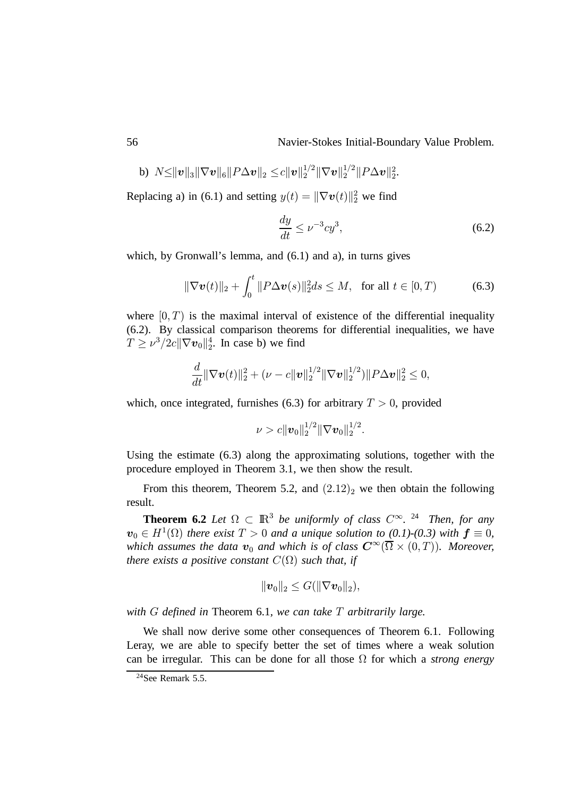56 Navier-Stokes Initial-Boundary Value Problem.

b) 
$$
N \le ||\boldsymbol{v}||_3 ||\nabla \boldsymbol{v}||_6 ||P \Delta \boldsymbol{v}||_2 \le c ||\boldsymbol{v}||_2^{1/2} ||\nabla \boldsymbol{v}||_2^{1/2} ||P \Delta \boldsymbol{v}||_2^2.
$$

Replacing a) in (6.1) and setting  $y(t) = ||\nabla v(t)||_2^2$  we find

$$
\frac{dy}{dt} \le \nu^{-3} cy^3,\tag{6.2}
$$

which, by Gronwall's lemma, and (6.1) and a), in turns gives

$$
\|\nabla \boldsymbol{v}(t)\|_{2} + \int_{0}^{t} \|P\Delta \boldsymbol{v}(s)\|_{2}^{2} ds \le M, \text{ for all } t \in [0, T)
$$
 (6.3)

where  $[0, T)$  is the maximal interval of existence of the differential inequality (6.2). By classical comparison theorems for differential inequalities, we have  $T \ge \nu^3/2c||\nabla v_0||_2^4$ . In case b) we find

$$
\frac{d}{dt} \|\nabla \boldsymbol{v}(t)\|_2^2 + (\nu - c \|\boldsymbol{v}\|_2^{1/2} \|\nabla \boldsymbol{v}\|_2^{1/2}) \|P \Delta \boldsymbol{v}\|_2^2 \leq 0,
$$

which, once integrated, furnishes (6.3) for arbitrary  $T > 0$ , provided

 $\nu > c \| \bm{v}_0 \|_2^{1/2} \| \nabla \bm{v}_0 \|_2^{1/2}.$ 

Using the estimate (6.3) along the approximating solutions, together with the procedure employed in Theorem 3.1, we then show the result.

From this theorem, Theorem 5.2, and  $(2.12)_2$  we then obtain the following result.

**Theorem 6.2** *Let*  $\Omega \subset \mathbb{R}^3$  *be uniformly of class*  $C^{\infty}$ . <sup>24</sup> *Then, for any*  $\boldsymbol{v}_0 \in H^1(\Omega)$  there exist  $T > 0$  and a unique solution to (0.1)-(0.3) with  $\boldsymbol{f} \equiv 0$ , which assumes the data  $\boldsymbol{v}_0$  and which is of class  $\boldsymbol{C}^{\infty}(\overline{\Omega} \times (0,T))$ . Moreover, *there exists a positive constant*  $C(\Omega)$  *such that, if* 

$$
\|\bm{v}_0\|_2\leq G(\|\nabla \bm{v}_0\|_2),
$$

*with defined in* Theorem 6.1*, we can take arbitrarily large.*

We shall now derive some other consequences of Theorem 6.1. Following Leray, we are able to specify better the set of times where a weak solution can be irregular. This can be done for all those  $\Omega$  for which a *strong energy* 

 $24$ See Remark 5.5.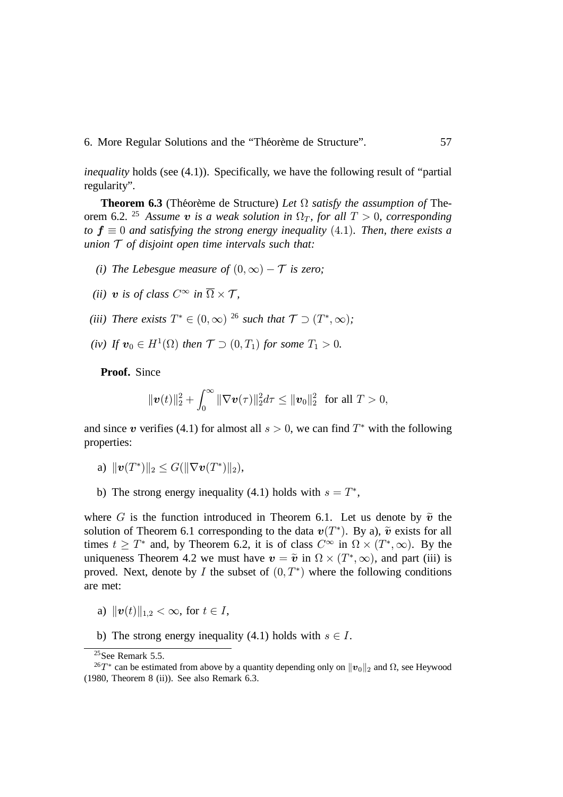*inequality* holds (see (4.1)). Specifically, we have the following result of "partial regularity".

**Theorem 6.3** (Théorème de Structure) Let  $\Omega$  satisfy the assumption of Theorem 6.2. <sup>25</sup> Assume  $\boldsymbol{v}$  is a weak solution in  $\Omega_T$ , for all  $T > 0$ , corresponding *to*  $f \equiv 0$  and satisfying the strong energy inequality (4.1). Then, there exists a *union of disjoint open time intervals such that:*

- *(i)* The Lebesgue measure of  $(0, \infty) T$  is zero:
- (*ii*) *v* is of class  $C^{\infty}$  in  $\Omega \times \mathcal{T}$ ,
- (*iii*) There exists  $T^* \in (0, \infty)$  <sup>26</sup> such that  $\mathcal{T} \supset (T^*, \infty)$ ;
- (*iv*) If  $v_0 \in H^1(\Omega)$  then  $\mathcal{T} \supset (0,T_1)$  for some  $T_1 > 0$ .

**Proof.** Since

$$
\|\bm{v}(t)\|_2^2 + \int_0^\infty \|\nabla \bm{v}(\tau)\|_2^2 d\tau \leq \|\bm{v}_0\|_2^2 \text{ for all } T > 0,
$$

and since  $v$  verifies (4.1) for almost all  $s > 0$ , we can find  $T^*$  with the following properties:

- a)  $\|\boldsymbol{v}(T^{*})\|_{2} \leq G(\|\nabla \boldsymbol{v}(T^{*})\|_{2}),$
- b) The strong energy inequality (4.1) holds with  $s = T^*$ ,

where G is the function introduced in Theorem 6.1. Let us denote by  $\tilde{v}$  the solution of Theorem 6.1 corresponding to the data  $v(T^*)$ . By a),  $\tilde{v}$  exists for all times  $t \geq T^*$  and, by Theorem 6.2, it is of class  $C^{\infty}$  in  $\Omega \times (T^*, \infty)$ . By the uniqueness Theorem 4.2 we must have  $v = \tilde{v}$  in  $\Omega \times (T^*, \infty)$ , and part (iii) is proved. Next, denote by I the subset of  $(0, T^*)$  where the following conditions are met:

- a)  $||\mathbf{v}(t)||_{1,2} < \infty$ , for  $t \in I$ ,
- b) The strong energy inequality (4.1) holds with  $s \in I$ .

<sup>&</sup>lt;sup>25</sup>See Remark 5.5.

<sup>&</sup>lt;sup>26</sup>T<sup>\*</sup> can be estimated from above by a quantity depending only on  $\|v_0\|_2$  and  $\Omega$ , see Heywood (1980, Theorem 8 (ii)). See also Remark 6.3.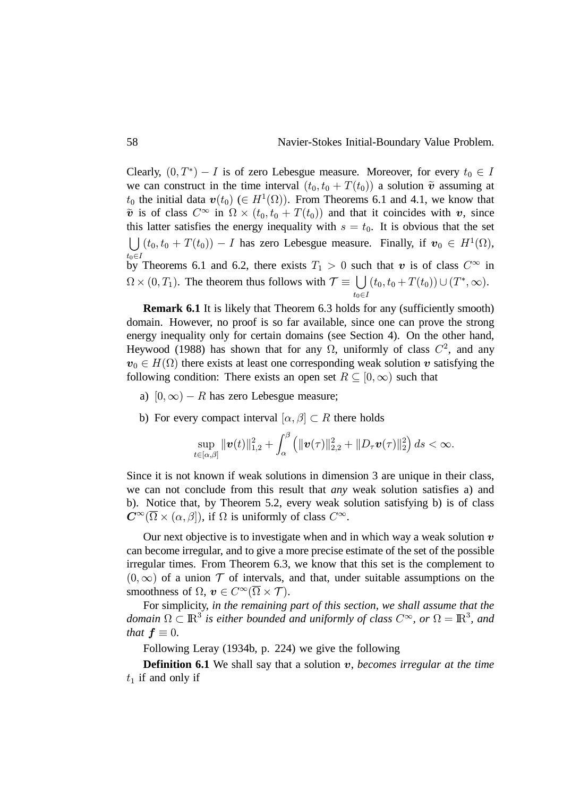Clearly,  $(0, T^*) - I$  is of zero Lebesgue measure. Moreover, for every  $t_0 \in I$ we can construct in the time interval  $(t_0, t_0 + T(t_0))$  a solution  $\tilde{v}$  assuming at  $t_0$  the initial data  $\mathbf{v}(t_0)$  ( $\in H^1(\Omega)$ ). From Theorems 6.1 and 4.1, we know that  $\tilde{\mathbf{v}}$  is of class  $C^{\infty}$  in  $\Omega \times (t_0, t_0 + T(t_0))$  and that it coincides with  $\mathbf{v}$ , since this latter satisfies the energy inequality with  $s = t_0$ . It is obvious that the set  $\bigcup (t_0, t_0 + T(t_0)) - I$  has zero Lebesgue measure. Finally, if  $v_0 \in H^1(\Omega)$ , by Theorems 6.1 and 6.2, there exists  $T_1 > 0$  such that  $\boldsymbol{v}$  is of class  $C^{\infty}$  in  $\Omega \times (0, T_1)$ . The theorem thus follows with  $\mathcal{T} \equiv \bigcup$  $t_0 \in I$  $(t_0, t_0 + T(t_0)) \cup (T^*, \infty).$ 

**Remark 6.1** It is likely that Theorem 6.3 holds for any (sufficiently smooth) domain. However, no proof is so far available, since one can prove the strong energy inequality only for certain domains (see Section 4). On the other hand, Heywood (1988) has shown that for any  $\Omega$ , uniformly of class  $C^2$ , and any  $v_0 \in H(\Omega)$  there exists at least one corresponding weak solution  $v$  satisfying the following condition: There exists an open set  $R \subseteq [0,\infty)$  such that

- a)  $[0, \infty) R$  has zero Lebesgue measure;
- b) For every compact interval  $[\alpha, \beta] \subset R$  there holds

$$
\sup_{t\in[\alpha,\beta]}\|\bm{v}(t)\|_{1,2}^2+\int_{\alpha}^{\beta}\left(\|\bm{v}(\tau)\|_{2,2}^2+\|D_\tau\bm{v}(\tau)\|_2^2\right)ds<\infty.
$$

Since it is not known if weak solutions in dimension 3 are unique in their class, we can not conclude from this result that *any* weak solution satisfies a) and b). Notice that, by Theorem 5.2, every weak solution satisfying b) is of class  $\mathbf{C}^{\infty}(\overline{\Omega}\times(\alpha,\beta]),$  if  $\Omega$  is uniformly of class  $C^{\infty}$ .

Our next objective is to investigate when and in which way a weak solution  $v$ can become irregular, and to give a more precise estimate of the set of the possible irregular times. From Theorem 6.3, we know that this set is the complement to  $(0, \infty)$  of a union  $\mathcal T$  of intervals, and that, under suitable assumptions on the smoothness of  $\Omega$ ,  $\boldsymbol{v} \in C^{\infty}(\overline{\Omega} \times \mathcal{T})$ .

For simplicity, *in the remaining part of this section, we shall assume that the domain*  $\Omega \subset \mathbb{R}^3$  is either bounded and uniformly of class  $C^{\infty}$ , or  $\Omega = \mathbb{R}^3$ , and *that*  $f \equiv 0$ .

Following Leray (1934b, p. 224) we give the following

**Definition 6.1** We shall say that a solution v, *becomes irregular at the time*  $t_1$  if and only if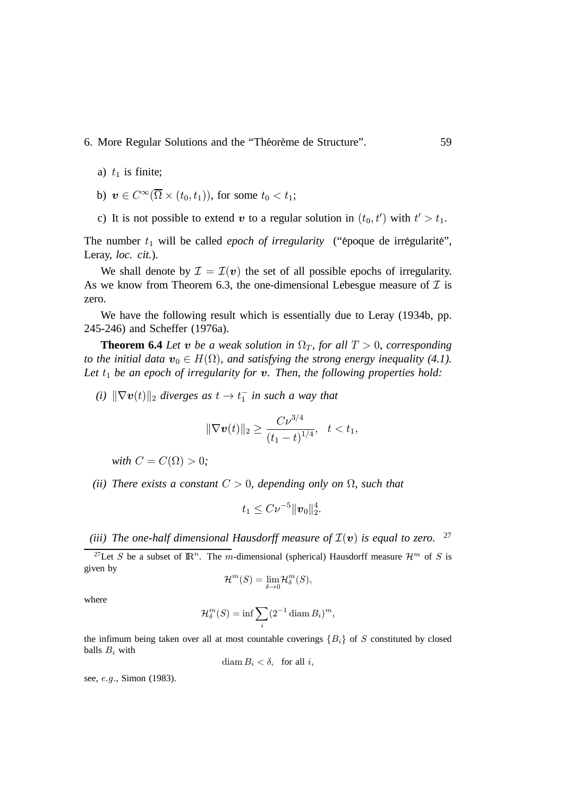- 6. More Regular Solutions and the "Théorème de Structure". 59
	- a)  $t_1$  is finite;
	- b)  $v \in C^{\infty}(\overline{\Omega} \times (t_0, t_1)),$  for some  $t_0 < t_1$ ;
	- c) It is not possible to extend  $v$  to a regular solution in  $(t_0, t')$  with  $t' > t_1$ .

The number  $t_1$  will be called *epoch of irregularity* ("époque de irrégularité", Leray, *loc. cit.*).

We shall denote by  $\mathcal{I} = \mathcal{I}(v)$  the set of all possible epochs of irregularity. As we know from Theorem 6.3, the one-dimensional Lebesgue measure of  $\mathcal I$  is zero.

We have the following result which is essentially due to Leray (1934b, pp. 245-246) and Scheffer (1976a).

**Theorem 6.4** *Let*  $\boldsymbol{v}$  *be a weak solution in*  $\Omega_T$ *, for all*  $T > 0$ *, corresponding to the initial data*  $\boldsymbol{v}_0 \in H(\Omega)$ , and satisfying the strong energy inequality (4.1). Let  $t_1$  be an epoch of irregularity for **v**. Then, the following properties hold:

 $(i)$   $\|\nabla \boldsymbol{v}(t)\|_2$  diverges as  $t \to t_1^-$  in such a way that

$$
\|\nabla \boldsymbol{v}(t)\|_2 \geq \frac{C\nu^{3/4}}{(t_1-t)^{1/4}}, \quad t < t_1,
$$

*with*  $C = C(\Omega) > 0;$ 

*(ii)* There exists a constant  $C > 0$ , depending only on  $\Omega$ , such that

$$
t_1\leq C\nu^{-5}\|\bm{v}_0\|_2^4.
$$

(iii) The one-half dimensional Hausdorff measure of  $\mathcal{I}(v)$  is equal to zero. <sup>27</sup>

<sup>27</sup>Let S be a subset of  $\mathbb{R}^n$ . The m-dimensional (spherical) Hausdorff measure  $\mathcal{H}^m$  of S is given by

$$
\mathcal{H}^m(S) = \lim_{\delta \to 0} \mathcal{H}_\delta^m(S),
$$

where

$$
\mathcal{H}_\delta^m(S) = \inf \sum_i (2^{-1} \operatorname{diam} B_i)^m,
$$

the infimum being taken over all at most countable coverings  $\{B_i\}$  of S constituted by closed balls  $B_i$  with

$$
\text{diam } B_i < \delta, \quad \text{for all } i,
$$

see, *e.g.*, Simon (1983).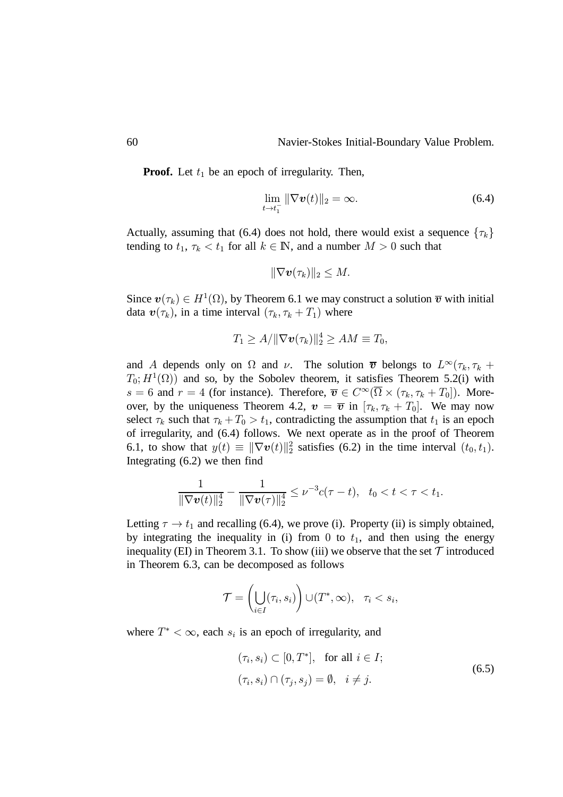**Proof.** Let  $t_1$  be an epoch of irregularity. Then,

$$
\lim_{t \to t_1^-} \|\nabla \boldsymbol{v}(t)\|_2 = \infty. \tag{6.4}
$$

Actually, assuming that (6.4) does not hold, there would exist a sequence  $\{\tau_k\}$ tending to  $t_1, \tau_k < t_1$  for all  $k \in \mathbb{N}$ , and a number  $M > 0$  such that

$$
\|\nabla \boldsymbol{v}(\tau_k)\|_2\leq M.
$$

Since  $\mathbf{v}(\tau_k) \in H^1(\Omega)$ , by Theorem 6.1 we may construct a solution  $\overline{\mathbf{v}}$  with initial data  $\mathbf{v}(\tau_k)$ , in a time interval  $(\tau_k, \tau_k + T_1)$  where

$$
T_1 \ge A/\|\nabla \boldsymbol{v}(\tau_k)\|_2^4 \ge AM \equiv T_0,
$$

and A depends only on  $\Omega$  and  $\nu$ . The solution  $\bar{v}$  belongs to  $L^{\infty}(\tau_k, \tau_k +$  $T_0$ ;  $H^1(\Omega)$  and so, by the Sobolev theorem, it satisfies Theorem 5.2(i) with  $s = 6$  and  $r = 4$  (for instance). Therefore,  $\overline{v} \in C^{\infty}(\overline{\Omega} \times (\tau_k, \tau_k + T_0])$ . Moreover, by the uniqueness Theorem 4.2,  $\mathbf{v} = \overline{\mathbf{v}}$  in  $[\tau_k, \tau_k + T_0]$ . We may now select  $\tau_k$  such that  $\tau_k + T_0 > t_1$ , contradicting the assumption that  $t_1$  is an epoch of irregularity, and (6.4) follows. We next operate as in the proof of Theorem 6.1, to show that  $y(t) \equiv ||\nabla v(t)||_2^2$  satisfies (6.2) in the time interval  $(t_0, t_1)$ . Integrating (6.2) we then find

$$
\frac{1}{\|\nabla \boldsymbol{v}(t)\|_2^4} - \frac{1}{\|\nabla \boldsymbol{v}(\tau)\|_2^4} \leq \nu^{-3} c(\tau - t), \quad t_0 < t < \tau < t_1.
$$

Letting  $\tau \to t_1$  and recalling (6.4), we prove (i). Property (ii) is simply obtained, by integrating the inequality in (i) from 0 to  $t_1$ , and then using the energy inequality (EI) in Theorem 3.1. To show (iii) we observe that the set  $\mathcal T$  introduced in Theorem 6.3, can be decomposed as follows

$$
\mathcal{T} = \left(\bigcup_{i \in I} (\tau_i, s_i)\right) \cup (T^*, \infty), \quad \tau_i < s_i,
$$

where  $T^* < \infty$ , each  $s_i$  is an epoch of irregularity, and

$$
(\tau_i, s_i) \subset [0, T^*], \text{ for all } i \in I;
$$
  

$$
(\tau_i, s_i) \cap (\tau_j, s_j) = \emptyset, \quad i \neq j.
$$
 (6.5)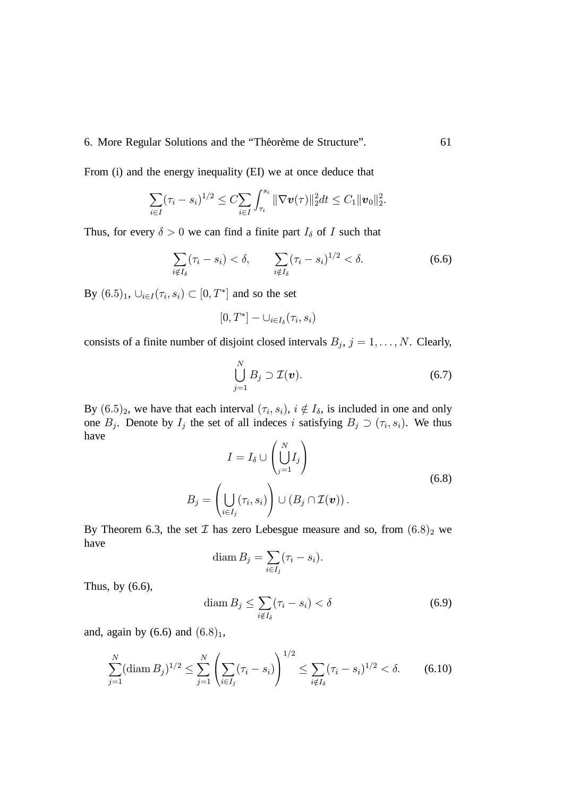From (i) and the energy inequality (EI) we at once deduce that

$$
\sum_{i\in I}(\tau_i-s_i)^{1/2}\leq C\sum_{i\in I}\int_{\tau_i}^{s_i} \|\nabla \boldsymbol{v}(\tau)\|_2^2dt\leq C_1\|\boldsymbol{v}_0\|_2^2
$$

Thus, for every  $\delta > 0$  we can find a finite part  $I_{\delta}$  of I such that

$$
\sum_{i \notin I_{\delta}} (\tau_i - s_i) < \delta, \qquad \sum_{i \notin I_{\delta}} (\tau_i - s_i)^{1/2} < \delta. \tag{6.6}
$$

By  $(6.5)_1$ ,  $\cup_{i \in I}(\tau_i, s_i) \subset [0, T^*]$  and so the set

$$
[0,T^*]-\cup_{i\in I_\delta}(\tau_i,s_i)
$$

consists of a finite number of disjoint closed intervals  $B_j$ ,  $j = 1, \ldots, N$ . Clearly,

$$
\bigcup_{j=1}^N B_j \supset \mathcal{I}(\boldsymbol{v}). \tag{6.7}
$$

By  $(6.5)_2$ , we have that each interval  $(\tau_i, s_i)$ ,  $i \notin I_\delta$ , is included in one and only one  $B_j$ . Denote by  $I_j$  the set of all indeces i satisfying  $B_j \supset (\tau_i, s_i)$ . We thus have

$$
I = I_{\delta} \cup \left(\bigcup_{j=1}^{N} I_{j}\right)
$$
  

$$
B_{j} = \left(\bigcup_{i \in I_{j}} (\tau_{i}, s_{i})\right) \cup (B_{j} \cap \mathcal{I}(\boldsymbol{v})).
$$
 (6.8)

By Theorem 6.3, the set  $\mathcal I$  has zero Lebesgue measure and so, from  $(6.8)_2$  we have

$$
\operatorname{diam} B_j = \sum_{i \in I_j} (\tau_i - s_i).
$$

Thus, by (6.6),

$$
\text{diam}\,B_j \le \sum_{i \notin I_\delta} (\tau_i - s_i) < \delta \tag{6.9}
$$

and, again by  $(6.6)$  and  $(6.8)<sub>1</sub>$ ,

$$
\sum_{j=1}^{N} (\text{diam } B_j)^{1/2} \leq \sum_{j=1}^{N} \left( \sum_{i \in I_j} (\tau_i - s_i) \right)^{1/2} \leq \sum_{i \notin I_{\delta}} (\tau_i - s_i)^{1/2} < \delta. \tag{6.10}
$$

 $\ddot{\phantom{0}}$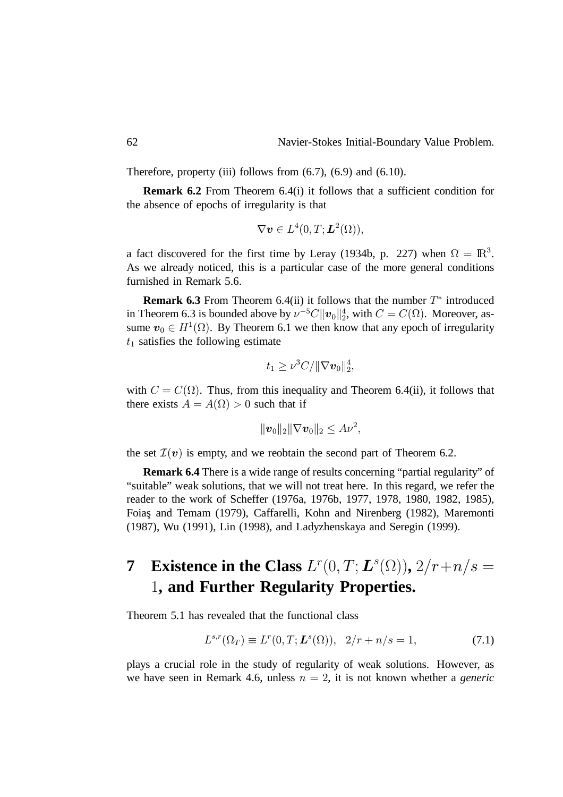Therefore, property (iii) follows from  $(6.7)$ ,  $(6.9)$  and  $(6.10)$ .

**Remark 6.2** From Theorem 6.4(i) it follows that a sufficient condition for the absence of epochs of irregularity is that

$$
\nabla \boldsymbol{v} \in L^4(0,T;\boldsymbol{L}^2(\Omega)),
$$

a fact discovered for the first time by Leray (1934b, p. 227) when  $\Omega = \mathbb{R}^3$ . As we already noticed, this is a particular case of the more general conditions furnished in Remark 5.6.

**Remark 6.3** From Theorem 6.4(ii) it follows that the number  $T^*$  introduced in Theorem 6.3 is bounded above by  $\nu^{-5}C||\boldsymbol{v}_0||_2^4$ , with  $C = C(\Omega)$ . Moreover, assume  $v_0 \in H^1(\Omega)$ . By Theorem 6.1 we then know that any epoch of irregularity  $t_1$  satisfies the following estimate

$$
t_1 \geq \nu^3 C / \|\nabla \boldsymbol{v}_0\|_2^4,
$$

with  $C = C(\Omega)$ . Thus, from this inequality and Theorem 6.4(ii), it follows that there exists  $A = A(\Omega) > 0$  such that if

$$
\|\boldsymbol{v}_0\|_2\|\nabla \boldsymbol{v}_0\|_2\le A\nu^2,
$$

the set  $\mathcal{I}(v)$  is empty, and we reobtain the second part of Theorem 6.2.

**Remark 6.4** There is a wide range of results concerning "partial regularity" of "suitable" weak solutions, that we will not treat here. In this regard, we refer the reader to the work of Scheffer (1976a, 1976b, 1977, 1978, 1980, 1982, 1985), Foias¸ and Temam (1979), Caffarelli, Kohn and Nirenberg (1982), Maremonti (1987), Wu (1991), Lin (1998), and Ladyzhenskaya and Seregin (1999).

# **7** Existence in the Class  $L^r(0,T; L^s(\Omega))$ ,  $2/r + n/s =$  **, and Further Regularity Properties.**

Theorem 5.1 has revealed that the functional class

$$
L^{s,r}(\Omega_T) \equiv L^r(0,T; \mathbf{L}^s(\Omega)), \ \ 2/r + n/s = 1,\tag{7.1}
$$

plays a crucial role in the study of regularity of weak solutions. However, as we have seen in Remark 4.6, unless  $n = 2$ , it is not known whether a *generic*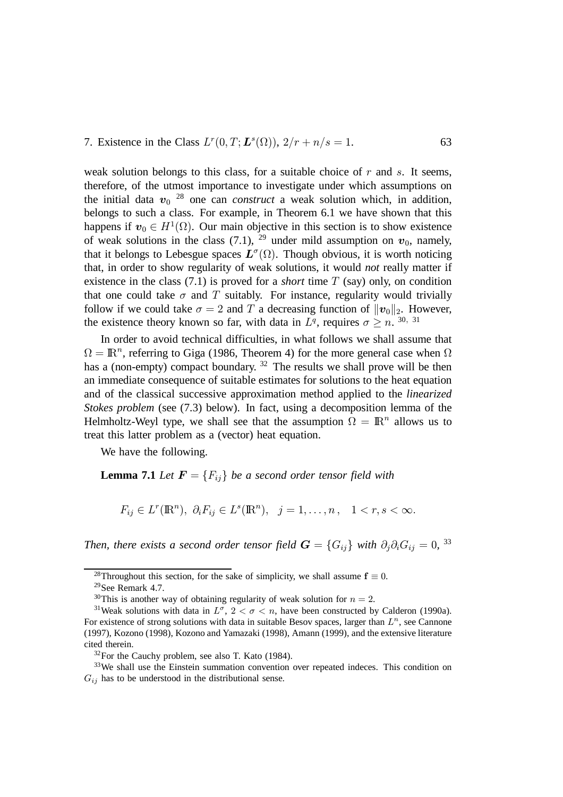#### 7. Existence in the Class  $L^r(0,T; L^s(\Omega))$ ,  $2/r + n/s =$ . 63

weak solution belongs to this class, for a suitable choice of  $r$  and  $s$ . It seems, therefore, of the utmost importance to investigate under which assumptions on the initial data  $v_0$  <sup>28</sup> one can *construct* a weak solution which, in addition, belongs to such a class. For example, in Theorem 6.1 we have shown that this happens if  $v_0 \in H^1(\Omega)$ . Our main objective in this section is to show existence of weak solutions in the class (7.1), <sup>29</sup> under mild assumption on  $v_0$ , namely, that it belongs to Lebesgue spaces  $L^{\sigma}(\Omega)$ . Though obvious, it is worth noticing that, in order to show regularity of weak solutions, it would *not* really matter if existence in the class  $(7.1)$  is proved for a *short* time T (say) only, on condition that one could take  $\sigma$  and  $T$  suitably. For instance, regularity would trivially follow if we could take  $\sigma = 2$  and T a decreasing function of  $||v_0||_2$ . However, the existence theory known so far, with data in  $L^q$ , requires  $\sigma \ge n$ . <sup>30, 31</sup>

In order to avoid technical difficulties, in what follows we shall assume that  $\Omega = \mathbb{R}^n$ , referring to Giga (1986, Theorem 4) for the more general case when  $\Omega$ has a (non-empty) compact boundary.<sup>32</sup> The results we shall prove will be then an immediate consequence of suitable estimates for solutions to the heat equation and of the classical successive approximation method applied to the *linearized Stokes problem* (see (7.3) below). In fact, using a decomposition lemma of the Helmholtz-Weyl type, we shall see that the assumption  $\Omega = \mathbb{R}^n$  allows us to treat this latter problem as a (vector) heat equation.

We have the following.

**Lemma 7.1** *Let*  $\boldsymbol{F} = \{F_{ij}\}$  *be a second order tensor field with* 

$$
F_{ij}\in L^r(\mathbb{R}^n),\ \partial_i F_{ij}\in L^s(\mathbb{R}^n),\ \ j=1,\ldots,n\,,\quad 1
$$

Then, there exists a second order tensor field  $\boldsymbol{G} = \{G_{ij}\}$  with  $\partial_j\partial_i G_{ij} = 0$ , <sup>33</sup>

<sup>&</sup>lt;sup>28</sup>Throughout this section, for the sake of simplicity, we shall assume  $\mathbf{f} \equiv 0$ .

<sup>29</sup>See Remark 4.7.

<sup>&</sup>lt;sup>30</sup>This is another way of obtaining regularity of weak solution for  $n = 2$ .

<sup>&</sup>lt;sup>31</sup>Weak solutions with data in  $L^{\sigma}$ ,  $2 < \sigma < n$ , have been constructed by Calderon (1990a). For existence of strong solutions with data in suitable Besov spaces, larger than  $L^n$ , see Cannone (1997), Kozono (1998), Kozono and Yamazaki (1998), Amann (1999), and the extensive literature cited therein.

 $32$ For the Cauchy problem, see also T. Kato (1984).

<sup>&</sup>lt;sup>33</sup>We shall use the Einstein summation convention over repeated indeces. This condition on  $G_{ij}$  has to be understood in the distributional sense.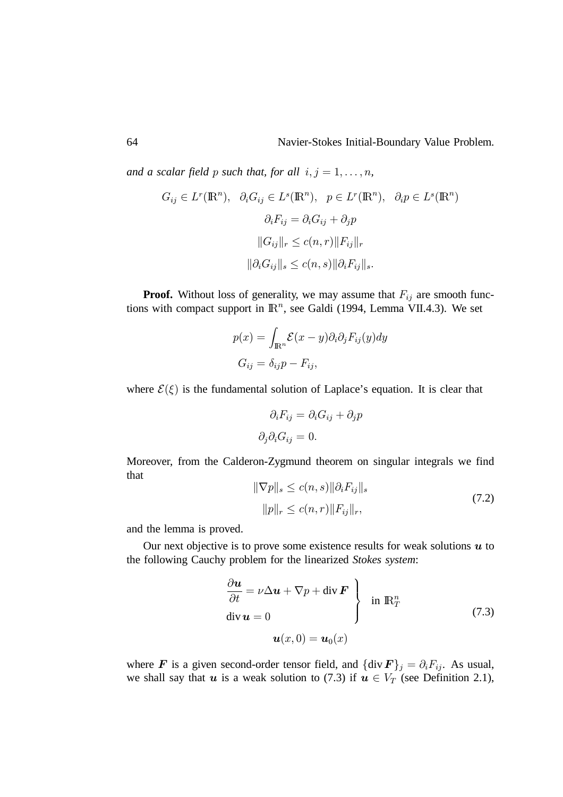and a scalar field p such that, for all  $i, j = 1, \ldots, n$ ,

$$
G_{ij} \in L^r(\mathbb{R}^n), \quad \partial_i G_{ij} \in L^s(\mathbb{R}^n), \quad p \in L^r(\mathbb{R}^n), \quad \partial_i p \in L^s(\mathbb{R}^n)
$$

$$
\partial_i F_{ij} = \partial_i G_{ij} + \partial_j p
$$

$$
||G_{ij}||_r \le c(n, r) ||F_{ij}||_r
$$

$$
||\partial_i G_{ij}||_s \le c(n, s) ||\partial_i F_{ij}||_s.
$$

**Proof.** Without loss of generality, we may assume that  $F_{ij}$  are smooth functions with compact support in  $\mathbb{R}^n$ , see Galdi (1994, Lemma VII.4.3). We set

$$
p(x) = \int_{\mathbb{R}^n} \mathcal{E}(x - y) \partial_i \partial_j F_{ij}(y) dy
$$

$$
G_{ij} = \delta_{ij} p - F_{ij},
$$

where  $\mathcal{E}(\xi)$  is the fundamental solution of Laplace's equation. It is clear that

$$
\partial_i F_{ij} = \partial_i G_{ij} + \partial_j p
$$

$$
\partial_j \partial_i G_{ij} = 0.
$$

Moreover, from the Calderon-Zygmund theorem on singular integrals we find that

$$
\|\nabla p\|_{s} \le c(n, s) \|\partial_{i} F_{ij}\|_{s}
$$
  
\n
$$
\|p\|_{r} \le c(n, r) \|F_{ij}\|_{r},
$$
\n(7.2)

and the lemma is proved.

Our next objective is to prove some existence results for weak solutions  $u$  to the following Cauchy problem for the linearized *Stokes system*:

$$
\begin{cases}\n\frac{\partial \boldsymbol{u}}{\partial t} = \nu \Delta \boldsymbol{u} + \nabla p + \text{div } \boldsymbol{F} \\
\text{div } \boldsymbol{u} = 0 \quad \mathbf{u}(x, 0) = \boldsymbol{u}_0(x)\n\end{cases} \text{ in } \mathbb{R}^n_T
$$
\n(7.3)

where **F** is a given second-order tensor field, and  $\{\text{div } \mathbf{F}\}_j = \partial_i F_{ij}$ . As usual, we shall say that  $u$  is a weak solution to (7.3) if  $u \in V_T$  (see Definition 2.1),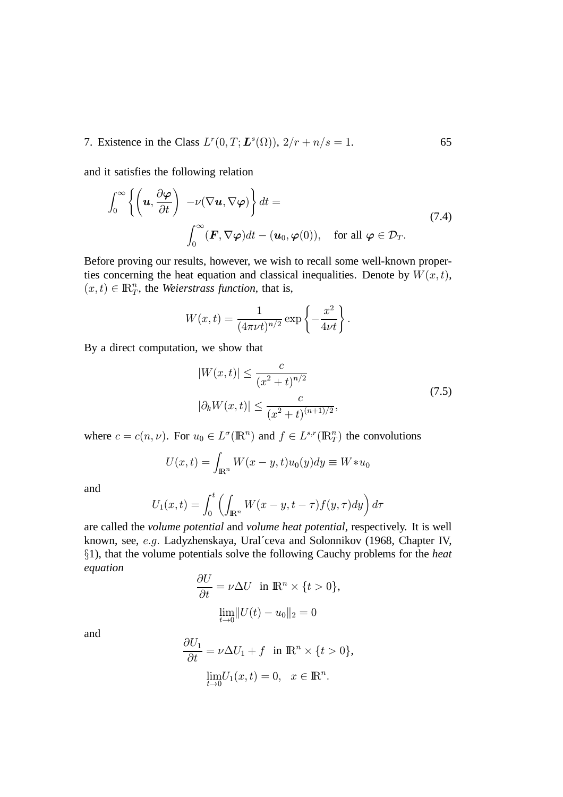7. Existence in the Class  $L^r(0,T; L^s(\Omega))$ ,  $2/r + n/s =$ . 65

and it satisfies the following relation

$$
\int_0^\infty \left\{ \left( \mathbf{u}, \frac{\partial \varphi}{\partial t} \right) - \nu (\nabla \mathbf{u}, \nabla \varphi) \right\} dt =
$$
\n
$$
\int_0^\infty (\mathbf{F}, \nabla \varphi) dt - (\mathbf{u}_0, \varphi(0)), \quad \text{for all } \varphi \in \mathcal{D}_T.
$$
\n(7.4)

Before proving our results, however, we wish to recall some well-known properties concerning the heat equation and classical inequalities. Denote by  $W(x,t)$ ,  $(x, t) \in \mathbb{R}^n$ , the *Weierstrass function*, that is,

$$
W(x,t) = \frac{1}{(4\pi\nu t)^{n/2}} \exp\left\{-\frac{x^2}{4\nu t}\right\}.
$$

By a direct computation, we show that

$$
|W(x,t)| \le \frac{c}{(x^2+t)^{n/2}}
$$
  

$$
|\partial_k W(x,t)| \le \frac{c}{(x^2+t)^{(n+1)/2}},
$$
 (7.5)

where  $c = c(n, \nu)$ . For  $u_0 \in L^{\sigma}(\mathbb{R}^n)$  and  $f \in L^{s,r}(\mathbb{R}^n)$  the convolutions

$$
U(x,t) = \int_{\mathbb{R}^n} W(x-y,t)u_0(y)dy \equiv W \ast u_0
$$

and

$$
U_1(x,t) = \int_0^t \left( \int_{\mathbb{R}^n} W(x-y, t-\tau) f(y, \tau) dy \right) d\tau
$$

are called the *volume potential* and *volume heat potential*, respectively. It is well known, see, e.g. Ladyzhenskaya, Ural´ceva and Solonnikov (1968, Chapter IV, 1), that the volume potentials solve the following Cauchy problems for the *heat equation*

$$
\frac{\partial U}{\partial t} = \nu \Delta U \text{ in } \mathbb{R}^n \times \{t > 0\},
$$

$$
\lim_{t \to 0} ||U(t) - u_0||_2 = 0
$$

and

$$
\frac{\partial U_1}{\partial t} = \nu \Delta U_1 + f \text{ in } \mathbb{R}^n \times \{t > 0\},
$$

$$
\lim_{t \to 0} U_1(x, t) = 0, \quad x \in \mathbb{R}^n.
$$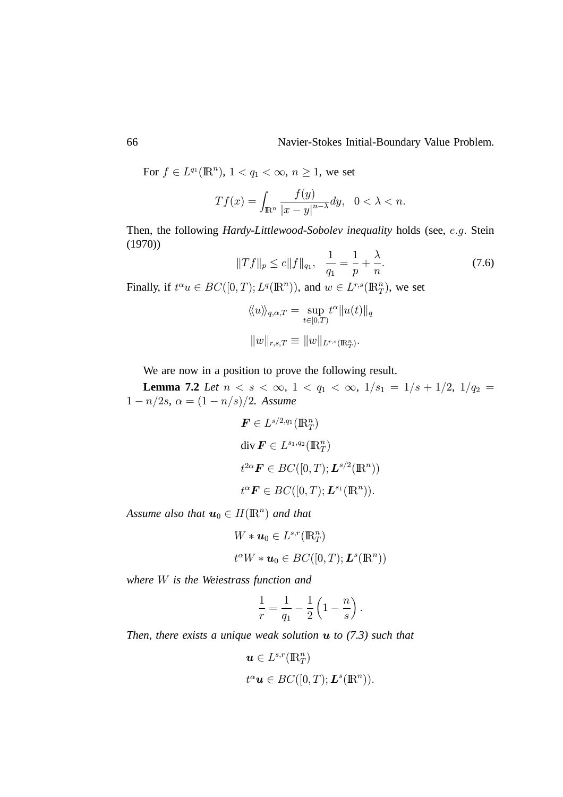For  $f \in L^{q_1}(\mathbb{R}^n)$ ,  $1 < q_1 < \infty$ ,  $n \ge 1$ , we set

$$
Tf(x) = \int_{\mathbb{R}^n} \frac{f(y)}{|x - y|^{n - \lambda}} dy, \quad 0 < \lambda < n.
$$

Then, the following *Hardy-Littlewood-Sobolev inequality* holds (see, e.g. Stein (1970))

$$
||Tf||_p \le c||f||_{q_1}, \quad \frac{1}{q_1} = \frac{1}{p} + \frac{\lambda}{n}.
$$
 (7.6)

Finally, if  $t^{\alpha}u \in BC([0, T); L^q(\mathbb{R}^n))$ , and  $w \in L^{r,s}(\mathbb{R}^n_T)$ , we set

$$
\langle\!\langle u \rangle\!\rangle_{q,\alpha,T} = \sup_{t \in [0,T)} t^{\alpha} ||u(t)||_q
$$

$$
||w||_{r,s,T} \equiv ||w||_{L^{r,s}(\mathbb{R}^n_T)}.
$$

We are now in a position to prove the following result.

**Lemma 7.2** *Let*  $n < s < \infty$ ,  $1 < q_1 < \infty$ ,  $1/s_1 = 1/s + 1/2$ ,  $1/q_2 =$  $1 - n/2s$ ,  $\alpha = (1 - n/s)/2$ . Assume

$$
\mathbf{F} \in L^{s/2,q_1}(\mathbb{R}^n_T)
$$
  
div  $\mathbf{F} \in L^{s_1,q_2}(\mathbb{R}^n_T)$   
 $t^{2\alpha} \mathbf{F} \in BC([0,T); \mathbf{L}^{s/2}(\mathbb{R}^n))$   
 $t^{\alpha} \mathbf{F} \in BC([0,T); \mathbf{L}^{s_1}(\mathbb{R}^n)).$ 

Assume also that  $u_0 \in H(\mathbb{R}^n)$  and that

$$
W * u_0 \in L^{s,r}(\mathbb{R}^n_T)
$$
  

$$
t^{\alpha}W * u_0 \in BC([0,T); L^s(\mathbb{R}^n))
$$

*where is the Weiestrass function and*

$$
\frac{1}{r}=\frac{1}{q_1}-\frac{1}{2}\left(1-\frac{n}{s}\right).
$$

*Then, there exists a unique weak solution to (7.3) such that*

$$
\mathbf{u} \in L^{s,r}(\mathbb{R}^n_T)
$$
  

$$
t^{\alpha} \mathbf{u} \in BC([0,T); \mathbf{L}^s(\mathbb{R}^n)).
$$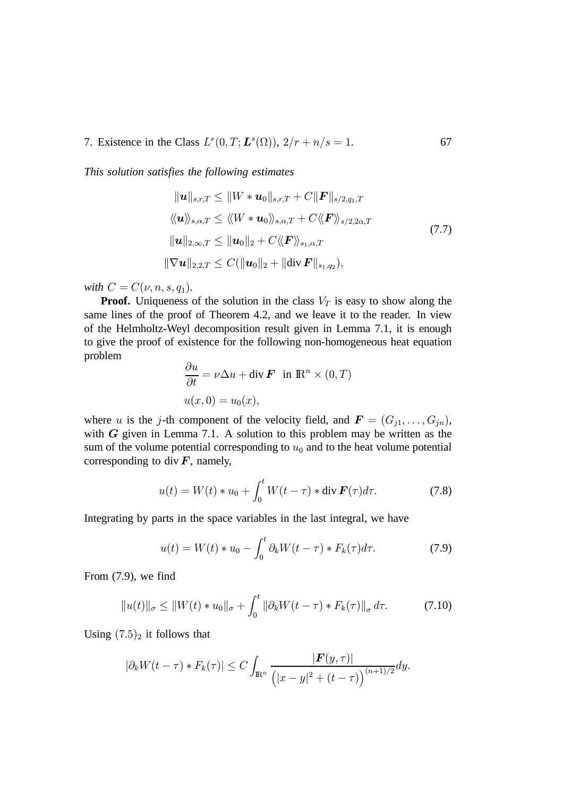7. Existence in the Class  $L^r(0,T; L^s(\Omega))$ ,  $2/r + n/s =$ . 67

*This solution satisfies the following estimates*

$$
\|u\|_{s,r,T} \leq \|W * u_0\|_{s,r,T} + C\|F\|_{s/2,q_1,T}
$$
  

$$
\langle\langle \mathbf{u} \rangle\rangle_{s,\alpha,T} \leq \langle\langle W * u_0 \rangle\rangle_{s,\alpha,T} + C \langle\langle F \rangle\rangle_{s/2,2\alpha,T}
$$
  

$$
\|u\|_{2,\infty,T} \leq \|u_0\|_2 + C \langle\langle F \rangle\rangle_{s_1,\alpha,T}
$$
  

$$
\|\nabla u\|_{2,2,T} \leq C(\|u_0\|_2 + \|\text{div}\,F\|_{s_1,q_2}),
$$
 (7.7)

*with*  $C = C(\nu, n, s, q_1)$ .

**Proof.** Uniqueness of the solution in the class  $V_T$  is easy to show along the same lines of the proof of Theorem 4.2, and we leave it to the reader. In view of the Helmholtz-Weyl decomposition result given in Lemma 7.1, it is enough to give the proof of existence for the following non-homogeneous heat equation problem

$$
\frac{\partial u}{\partial t} = \nu \Delta u + \text{div } \mathbf{F} \text{ in } \mathbb{R}^n \times (0, T)
$$
  

$$
u(x, 0) = u_0(x),
$$

where u is the j-th component of the velocity field, and  $F = (G_{j1}, \ldots, G_{jn}),$ with  $G$  given in Lemma 7.1. A solution to this problem may be written as the sum of the volume potential corresponding to  $u_0$  and to the heat volume potential corresponding to div  $\vec{F}$ , namely,

$$
u(t) = W(t) * u_0 + \int_0^t W(t - \tau) * \operatorname{div} \mathbf{F}(\tau) d\tau.
$$
 (7.8)

Integrating by parts in the space variables in the last integral, we have

$$
u(t) = W(t) * u_0 - \int_0^t \partial_k W(t - \tau) * F_k(\tau) d\tau.
$$
 (7.9)

From (7.9), we find

$$
||u(t)||_{\sigma} \le ||W(t) * u_0||_{\sigma} + \int_0^t ||\partial_k W(t - \tau) * F_k(\tau)||_{\sigma} d\tau.
$$
 (7.10)

Using  $(7.5)<sub>2</sub>$  it follows that

$$
|\partial_k W(t-\tau) * F_k(\tau)| \leq C \int_{\mathbb{R}^n} \frac{|\boldsymbol{F}(y,\tau)|}{\left(|x-y|^2 + (t-\tau)\right)^{(n+1)/2}} dy.
$$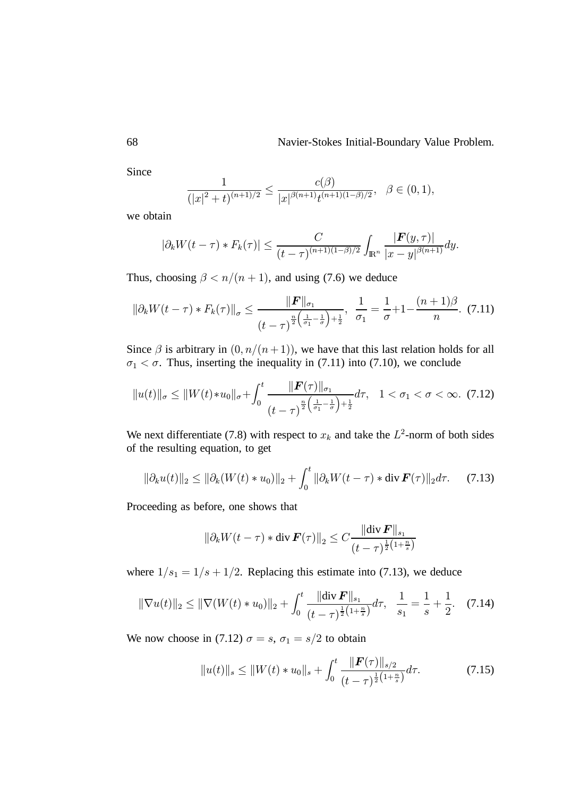Since

$$
\frac{1}{(|x|^2+t)^{(n+1)/2}} \le \frac{c(\beta)}{|x|^{\beta(n+1)}t^{(n+1)(1-\beta)/2}}, \quad \beta \in (0,1),
$$

we obtain

$$
|\partial_k W(t-\tau) * F_k(\tau)| \leq \frac{C}{(t-\tau)^{(n+1)(1-\beta)/2}} \int_{\mathbb{R}^n} \frac{|F(y,\tau)|}{|x-y|^{\beta(n+1)}} dy.
$$

Thus, choosing  $\beta < n/(n+1)$ , and using (7.6) we deduce

$$
\|\partial_k W(t-\tau) * F_k(\tau)\|_{\sigma} \le \frac{\|\mathbf{F}\|_{\sigma_1}}{(t-\tau)^{\frac{n}{2}\left(\frac{1}{\sigma_1}-\frac{1}{\sigma}\right)+\frac{1}{2}}}, \ \ \frac{1}{\sigma_1} = \frac{1}{\sigma} + 1 - \frac{(n+1)\beta}{n}.\ \ (7.11)
$$

Since  $\beta$  is arbitrary in  $(0, n/(n+1))$ , we have that this last relation holds for all  $\sigma_1 < \sigma$ . Thus, inserting the inequality in (7.11) into (7.10), we conclude

$$
||u(t)||_{\sigma} \leq ||W(t) * u_0||_{\sigma} + \int_0^t \frac{||\boldsymbol{F}(\tau)||_{\sigma_1}}{(t-\tau)^{\frac{n}{2}\left(\frac{1}{\sigma_1}-\frac{1}{\sigma}\right)+\frac{1}{2}}}d\tau, \quad 1 < \sigma_1 < \sigma < \infty. \tag{7.12}
$$

We next differentiate (7.8) with respect to  $x_k$  and take the  $L^2$ -norm of both sides of the resulting equation, to get

$$
\|\partial_k u(t)\|_2 \le \|\partial_k (W(t) * u_0)\|_2 + \int_0^t \|\partial_k W(t - \tau) * \operatorname{div} \mathbf{F}(\tau)\|_2 d\tau. \tag{7.13}
$$

Proceeding as before, one shows that

$$
\|\partial_k W(t-\tau) * \operatorname{div} \boldsymbol{F}(\tau)\|_2 \leq C \frac{\|\operatorname{div} \boldsymbol{F}\|_{s_1}}{(t-\tau)^{\frac{1}{2}(1+\frac{n}{s})}}
$$

where  $1/s_1 = 1/s + 1/2$ . Replacing this estimate into (7.13), we deduce

$$
\|\nabla u(t)\|_2 \le \|\nabla (W(t) * u_0)\|_2 + \int_0^t \frac{\|\text{div}\,\mathbf{F}\|_{s_1}}{(t-\tau)^{\frac{1}{2}\left(1+\frac{n}{s}\right)}} d\tau, \quad \frac{1}{s_1} = \frac{1}{s} + \frac{1}{2}. \quad (7.14)
$$

We now choose in (7.12)  $\sigma = s$ ,  $\sigma_1 = s/2$  to obtain

$$
||u(t)||_{s} \leq ||W(t) * u_{0}||_{s} + \int_{0}^{t} \frac{||\boldsymbol{F}(\tau)||_{s/2}}{(t-\tau)^{\frac{1}{2}(1+\frac{n}{s})}} d\tau.
$$
 (7.15)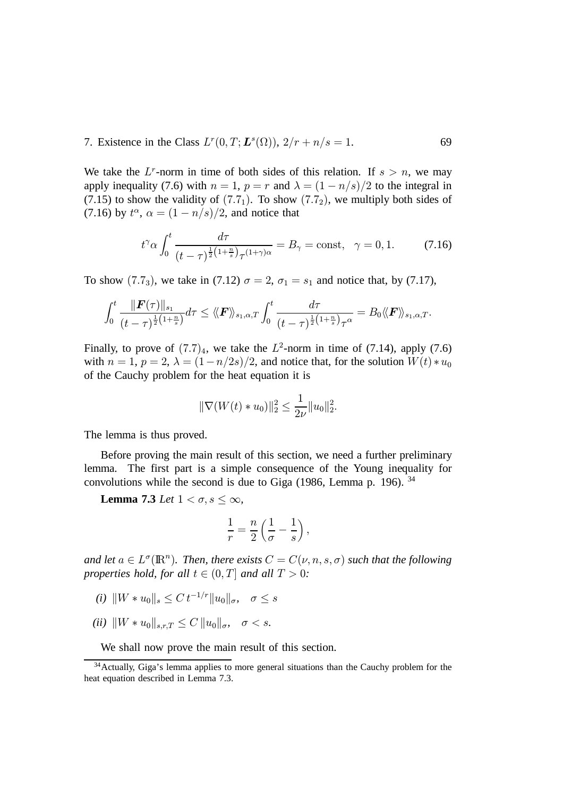#### 7. Existence in the Class  $L^r(0,T; L^s(\Omega))$ ,  $2/r + n/s =$ . 69

We take the  $L^r$ -norm in time of both sides of this relation. If  $s > n$ , we may apply inequality (7.6) with  $n = 1$ ,  $p = r$  and  $\lambda = (1 - n/s)/2$  to the integral in (7.15) to show the validity of  $(7.7<sub>1</sub>)$ . To show  $(7.7<sub>2</sub>)$ , we multiply both sides of (7.16) by  $t^{\alpha}$ ,  $\alpha = (1 - n/s)/2$ , and notice that

$$
t^{\gamma} \alpha \int_0^t \frac{d\tau}{(t-\tau)^{\frac{1}{2}\left(1+\frac{n}{s}\right)}\tau^{(1+\gamma)\alpha}} = B_{\gamma} = \text{const}, \quad \gamma = 0, 1. \tag{7.16}
$$

To show (7.7<sub>3</sub>), we take in (7.12)  $\sigma = 2$ ,  $\sigma_1 = s_1$  and notice that, by (7.17),

$$
\int_0^t\frac{\|\boldsymbol{F}(\tau)\|_{s_1}}{(t-\tau)^{\frac{1}{2}\left(1+\frac{n}{s}\right)}}d\tau\leq \langle\!\langle \boldsymbol{F}\rangle\!\rangle_{s_1,\alpha,T} \int_0^t\frac{d\tau}{(t-\tau)^{\frac{1}{2}\left(1+\frac{n}{s}\right)}\tau^\alpha}=B_0\langle\!\langle \boldsymbol{F}\rangle\!\rangle_{s_1,\alpha,T}.
$$

Finally, to prove of  $(7.7)_4$ , we take the  $L^2$ -norm in time of  $(7.14)$ , apply  $(7.6)$ with  $n = 1$ ,  $p = 2$ ,  $\lambda = (1 - n/2s)/2$ , and notice that, for the solution  $W(t) * u_0$ of the Cauchy problem for the heat equation it is

$$
\|\nabla(W(t) * u_0)\|_2^2 \le \frac{1}{2\nu} \|u_0\|_2^2.
$$

The lemma is thus proved.

Before proving the main result of this section, we need a further preliminary lemma. The first part is a simple consequence of the Young inequality for convolutions while the second is due to Giga (1986, Lemma p. 196). <sup>34</sup>

**Lemma 7.3** *Let*  $1 < \sigma, s \leq \infty$ ,

$$
\frac{1}{r} = \frac{n}{2} \left( \frac{1}{\sigma} - \frac{1}{s} \right),
$$

and let  $a \in L^{\sigma}(\mathbb{R}^n)$ . Then, there exists  $C = C(\nu, n, s, \sigma)$  such that the following *properties hold, for all*  $t \in (0, T]$  and all  $T > 0$ :

- $(i)$   $\|W * u_0\|_s \leq C t^{-1/r} \|u_0\|_\sigma, \quad \sigma \leq s$
- $(ii) \|W * u_0\|_{s,r,T} \leq C \|u_0\|_{\sigma}, \quad \sigma < s.$

We shall now prove the main result of this section.

<sup>&</sup>lt;sup>34</sup> Actually, Giga's lemma applies to more general situations than the Cauchy problem for the heat equation described in Lemma 7.3.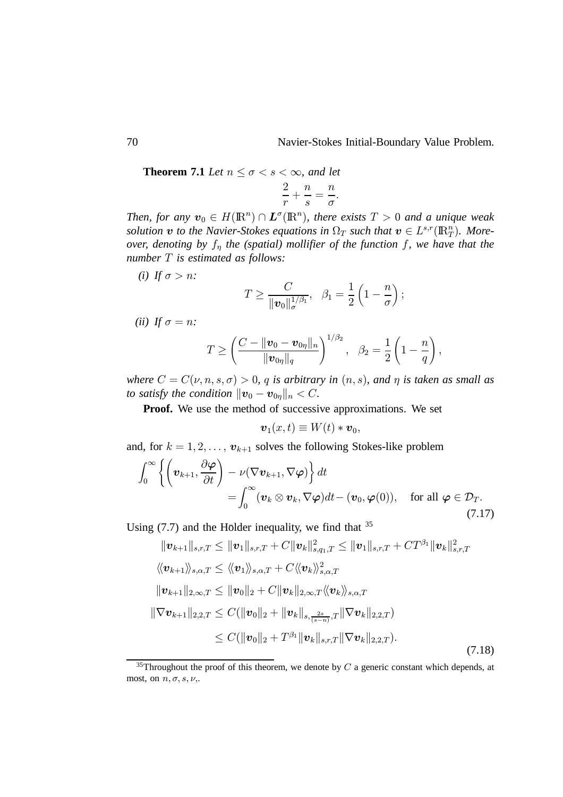**Theorem 7.1** *Let*  $n \leq \sigma < s < \infty$ , and let

$$
\frac{2}{r} + \frac{n}{s} = \frac{n}{\sigma}.
$$

*Then, for any*  $v_0 \in H(\mathbb{R}^n) \cap L^{\sigma}(\mathbb{R}^n)$ *, there exists*  $T > 0$  *and a unique weak* solution  $v$  to the Navier-Stokes equations in  $\Omega_T$  such that  $v \in L^{s,r}(\mathbb{R}^n_T)$ . More*over, denoting by*  $f_n$  *the (spatial) mollifier of the function f, we have that the number is estimated as follows:*

*(i)* If  $\sigma > n$ *:* 

$$
T \geq \frac{C}{\|\boldsymbol{v}_0\|_{\sigma}^{1/\beta_1}}, \quad \beta_1 = \frac{1}{2}\left(1 - \frac{n}{\sigma}\right);
$$

(*ii*) If  $\sigma = n$ :

$$
T \ge \left(\frac{C - \|\mathbf{v}_0 - \mathbf{v}_{0\eta}\|_n}{\|\mathbf{v}_{0\eta}\|_q}\right)^{1/\beta_2}, \ \ \beta_2 = \frac{1}{2}\left(1 - \frac{n}{q}\right),
$$

*where*  $C = C(\nu, n, s, \sigma) > 0$ , q is arbitrary in  $(n, s)$ , and  $\eta$  is taken as small as *to satisfy the condition*  $\|\boldsymbol{v}_0 - \boldsymbol{v}_{0\eta}\|_n < C$ .

**Proof.** We use the method of successive approximations. We set

$$
\boldsymbol{v}_1(x,t)\equiv W(t)*\boldsymbol{v}_0,
$$

and, for  $k = 1, 2, \dots, v_{k+1}$  solves the following Stokes-like problem

$$
\int_0^\infty \left\{ \left( \boldsymbol{v}_{k+1}, \frac{\partial \boldsymbol{\varphi}}{\partial t} \right) - \nu (\nabla \boldsymbol{v}_{k+1}, \nabla \boldsymbol{\varphi}) \right\} dt \n= \int_0^\infty (\boldsymbol{v}_k \otimes \boldsymbol{v}_k, \nabla \boldsymbol{\varphi}) dt - (\boldsymbol{v}_0, \boldsymbol{\varphi}(0)), \quad \text{for all } \boldsymbol{\varphi} \in \mathcal{D}_T.
$$
\n(7.17)

Using  $(7.7)$  and the Hölder inequality, we find that  $35$ 

$$
\|\mathbf{v}_{k+1}\|_{s,r,T} \leq \|\mathbf{v}_{1}\|_{s,r,T} + C \|\mathbf{v}_{k}\|_{s,q_{1},T}^{2} \leq \|\mathbf{v}_{1}\|_{s,r,T} + CT^{\beta_{1}} \|\mathbf{v}_{k}\|_{s,r,T}^{2}
$$
  

$$
\langle\!\langle \mathbf{v}_{k+1} \rangle\!\rangle_{s,\alpha,T} \leq \langle\!\langle \mathbf{v}_{1} \rangle\!\rangle_{s,\alpha,T} + C \langle\!\langle \mathbf{v}_{k} \rangle\!\rangle_{s,\alpha,T}^{2}
$$
  

$$
\|\mathbf{v}_{k+1}\|_{2,\infty,T} \leq \|\mathbf{v}_{0}\|_{2} + C \|\mathbf{v}_{k}\|_{2,\infty,T} \langle\!\langle \mathbf{v}_{k} \rangle\!\rangle_{s,\alpha,T}
$$
  

$$
\|\nabla \mathbf{v}_{k+1}\|_{2,2,T} \leq C (\|\mathbf{v}_{0}\|_{2} + \|\mathbf{v}_{k}\|_{s,\frac{2s}{(s-n)},T} \|\nabla \mathbf{v}_{k}\|_{2,2,T})
$$
  

$$
\leq C (\|\mathbf{v}_{0}\|_{2} + T^{\beta_{1}} \|\mathbf{v}_{k}\|_{s,r,T} \|\nabla \mathbf{v}_{k}\|_{2,2,T}).
$$
 (7.18)

 $35$ Throughout the proof of this theorem, we denote by  $C$  a generic constant which depends, at most, on  $n, \sigma, s, \nu$ ,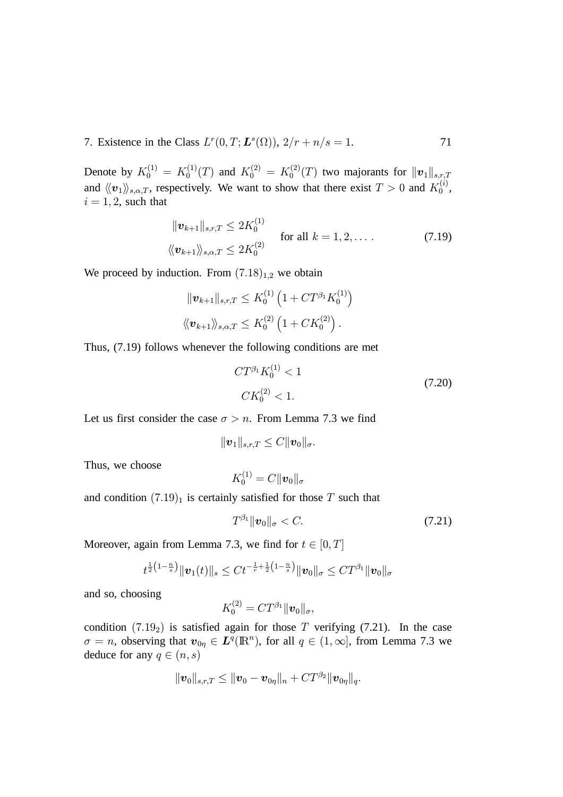7. Existence in the Class  $L^r(0,T; L^s(\Omega))$ ,  $2/r + n/s =$ 

Denote by  $K_0^{(1)} = K_0^{(1)}$  $K_0^{(1)}(T)$  and  $K_0^{(2)} = K_0^{(2)}$  $t_0^{(2)}(T)$  two majorants for  $||\boldsymbol{v}_1||_{s,r,T}$ and  $\langle\!\langle v_1\rangle\!\rangle_{s,\alpha,T}$ , respectively. We want to show that there exist  $T > 0$  and  $K_0^{(i)}$  $\overset{\scriptscriptstyle(i)}{\underset{0}{\scriptscriptstyle{0}}}$  $i = 1, 2$ , such that

$$
\|\boldsymbol{v}_{k+1}\|_{s,r,T} \leq 2K_0^{(1)} \quad \text{for all } k = 1, 2, \dots
$$
\n
$$
\langle\!\langle \boldsymbol{v}_{k+1} \rangle\!\rangle_{s,\alpha,T} \leq 2K_0^{(2)} \quad \text{for all } k = 1, 2, \dots
$$
\n(7.19)

We proceed by induction. From  $(7.18)_{1,2}$  we obtain

$$
\begin{aligned}\n\|\boldsymbol{v}_{k+1}\|_{s,r,T} &\leq K_0^{(1)} \left(1 + CT^{\beta_1} K_0^{(1)}\right) \\
\langle\!\langle \boldsymbol{v}_{k+1} \rangle\!\rangle_{s,\alpha,T} &\leq K_0^{(2)} \left(1 + CK_0^{(2)}\right).\n\end{aligned}
$$

Thus, (7.19) follows whenever the following conditions are met

$$
CT^{\beta_1}K_0^{(1)} < 1
$$
\n
$$
CK_0^{(2)} < 1.
$$
\n(7.20)

. 71

Let us first consider the case  $\sigma > n$ . From Lemma 7.3 we find

$$
\|\boldsymbol{v}_1\|_{s,r,T}\leq C\|\boldsymbol{v}_0\|_{\sigma}.
$$

Thus, we choose

$$
K_0^{(1)}=C\|\boldsymbol{v}_0\|_{\sigma}
$$

and condition  $(7.19)_1$  is certainly satisfied for those T such that

$$
T^{\beta_1} \|\boldsymbol{v}_0\|_{\sigma} < C. \tag{7.21}
$$

Moreover, again from Lemma 7.3, we find for  $t \in [0, T]$ 

$$
t^{\frac{1}{2}\left(1-\frac{n}{s}\right)}\|\bm{v}_1(t)\|_s\leq Ct^{-\frac{1}{r}+\frac{1}{2}\left(1-\frac{n}{s}\right)}\|\bm{v}_0\|_{\sigma}\leq CT^{\beta_1}\|\bm{v}_0\|_{\sigma}
$$

and so, choosing

$$
K_0^{(2)}=CT^{\beta_1} \|\boldsymbol{v}_0\|_{\sigma},
$$

condition  $(7.19<sub>2</sub>)$  is satisfied again for those T verifying  $(7.21)$ . In the case  $\sigma = n$ , observing that  $v_{0\eta} \in L^q(\mathbb{R}^n)$ , for all  $q \in (1,\infty]$ , from Lemma 7.3 we deduce for any  $q \in (n, s)$ 

$$
\|\bm{v}_0\|_{s,r,T}\leq \|\bm{v}_0-\bm{v}_{0\eta}\|_n+CT^{\beta_2}\|\bm{v}_{0\eta}\|_q.
$$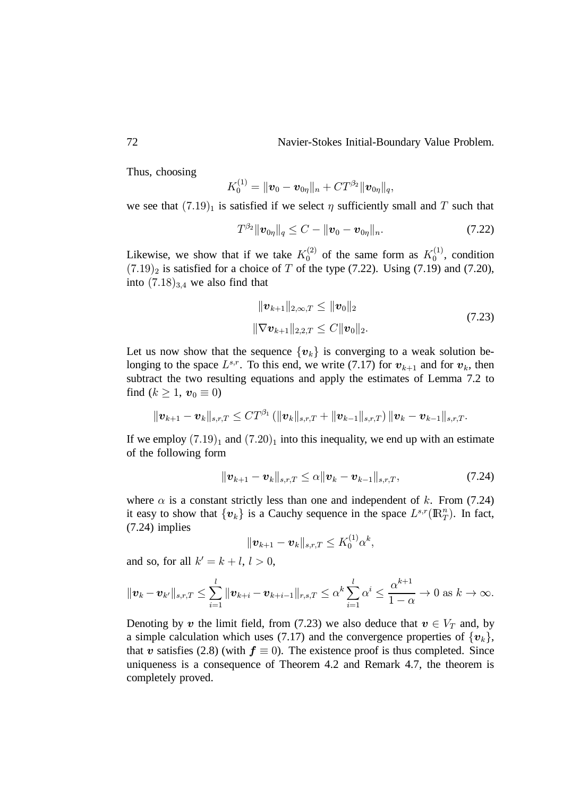Thus, choosing

$$
K_0^{(1)} = \|\boldsymbol{v}_0 - \boldsymbol{v}_{0\eta}\|_n + CT^{\beta_2} \|\boldsymbol{v}_{0\eta}\|_q,
$$

we see that  $(7.19)<sub>1</sub>$  is satisfied if we select  $\eta$  sufficiently small and T such that

$$
T^{\beta_2} \|\bm{v}_{0\eta}\|_q \leq C - \|\bm{v}_0 - \bm{v}_{0\eta}\|_n. \tag{7.22}
$$

Likewise, we show that if we take  $K_0^{(2)}$  of the same form as  $K_0^{(1)}$  $_0^{(1)}$ , condition  $(7.19)_2$  is satisfied for a choice of T of the type (7.22). Using (7.19) and (7.20), into  $(7.18)_{3,4}$  we also find that

$$
\|\boldsymbol{v}_{k+1}\|_{2,\infty,T} \leq \|\boldsymbol{v}_0\|_2
$$
  

$$
\|\nabla \boldsymbol{v}_{k+1}\|_{2,2,T} \leq C \|\boldsymbol{v}_0\|_2.
$$
 (7.23)

Let us now show that the sequence  $\{v_k\}$  is converging to a weak solution belonging to the space  $L^{s,r}$ . To this end, we write (7.17) for  $v_{k+1}$  and for  $v_k$ , then subtract the two resulting equations and apply the estimates of Lemma 7.2 to find  $(k \geq 1, v_0 \equiv 0)$ 

$$
\|\bm{v}_{k+1}-\bm{v}_{k}\|_{s,r,T}\leq CT^{\beta_{1}}\left(\|\bm{v}_{k}\|_{s,r,T}+\|\bm{v}_{k-1}\|_{s,r,T}\right)\|\bm{v}_{k}-\bm{v}_{k-1}\|_{s,r,T}.
$$

If we employ  $(7.19)<sub>1</sub>$  and  $(7.20)<sub>1</sub>$  into this inequality, we end up with an estimate of the following form

$$
\|\bm{v}_{k+1}-\bm{v}_{k}\|_{s,r,T}\leq \alpha \|\bm{v}_{k}-\bm{v}_{k-1}\|_{s,r,T},
$$
\n(7.24)

where  $\alpha$  is a constant strictly less than one and independent of k. From (7.24) it easy to show that  $\{v_k\}$  is a Cauchy sequence in the space  $L^{s,r}(\mathbb{R}^n_T)$ . In fact, (7.24) implies

$$
\|\bm{v}_{k+1}-\bm{v}_{k}\|_{s,r,T}\leq K_{0}^{(1)}\alpha^{k},
$$

and so, for all  $k' = k + l, l > 0$ ,

$$
\|\bm{v}_k-\bm{v}_{k'}\|_{s,r,T}\leq \sum_{i=1}^l \|\bm{v}_{k+i}-\bm{v}_{k+i-1}\|_{r,s,T}\leq \alpha^k \sum_{i=1}^l \alpha^i \leq \frac{\alpha^{k+1}}{1-\alpha}\to 0 \text{ as } k\to \infty.
$$

Denoting by  $v$  the limit field, from (7.23) we also deduce that  $v \in V_T$  and, by a simple calculation which uses (7.17) and the convergence properties of  $\{v_k\}$ , that  $v$  satisfies (2.8) (with  $f \equiv 0$ ). The existence proof is thus completed. Since uniqueness is a consequence of Theorem 4.2 and Remark 4.7, the theorem is completely proved.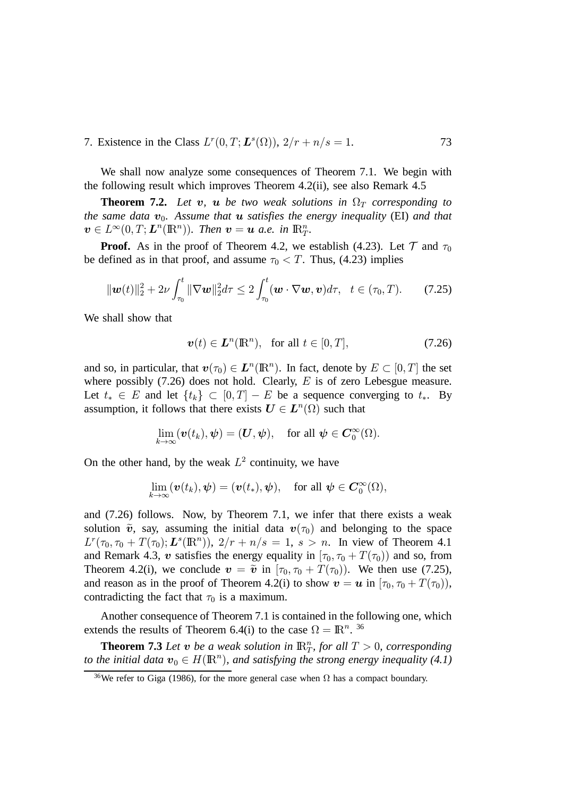7. Existence in the Class  $L^r(0,T; L^s(\Omega))$ ,  $2/r + n/s =$ . 73

We shall now analyze some consequences of Theorem 7.1. We begin with the following result which improves Theorem 4.2(ii), see also Remark 4.5

**Theorem 7.2.** Let  $v$ ,  $u$  be two weak solutions in  $\Omega_T$  corresponding to  $t$ he same data  $\boldsymbol{v}_0$ . Assume that  $\boldsymbol{u}$  satisfies the energy inequality (EI) and that  $\mathbf{v} \in L^{\infty}(0,T; \mathbf{L}^n(\mathbb{R}^n)).$  Then  $\mathbf{v} = \mathbf{u}$  a.e. in  $\mathbb{R}^n_T$ .

**Proof.** As in the proof of Theorem 4.2, we establish (4.23). Let  $\mathcal{T}$  and  $\tau_0$ be defined as in that proof, and assume  $\tau_0 < T$ . Thus, (4.23) implies

$$
\|\boldsymbol{w}(t)\|_2^2 + 2\nu \int_{\tau_0}^t \|\nabla \boldsymbol{w}\|_2^2 d\tau \leq 2 \int_{\tau_0}^t (\boldsymbol{w} \cdot \nabla \boldsymbol{w}, \boldsymbol{v}) d\tau, \quad t \in (\tau_0, T). \tag{7.25}
$$

We shall show that

$$
\boldsymbol{v}(t) \in \boldsymbol{L}^n(\mathbb{R}^n), \text{ for all } t \in [0, T], \tag{7.26}
$$

and so, in particular, that  $\mathbf{v}(\tau_0) \in \mathbf{L}^n(\mathbb{R}^n)$ . In fact, denote by  $E \subset [0, T]$  the set where possibly  $(7.26)$  does not hold. Clearly, E is of zero Lebesgue measure. Let  $t_* \in E$  and let  $\{t_k\} \subset [0,T] - E$  be a sequence converging to  $t_*$ . By assumption, it follows that there exists  $\mathbf{U} \in \mathbf{L}^n(\Omega)$  such that

$$
\lim_{k\to\infty}(\mathbf{v}(t_k),\boldsymbol{\psi})=(\boldsymbol{U},\boldsymbol{\psi}),\quad\text{for all }\boldsymbol{\psi}\in\boldsymbol{C}_0^{\infty}(\Omega).
$$

On the other hand, by the weak  $L^2$  continuity, we have

$$
\lim_{k\to\infty}(\boldsymbol{v}(t_k),\boldsymbol{\psi})=(\boldsymbol{v}(t_*),\boldsymbol{\psi}),\quad\text{for all }\boldsymbol{\psi}\in\boldsymbol{C}_0^{\infty}(\Omega),
$$

and (7.26) follows. Now, by Theorem 7.1, we infer that there exists a weak solution  $\tilde{v}$ , say, assuming the initial data  $v(\tau_0)$  and belonging to the space  $L^r(\tau_0, \tau_0 + T(\tau_0); \mathbf{L}^s(\mathbb{R}^n))$ ,  $2/r + n/s = 1$ ,  $s > n$ . In view of Theorem 4.1 and Remark 4.3,  $\boldsymbol{v}$  satisfies the energy equality in  $[\tau_0, \tau_0 + T(\tau_0)]$  and so, from Theorem 4.2(i), we conclude  $\mathbf{v} = \tilde{\mathbf{v}}$  in  $[\tau_0, \tau_0 + T(\tau_0)]$ . We then use (7.25), and reason as in the proof of Theorem 4.2(i) to show  $\mathbf{v} = \mathbf{u}$  in  $[\tau_0, \tau_0 + T(\tau_0)]$ , contradicting the fact that  $\tau_0$  is a maximum.

Another consequence of Theorem 7.1 is contained in the following one, which extends the results of Theorem 6.4(i) to the case  $\Omega = \mathbb{R}^n$ . <sup>36</sup>

**Theorem 7.3** Let **v** be a weak solution in  $\mathbb{R}^n$ , for all  $T > 0$ , corresponding to the initial data  $\boldsymbol{v}_0 \in H(\boldsymbol{\mathbb{R}}^n)$ , and satisfying the strong energy inequality (4.1)

<sup>&</sup>lt;sup>36</sup>We refer to Giga (1986), for the more general case when  $\Omega$  has a compact boundary.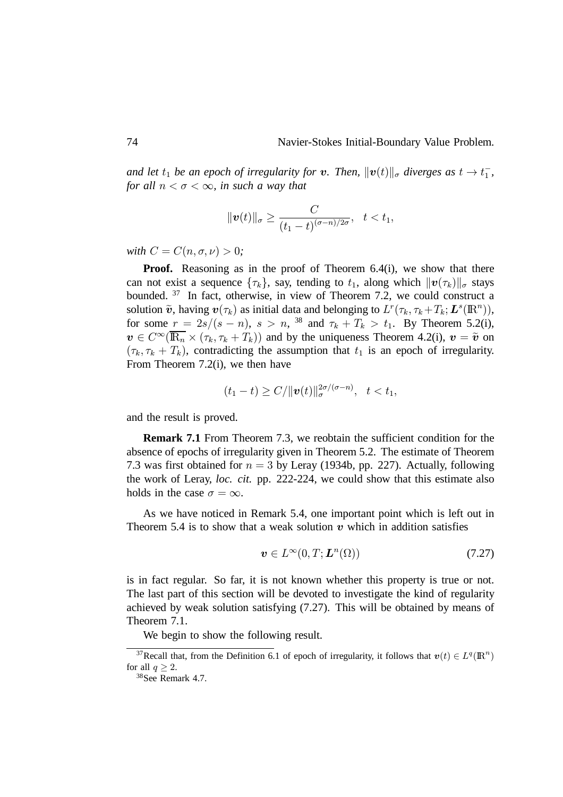and let  $t_1$  be an epoch of irregularity for **v**. Then,  $\|\boldsymbol{v}(t)\|_{\sigma}$  diverges as  $t \to t_1^-$ , *for all*  $n < \sigma < \infty$ *, in such a way that* 

$$
\|\boldsymbol{v}(t)\|_{\sigma}\geq\frac{C}{(t_1-t)^{(\sigma-n)/2\sigma}},\quad t
$$

*with*  $C = C(n, \sigma, \nu) > 0;$ 

**Proof.** Reasoning as in the proof of Theorem 6.4(i), we show that there can not exist a sequence  $\{\tau_k\}$ , say, tending to  $t_1$ , along which  $\|\boldsymbol{v}(\tau_k)\|_{\sigma}$  stays bounded. <sup>37</sup> In fact, otherwise, in view of Theorem 7.2, we could construct a solution  $\tilde{v}$ , having  $v(\tau_k)$  as initial data and belonging to  $L^r(\tau_k, \tau_k + T_k; L^s(\mathbb{R}^n))$ , for some  $r = 2s/(s - n)$ ,  $s > n$ , <sup>38</sup> and  $\tau_k + T_k > t_1$ . By Theorem 5.2(i),  $\mathbf{v} \in C^{\infty}(\overline{\mathbb{R}_n} \times (\tau_k, \tau_k + T_k))$  and by the uniqueness Theorem 4.2(i),  $\mathbf{v} = \tilde{\mathbf{v}}$  on  $(\tau_k, \tau_k + T_k)$ , contradicting the assumption that  $t_1$  is an epoch of irregularity. From Theorem 7.2(i), we then have

$$
(t_1 - t) \ge C / \| \boldsymbol{v}(t) \|_{\sigma}^{2\sigma/(\sigma - n)}, \quad t < t_1,
$$

and the result is proved.

**Remark 7.1** From Theorem 7.3, we reobtain the sufficient condition for the absence of epochs of irregularity given in Theorem 5.2. The estimate of Theorem 7.3 was first obtained for  $n = 3$  by Leray (1934b, pp. 227). Actually, following the work of Leray, *loc. cit.* pp. 222-224, we could show that this estimate also holds in the case  $\sigma = \infty$ .

As we have noticed in Remark 5.4, one important point which is left out in Theorem 5.4 is to show that a weak solution  $v$  which in addition satisfies

$$
\boldsymbol{v} \in L^{\infty}(0, T; \boldsymbol{L}^{n}(\Omega))
$$
\n(7.27)

is in fact regular. So far, it is not known whether this property is true or not. The last part of this section will be devoted to investigate the kind of regularity achieved by weak solution satisfying (7.27). This will be obtained by means of Theorem 7.1.

We begin to show the following result.

<sup>&</sup>lt;sup>37</sup>Recall that, from the Definition 6.1 of epoch of irregularity, it follows that  $v(t) \in L^q(\mathbb{R}^n)$ for all  $q \geq 2$ .

<sup>38</sup>See Remark 4.7.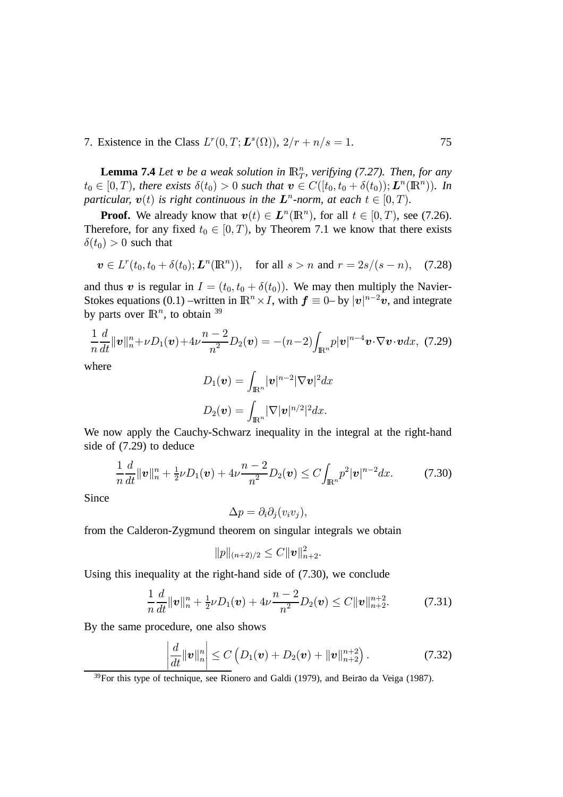7. Existence in the Class  $L^r(0,T; L^s(\Omega))$ ,  $2/r + n/s =$ . 75

**Lemma 7.4** *Let*  $\boldsymbol{v}$  *be a weak solution in*  $\mathbb{R}_T^n$ , *verifying (7.27). Then, for any*  $t_0 \in [0, T)$ , there exists  $\delta(t_0) > 0$  such that  $\mathbf{v} \in C([t_0, t_0 + \delta(t_0)); L^n(\mathbb{R}^n)$ . In particular,  $v(t)$  is right continuous in the  $L^n$ -norm, at each  $t \in [0, T)$ .

**Proof.** We already know that  $v(t) \in L^n(\mathbb{R}^n)$ , for all  $t \in [0, T)$ , see (7.26). Therefore, for any fixed  $t_0 \in [0, T)$ , by Theorem 7.1 we know that there exists  $\delta(t_0) > 0$  such that

$$
\mathbf{v} \in L^r(t_0, t_0 + \delta(t_0); \mathbf{L}^n(\mathbb{R}^n)), \quad \text{for all } s > n \text{ and } r = 2s/(s - n), \quad (7.28)
$$

and thus  $\boldsymbol{v}$  is regular in  $I = (t_0, t_0 + \delta(t_0))$ . We may then multiply the Navier-Stokes equations (0.1) –written in  $\mathbb{R}^n \times I$ , with  $\mathbf{f} \equiv 0$ – by  $|\mathbf{v}|^{n-2} \mathbf{v}$ , and integrate by parts over  $\mathbb{R}^n$ , to obtain  $39$ 

$$
\frac{1}{n}\frac{d}{dt}\|\mathbf{v}\|_{n}^{n}+\nu D_{1}(\mathbf{v})+4\nu\frac{n-2}{n^{2}}D_{2}(\mathbf{v})=(-(n-2)\int_{\mathbb{R}^{n}}p|\mathbf{v}|^{n-4}\mathbf{v}\cdot\nabla\mathbf{v}\cdot\mathbf{v}dx, (7.29)
$$

where

$$
D_1(\boldsymbol{v}) = \int_{\mathbb{R}^n} |\boldsymbol{v}|^{n-2} |\nabla \boldsymbol{v}|^2 dx
$$
  

$$
D_2(\boldsymbol{v}) = \int_{\mathbb{R}^n} |\nabla |\boldsymbol{v}|^{n/2} |^2 dx.
$$

We now apply the Cauchy-Schwarz inequality in the integral at the right-hand side of (7.29) to deduce

$$
\frac{1}{n}\frac{d}{dt}\|\mathbf{v}\|_{n}^{n}+\frac{1}{2}\nu D_{1}(\mathbf{v})+4\nu\frac{n-2}{n^{2}}D_{2}(\mathbf{v})\leq C\int_{\mathbb{R}^{n}}p^{2}|\mathbf{v}|^{n-2}dx.
$$
 (7.30)

Since

$$
\Delta p = \partial_i \partial_j (v_i v_j),
$$

from the Calderon-Zygmund theorem on singular integrals we obtain

$$
||p||_{(n+2)/2} \leq C||\boldsymbol{v}||^2_{n+2}.
$$

Using this inequality at the right-hand side of (7.30), we conclude

$$
\frac{1}{n}\frac{d}{dt}\|\mathbf{v}\|_{n}^{n}+\frac{1}{2}\nu D_{1}(\mathbf{v})+4\nu\frac{n-2}{n^{2}}D_{2}(\mathbf{v})\leq C\|\mathbf{v}\|_{n+2}^{n+2}.\tag{7.31}
$$

By the same procedure, one also shows

$$
\left|\frac{d}{dt}\|\bm{v}\|_{n}^{n}\right|\leq C\left(D_{1}(\bm{v})+D_{2}(\bm{v})+\|\bm{v}\|_{n+2}^{n+2}\right).
$$
\n(7.32)

 $39$ For this type of technique, see Rionero and Galdi (1979), and Beirão da Veiga (1987).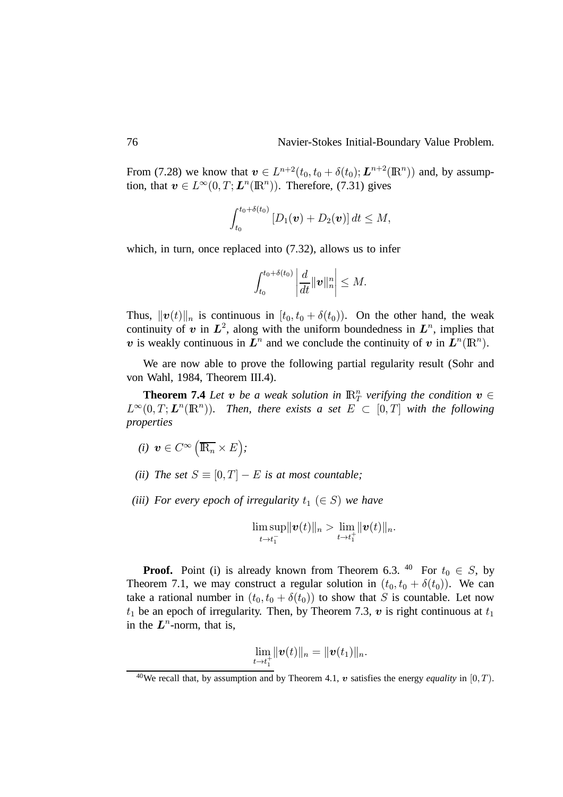From (7.28) we know that  $\mathbf{v} \in L^{n+2}(t_0, t_0 + \delta(t_0); \mathbf{L}^{n+2}(\mathbb{R}^n))$  and, by assumption, that  $\mathbf{v} \in L^{\infty}(0,T; \mathbf{L}^n(\mathbb{R}^n))$ . Therefore, (7.31) gives

$$
\int_{t_0}^{t_0+\delta(t_0)} \left[ D_1(\bm{v}) + D_2(\bm{v}) \right] dt \leq M,
$$

which, in turn, once replaced into  $(7.32)$ , allows us to infer

$$
\left|\int_{t_0}^{t_0+\delta(t_0)}\left|\frac{d}{dt}\|\boldsymbol{v}\|_n^n\right|\leq M.
$$

Thus,  $||\boldsymbol{v}(t)||_n$  is continuous in  $[t_0, t_0 + \delta(t_0))$ . On the other hand, the weak continuity of  $v$  in  $L^2$ , along with the uniform boundedness in  $L^n$ , implies that v is weakly continuous in  $L^n$  and we conclude the continuity of v in  $L^n(\mathbb{R}^n)$ .

We are now able to prove the following partial regularity result (Sohr and von Wahl, 1984, Theorem III.4).

**Theorem 7.4** *Let*  $v$  *be a weak solution in*  $\mathbb{R}^n$  *verifying the condition*  $v \in$  $L^{\infty}(0,T;\mathbf{L}^n(\mathbb{R}^n))$ . Then, there exists a set  $E \subset [0,T]$  with the following *properties*

- $(i)$   $\boldsymbol{v} \in C^\infty \left(\overline{\mathbb{R}_n} \times E\right);$
- *(ii)* The set  $S \equiv [0, T] E$  is at most countable;
- *(iii)* For every epoch of irregularity  $t_1$   $(\in S)$  we have

$$
\limsup_{t\to t_1^-}\|\boldsymbol{v}(t)\|_n>\lim_{t\to t_1^+}\|\boldsymbol{v}(t)\|_n.
$$

**Proof.** Point (i) is already known from Theorem 6.3. <sup>40</sup> For  $t_0 \in S$ , by Theorem 7.1, we may construct a regular solution in  $(t_0, t_0 + \delta(t_0))$ . We can take a rational number in  $(t_0, t_0 + \delta(t_0))$  to show that S is countable. Let now  $t_1$  be an epoch of irregularity. Then, by Theorem 7.3,  $\boldsymbol{v}$  is right continuous at  $t_1$ in the  $L^n$ -norm, that is,

$$
\lim_{t\to t_1^+}\|\bm{v}(t)\|_n=\|\bm{v}(t_1)\|_n.
$$

<sup>&</sup>lt;sup>40</sup>We recall that, by assumption and by Theorem 4.1,  $\boldsymbol{v}$  satisfies the energy *equality* in [0,*T*].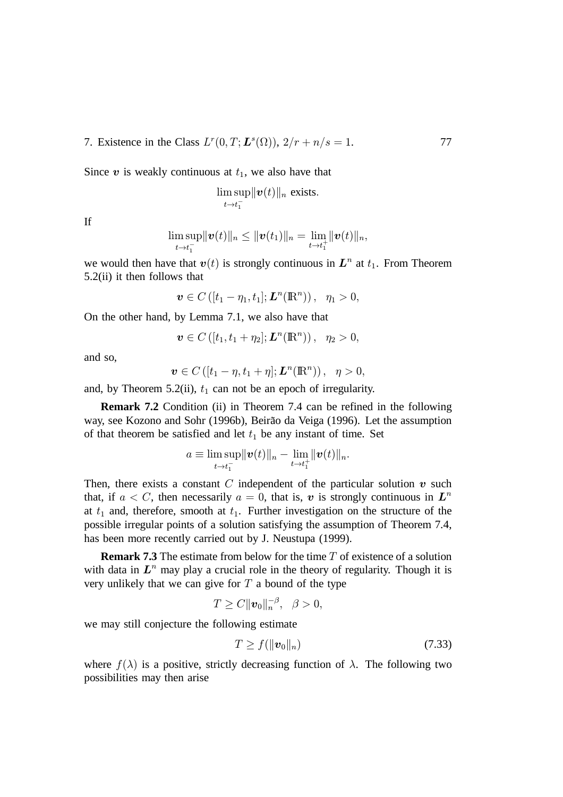7. Existence in the Class  $L^r(0,T; L^s(\Omega))$ ,  $2/r + n/s =$ . 77

Since  $v$  is weakly continuous at  $t_1$ , we also have that

$$
\limsup_{t\to t_1^-} ||\boldsymbol{v}(t)||_n \text{ exists.}
$$

If

$$
\limsup_{t\to t_1^-} \|\bm{v}(t)\|_n \leq \|\bm{v}(t_1)\|_n = \lim_{t\to t_1^+} \|\bm{v}(t)\|_n,
$$

we would then have that  $v(t)$  is strongly continuous in  $L^n$  at  $t_1$ . From Theorem 5.2(ii) it then follows that

$$
\boldsymbol{v}\in C\left([t_1-\eta_1,t_1];\boldsymbol{L}^n(\mathbb{R}^n)\right),\ \ \eta_1>0,
$$

On the other hand, by Lemma 7.1, we also have that

$$
\boldsymbol{v}\in C\left([t_1,t_1+\eta_2];\boldsymbol{L}^n(\mathbb{R}^n)\right), \ \ \eta_2>0,
$$

and so,

$$
\boldsymbol{v}\in C\left([t_1-\eta,t_1+\eta];\boldsymbol{L}^n(\mathbb{R}^n)\right),\ \ \eta>0,
$$

and, by Theorem 5.2(ii),  $t_1$  can not be an epoch of irregularity.

**Remark 7.2** Condition (ii) in Theorem 7.4 can be refined in the following way, see Kozono and Sohr (1996b), Beirão da Veiga (1996). Let the assumption of that theorem be satisfied and let  $t_1$  be any instant of time. Set

$$
a \equiv \limsup_{t \to t_1^-} \|\boldsymbol{v}(t)\|_n - \lim_{t \to t_1^+} \|\boldsymbol{v}(t)\|_n.
$$

Then, there exists a constant C independent of the particular solution  $v$  such that, if  $a < C$ , then necessarily  $a = 0$ , that is, v is strongly continuous in  $L^n$ at  $t_1$  and, therefore, smooth at  $t_1$ . Further investigation on the structure of the possible irregular points of a solution satisfying the assumption of Theorem 7.4, has been more recently carried out by J. Neustupa (1999).

**Remark 7.3** The estimate from below for the time  $T$  of existence of a solution with data in  $L^n$  may play a crucial role in the theory of regularity. Though it is very unlikely that we can give for  $T$  a bound of the type

$$
T\geq C\|\boldsymbol{v}_0\|_n^{-\beta},\ \ \beta>0,
$$

we may still conjecture the following estimate

$$
T \ge f(\|\boldsymbol{v}_0\|_n) \tag{7.33}
$$

where  $f(\lambda)$  is a positive, strictly decreasing function of  $\lambda$ . The following two possibilities may then arise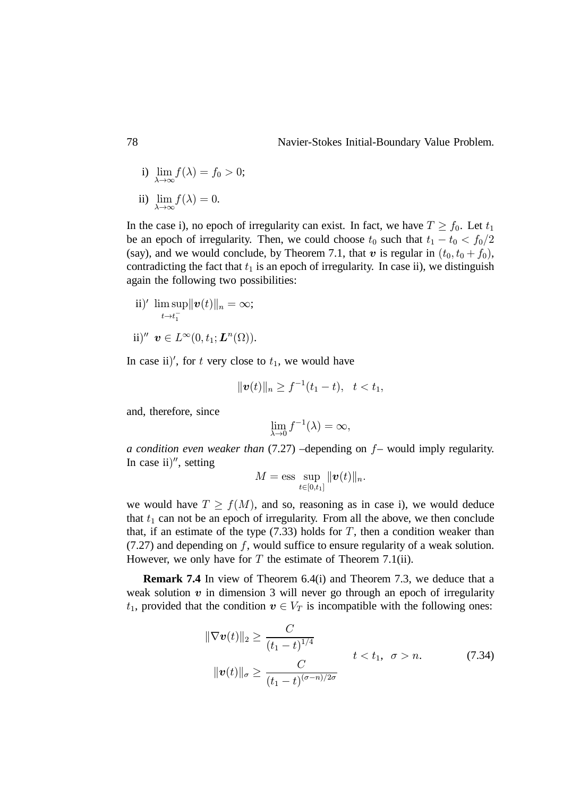i) lim  $\lambda \rightarrow \infty$  $f(\lambda) = f_0 > 0;$ ii)  $f(\lambda) = 0.$ 

 $\lambda \rightarrow \infty$ 

In the case i), no epoch of irregularity can exist. In fact, we have  $T \ge f_0$ . Let  $t_1$ be an epoch of irregularity. Then, we could choose  $t_0$  such that  $t_1 - t_0 < f_0/2$ (say), and we would conclude, by Theorem 7.1, that  $\boldsymbol{v}$  is regular in  $(t_0, t_0 + f_0)$ , contradicting the fact that  $t_1$  is an epoch of irregularity. In case ii), we distinguish again the following two possibilities:

ii)'  $\limsup \|v(t)\|_n = \infty;$  $t\rightarrow t_1^$ ii)''  $\boldsymbol{v} \in L^{\infty}(0, t_1; \boldsymbol{L}^n(\Omega)).$ 

In case ii)', for t very close to  $t_1$ , we would have

$$
\|\bm{v}(t)\|_n\geq f^{-1}(t_1-t),\ \ t
$$

and, therefore, since

$$
\lim_{\lambda \to 0} f^{-1}(\lambda) = \infty,
$$

*a condition even weaker than* (7.27) –depending on  $f$ – would imply regularity. In case ii)", setting

$$
M=\text{ess}\sup_{t\in[0,t_1]}\|\boldsymbol{v}(t)\|_n.
$$

we would have  $T \ge f(M)$ , and so, reasoning as in case i), we would deduce that  $t_1$  can not be an epoch of irregularity. From all the above, we then conclude that, if an estimate of the type  $(7.33)$  holds for T, then a condition weaker than  $(7.27)$  and depending on f, would suffice to ensure regularity of a weak solution. However, we only have for  $T$  the estimate of Theorem 7.1(ii).

**Remark 7.4** In view of Theorem 6.4(i) and Theorem 7.3, we deduce that a weak solution  $v$  in dimension 3 will never go through an epoch of irregularity  $t_1$ , provided that the condition  $v \in V_T$  is incompatible with the following ones:

$$
\|\nabla \boldsymbol{v}(t)\|_{2} \geq \frac{C}{(t_{1}-t)^{1/4}} \qquad t < t_{1}, \ \sigma > n. \tag{7.34}
$$
\n
$$
\|\boldsymbol{v}(t)\|_{\sigma} \geq \frac{C}{(t_{1}-t)^{(\sigma-n)/2\sigma}}
$$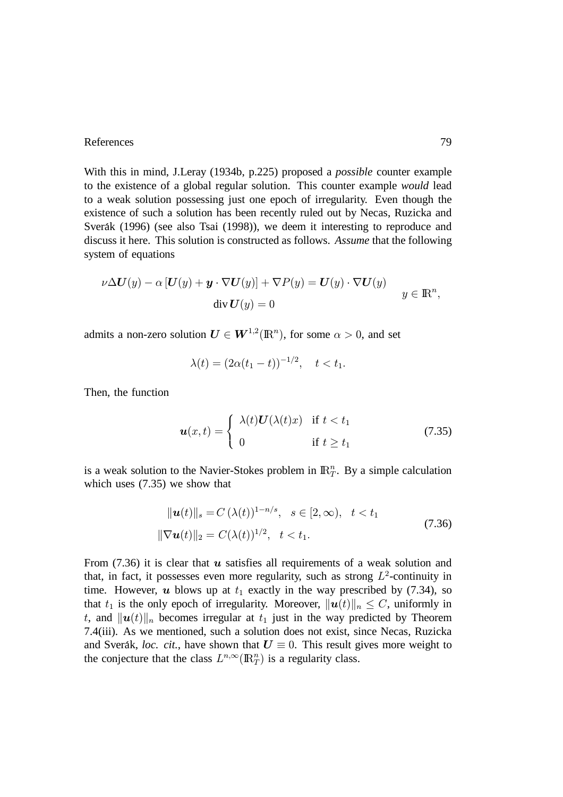## References 29

With this in mind, J.Leray (1934b, p.225) proposed a *possible* counter example to the existence of a global regular solution. This counter example *would* lead to a weak solution possessing just one epoch of irregularity. Even though the existence of such a solution has been recently ruled out by Necas, Ruzicka and Sverak (1996) (see also Tsai (1998)), we deem it interesting to reproduce and discuss it here. This solution is constructed as follows. *Assume* that the following system of equations

$$
\nu \Delta U(y) - \alpha \left[ U(y) + \mathbf{y} \cdot \nabla U(y) \right] + \nabla P(y) = U(y) \cdot \nabla U(y)
$$
  
div  $U(y) = 0$   $y \in \mathbb{R}^n$ ,

admits a non-zero solution  $\boldsymbol{U} \in \boldsymbol{W}^{1,2}(\mathbb{R}^n)$ , for some  $\alpha > 0$ , and set

$$
\lambda(t) = (2\alpha(t_1 - t))^{-1/2}, \quad t < t_1.
$$

Then, the function

$$
\boldsymbol{u}(x,t) = \begin{cases} \lambda(t)\boldsymbol{U}(\lambda(t)x) & \text{if } t < t_1\\ 0 & \text{if } t \geq t_1 \end{cases} \tag{7.35}
$$

is a weak solution to the Navier-Stokes problem in  $\mathbb{R}^n_T$ . By a simple calculation which uses (7.35) we show that

$$
\|\mathbf{u}(t)\|_{s} = C\left(\lambda(t)\right)^{1-n/s}, \quad s \in [2, \infty), \quad t < t_{1}
$$
\n
$$
\|\nabla \mathbf{u}(t)\|_{2} = C(\lambda(t))^{1/2}, \quad t < t_{1}.\tag{7.36}
$$

From (7.36) it is clear that  $\boldsymbol{u}$  satisfies all requirements of a weak solution and that, in fact, it possesses even more regularity, such as strong  $L^2$ -continuity in time. However,  $\boldsymbol{u}$  blows up at  $t_1$  exactly in the way prescribed by (7.34), so that  $t_1$  is the only epoch of irregularity. Moreover,  $||\boldsymbol{u}(t)||_n \leq C$ , uniformly in t, and  $||\boldsymbol{u}(t)||_n$  becomes irregular at  $t_1$  just in the way predicted by Theorem 7.4(iii). As we mentioned, such a solution does not exist, since Necas, Ruzicka and Sverák, *loc. cit.*, have shown that  $U \equiv 0$ . This result gives more weight to the conjecture that the class  $L^{n,\infty}(\mathbb{R}^n_T)$  is a regularity class.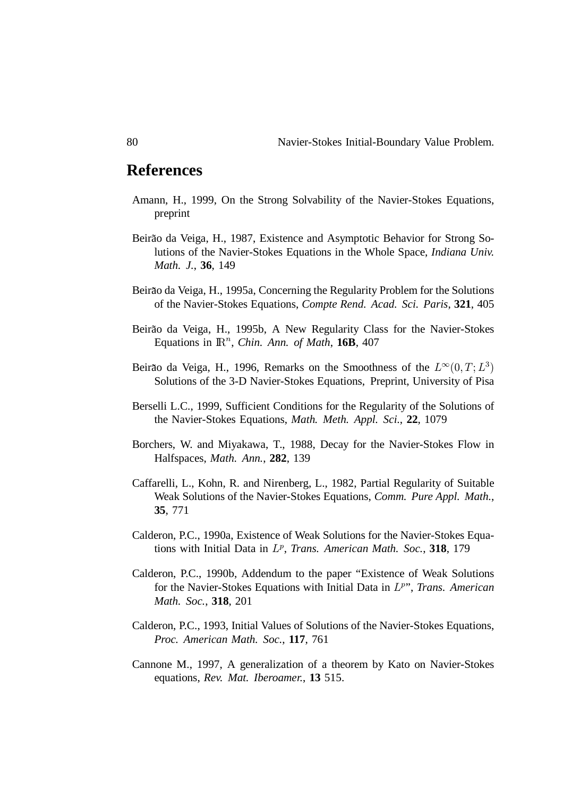## **References**

- Amann, H., 1999, On the Strong Solvability of the Navier-Stokes Equations, preprint
- Beirão da Veiga, H., 1987, Existence and Asymptotic Behavior for Strong Solutions of the Navier-Stokes Equations in the Whole Space, *Indiana Univ. Math. J.*, **36**, 149
- Beirão da Veiga, H., 1995a, Concerning the Regularity Problem for the Solutions of the Navier-Stokes Equations, *Compte Rend. Acad. Sci. Paris*, **321**, 405
- Beirão da Veiga, H., 1995b, A New Regularity Class for the Navier-Stokes Equations in  $\mathbb{R}^n$ , *Chin. Ann. of Math*, **16B**, 407
- Beirão da Veiga, H., 1996, Remarks on the Smoothness of the  $L^{\infty}(0,T; L^{3})$ Solutions of the 3-D Navier-Stokes Equations, Preprint, University of Pisa
- Berselli L.C., 1999, Sufficient Conditions for the Regularity of the Solutions of the Navier-Stokes Equations, *Math. Meth. Appl. Sci.*, **22**, 1079
- Borchers, W. and Miyakawa, T., 1988, Decay for the Navier-Stokes Flow in Halfspaces, *Math. Ann.*, **282**, 139
- Caffarelli, L., Kohn, R. and Nirenberg, L., 1982, Partial Regularity of Suitable Weak Solutions of the Navier-Stokes Equations, *Comm. Pure Appl. Math.*, **35**, 771
- Calderon, P.C., 1990a, Existence of Weak Solutions for the Navier-Stokes Equations with Initial Data in L<sup>p</sup>, Trans. American Math. Soc., 318, 179
- Calderon, P.C., 1990b, Addendum to the paper "Existence of Weak Solutions for the Navier-Stokes Equations with Initial Data in L<sup>p</sup>", Trans. American *Math. Soc.*, **318**, 201
- Calderon, P.C., 1993, Initial Values of Solutions of the Navier-Stokes Equations, *Proc. American Math. Soc.*, **117**, 761
- Cannone M., 1997, A generalization of a theorem by Kato on Navier-Stokes equations, *Rev. Mat. Iberoamer.*, **13** 515.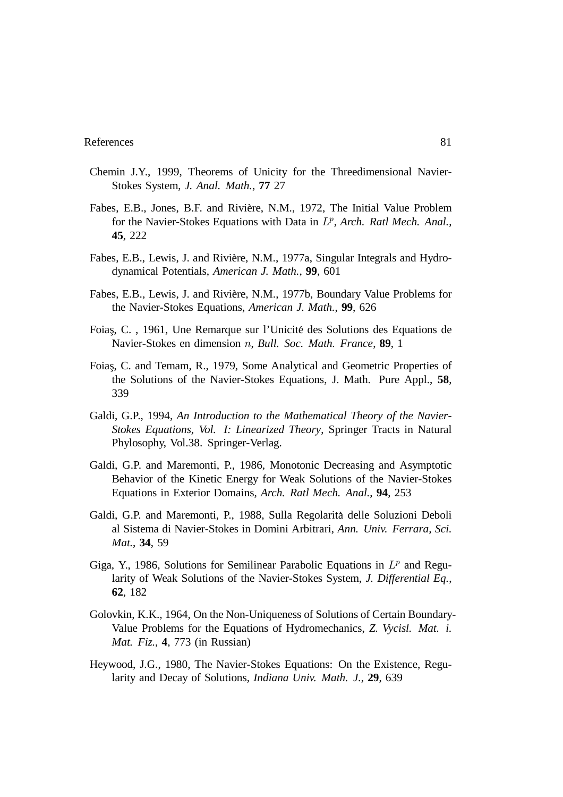- Chemin J.Y., 1999, Theorems of Unicity for the Threedimensional Navier-Stokes System, *J. Anal. Math.*, **77** 27
- Fabes, E.B., Jones, B.F. and Rivière, N.M., 1972, The Initial Value Problem for the Navier-Stokes Equations with Data in  $L^p$ , Arch. Ratl Mech. Anal., **45**, 222
- Fabes, E.B., Lewis, J. and Riviere, N.M., 1977a, Singular Integrals and Hydro- ` dynamical Potentials, *American J. Math.*, **99**, 601
- Fabes, E.B., Lewis, J. and Riviere, N.M., 1977b, Boundary Value Problems for ` the Navier-Stokes Equations, *American J. Math.*, **99**, 626
- Foias¸, C. , 1961, Une Remarque sur l'Unicite des Solutions des Equations de ´ Navier-Stokes en dimension n, *Bull. Soc. Math. France*, **89**, 1
- Foias¸, C. and Temam, R., 1979, Some Analytical and Geometric Properties of the Solutions of the Navier-Stokes Equations, J. Math. Pure Appl., **58**, 339
- Galdi, G.P., 1994, *An Introduction to the Mathematical Theory of the Navier-Stokes Equations, Vol. I: Linearized Theory*, Springer Tracts in Natural Phylosophy, Vol.38. Springer-Verlag.
- Galdi, G.P. and Maremonti, P., 1986, Monotonic Decreasing and Asymptotic Behavior of the Kinetic Energy for Weak Solutions of the Navier-Stokes Equations in Exterior Domains, *Arch. Ratl Mech. Anal.*, **94**, 253
- Galdi, G.P. and Maremonti, P., 1988, Sulla Regolarita delle Soluzioni Deboli ` al Sistema di Navier-Stokes in Domini Arbitrari, *Ann. Univ. Ferrara, Sci. Mat.*, **34**, 59
- Giga, Y., 1986, Solutions for Semilinear Parabolic Equations in  $L^p$  and Regularity of Weak Solutions of the Navier-Stokes System, *J. Differential Eq.*, **62**, 182
- Golovkin, K.K., 1964, On the Non-Uniqueness of Solutions of Certain Boundary-Value Problems for the Equations of Hydromechanics, *Z. Vycisl. Mat. i. Mat. Fiz.*, **4**, 773 (in Russian)
- Heywood, J.G., 1980, The Navier-Stokes Equations: On the Existence, Regularity and Decay of Solutions, *Indiana Univ. Math. J.*, **29**, 639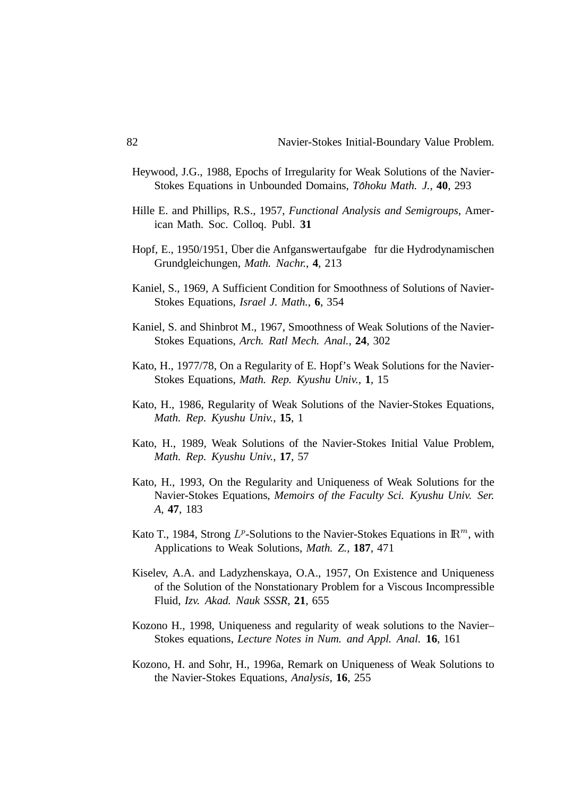- Heywood, J.G., 1988, Epochs of Irregularity for Weak Solutions of the Navier-Stokes Equations in Unbounded Domains, *Tôhoku Math. J.*, 40, 293
- Hille E. and Phillips, R.S., 1957, *Functional Analysis and Semigroups*, American Math. Soc. Colloq. Publ. **31**
- Hopf, E., 1950/1951, Über die Anfganswertaufgabe fur die Hydrodynamischen Grundgleichungen, *Math. Nachr.*, **4**, 213
- Kaniel, S., 1969, A Sufficient Condition for Smoothness of Solutions of Navier-Stokes Equations, *Israel J. Math.*, **6**, 354
- Kaniel, S. and Shinbrot M., 1967, Smoothness of Weak Solutions of the Navier-Stokes Equations, *Arch. Ratl Mech. Anal.*, **24**, 302
- Kato, H., 1977/78, On a Regularity of E. Hopf's Weak Solutions for the Navier-Stokes Equations, *Math. Rep. Kyushu Univ.*, **1**, 15
- Kato, H., 1986, Regularity of Weak Solutions of the Navier-Stokes Equations, *Math. Rep. Kyushu Univ.*, **15**, 1
- Kato, H., 1989, Weak Solutions of the Navier-Stokes Initial Value Problem, *Math. Rep. Kyushu Univ.*, **17**, 57
- Kato, H., 1993, On the Regularity and Uniqueness of Weak Solutions for the Navier-Stokes Equations, *Memoirs of the Faculty Sci. Kyushu Univ. Ser. A*, **47**, 183
- Kato T., 1984, Strong  $L^p$ -Solutions to the Navier-Stokes Equations in  $\mathbb{R}^m$ , with Applications to Weak Solutions, *Math. Z.*, **187**, 471
- Kiselev, A.A. and Ladyzhenskaya, O.A., 1957, On Existence and Uniqueness of the Solution of the Nonstationary Problem for a Viscous Incompressible Fluid, *Izv. Akad. Nauk SSSR*, **21**, 655
- Kozono H., 1998, Uniqueness and regularity of weak solutions to the Navier– Stokes equations, *Lecture Notes in Num. and Appl. Anal.* **16**, 161
- Kozono, H. and Sohr, H., 1996a, Remark on Uniqueness of Weak Solutions to the Navier-Stokes Equations, *Analysis*, **16**, 255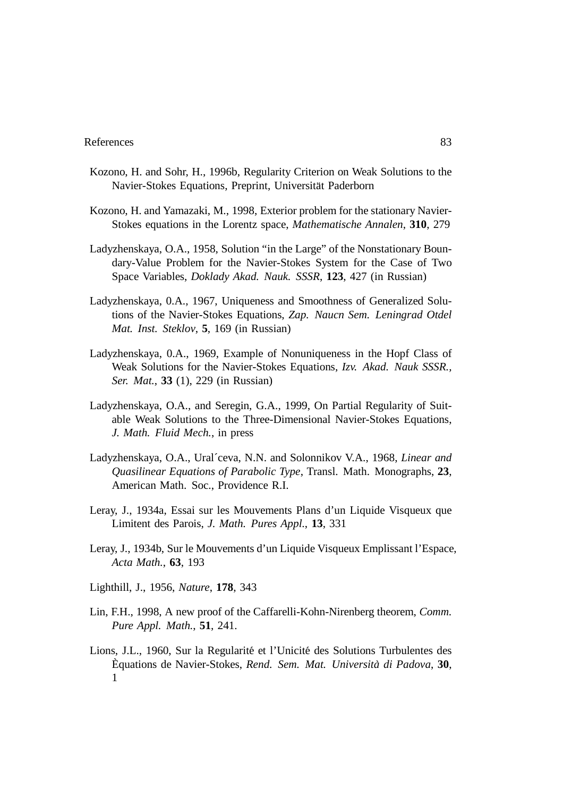- Kozono, H. and Sohr, H., 1996b, Regularity Criterion on Weak Solutions to the Navier-Stokes Equations, Preprint, Universitat Paderborn ¨
- Kozono, H. and Yamazaki, M., 1998, Exterior problem for the stationary Navier-Stokes equations in the Lorentz space, *Mathematische Annalen*, **310**, 279
- Ladyzhenskaya, O.A., 1958, Solution "in the Large" of the Nonstationary Boundary-Value Problem for the Navier-Stokes System for the Case of Two Space Variables, *Doklady Akad. Nauk. SSSR*, **123**, 427 (in Russian)
- Ladyzhenskaya, 0.A., 1967, Uniqueness and Smoothness of Generalized Solutions of the Navier-Stokes Equations, *Zap. Naucn Sem. Leningrad Otdel Mat. Inst. Steklov*, **5**, 169 (in Russian)
- Ladyzhenskaya, 0.A., 1969, Example of Nonuniqueness in the Hopf Class of Weak Solutions for the Navier-Stokes Equations, *Izv. Akad. Nauk SSSR., Ser. Mat.*, **33** (1), 229 (in Russian)
- Ladyzhenskaya, O.A., and Seregin, G.A., 1999, On Partial Regularity of Suitable Weak Solutions to the Three-Dimensional Navier-Stokes Equations, *J. Math. Fluid Mech.*, in press
- Ladyzhenskaya, O.A., Ural´ceva, N.N. and Solonnikov V.A., 1968, *Linear and Quasilinear Equations of Parabolic Type*, Transl. Math. Monographs, **23**, American Math. Soc., Providence R.I.
- Leray, J., 1934a, Essai sur les Mouvements Plans d'un Liquide Visqueux que Limitent des Parois, *J. Math. Pures Appl.*, **13**, 331
- Leray, J., 1934b, Sur le Mouvements d'un Liquide Visqueux Emplissant l'Espace, *Acta Math.*, **63**, 193
- Lighthill, J., 1956, *Nature*, **178**, 343
- Lin, F.H., 1998, A new proof of the Caffarelli-Kohn-Nirenberg theorem, *Comm. Pure Appl. Math.*, **51**, 241.
- Lions, J.L., 1960, Sur la Regularité et l'Unicité des Solutions Turbulentes des Equations de Navier-Stokes, ` *Rend. Sem. Mat. Universita di Padova `* , **30**, 1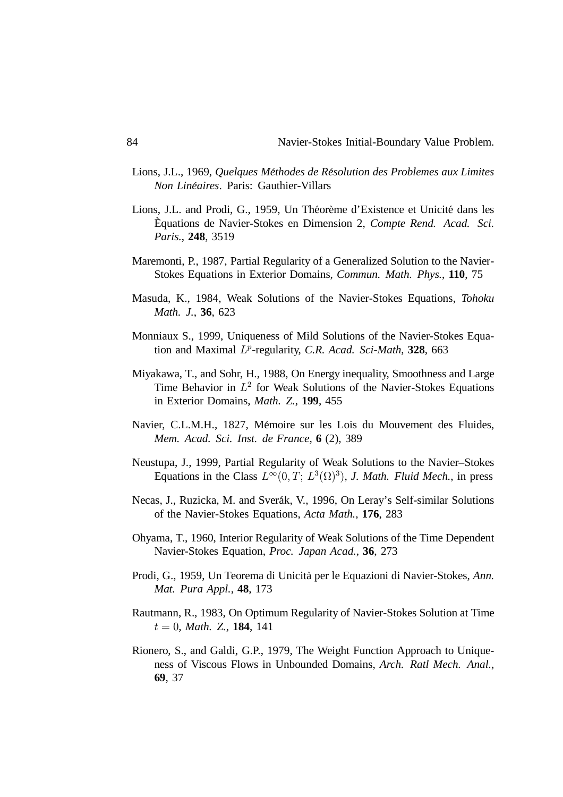- Lions, J.L., 1969, *Quelques Methodes de R ´ esolution des Problemes aux Limites ´ Non Lineaires ´* . Paris: Gauthier-Villars
- Lions, J.L. and Prodi, G., 1959, Un Theoreme d'Existence et Unicité dans les Equations de Navier-Stokes en Dimension 2, ` *Compte Rend. Acad. Sci. Paris.*, **248**, 3519
- Maremonti, P., 1987, Partial Regularity of a Generalized Solution to the Navier-Stokes Equations in Exterior Domains, *Commun. Math. Phys.*, **110**, 75
- Masuda, K., 1984, Weak Solutions of the Navier-Stokes Equations, *Tohoku Math. J.*, **36**, 623
- Monniaux S., 1999, Uniqueness of Mild Solutions of the Navier-Stokes Equation and Maximal L<sup>p</sup>-regularity, C.R. Acad. Sci-Math, 328, 663
- Miyakawa, T., and Sohr, H., 1988, On Energy inequality, Smoothness and Large Time Behavior in  $L^2$  for Weak Solutions of the Navier-Stokes Equations in Exterior Domains, *Math. Z.*, **199**, 455
- Navier, C.L.M.H., 1827, Memoire sur les Lois du Mouvement des Fluides, ´ *Mem. Acad. Sci. Inst. de France*, **6** (2), 389
- Neustupa, J., 1999, Partial Regularity of Weak Solutions to the Navier–Stokes Equations in the Class  $L^{\infty}(0,T; L^{3}(\Omega)^{3})$ , *J. Math. Fluid Mech.*, in press
- Necas, J., Ruzicka, M. and Sverak, V., 1996, On Leray's Self-similar Solutions ´ of the Navier-Stokes Equations, *Acta Math.*, **176**, 283
- Ohyama, T., 1960, Interior Regularity of Weak Solutions of the Time Dependent Navier-Stokes Equation, *Proc. Japan Acad.*, **36**, 273
- Prodi, G., 1959, Un Teorema di Unicità per le Equazioni di Navier-Stokes, Ann. *Mat. Pura Appl.*, **48**, 173
- Rautmann, R., 1983, On Optimum Regularity of Navier-Stokes Solution at Time  $t = 0$ , *Math.* Z., **184**, 141
- Rionero, S., and Galdi, G.P., 1979, The Weight Function Approach to Uniqueness of Viscous Flows in Unbounded Domains, *Arch. Ratl Mech. Anal.*, **69**, 37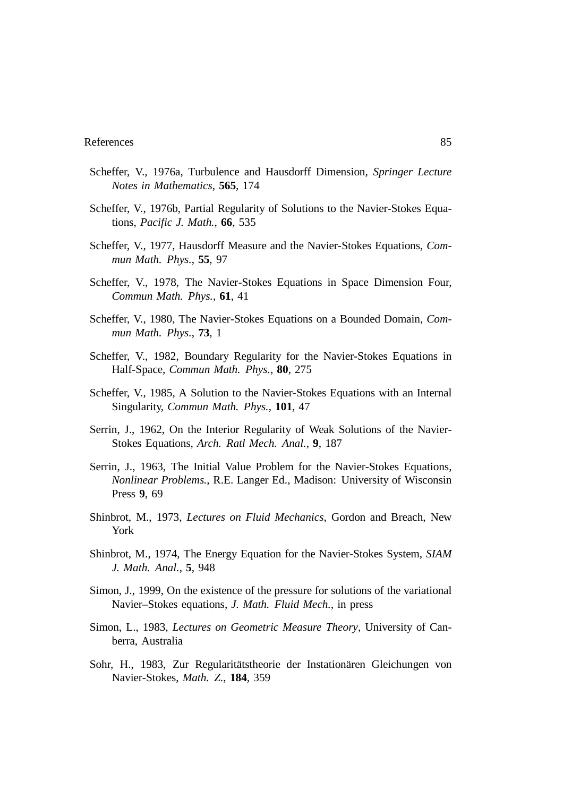- Scheffer, V., 1976a, Turbulence and Hausdorff Dimension, *Springer Lecture Notes in Mathematics*, **565**, 174
- Scheffer, V., 1976b, Partial Regularity of Solutions to the Navier-Stokes Equations, *Pacific J. Math.*, **66**, 535
- Scheffer, V., 1977, Hausdorff Measure and the Navier-Stokes Equations, *Commun Math. Phys.*, **55**, 97
- Scheffer, V., 1978, The Navier-Stokes Equations in Space Dimension Four, *Commun Math. Phys.*, **61**, 41
- Scheffer, V., 1980, The Navier-Stokes Equations on a Bounded Domain, *Commun Math. Phys.*, **73**, 1
- Scheffer, V., 1982, Boundary Regularity for the Navier-Stokes Equations in Half-Space, *Commun Math. Phys.*, **80**, 275
- Scheffer, V., 1985, A Solution to the Navier-Stokes Equations with an Internal Singularity, *Commun Math. Phys.*, **101**, 47
- Serrin, J., 1962, On the Interior Regularity of Weak Solutions of the Navier-Stokes Equations, *Arch. Ratl Mech. Anal.*, **9**, 187
- Serrin, J., 1963, The Initial Value Problem for the Navier-Stokes Equations, *Nonlinear Problems.*, R.E. Langer Ed., Madison: University of Wisconsin Press **9**, 69
- Shinbrot, M., 1973, *Lectures on Fluid Mechanics*, Gordon and Breach, New York
- Shinbrot, M., 1974, The Energy Equation for the Navier-Stokes System, *SIAM J. Math. Anal.*, **5**, 948
- Simon, J., 1999, On the existence of the pressure for solutions of the variational Navier–Stokes equations, *J. Math. Fluid Mech.*, in press
- Simon, L., 1983, *Lectures on Geometric Measure Theory*, University of Canberra, Australia
- Sohr, H., 1983, Zur Regularitätstheorie der Instation ären Gleichungen von Navier-Stokes, *Math. Z.*, **184**, 359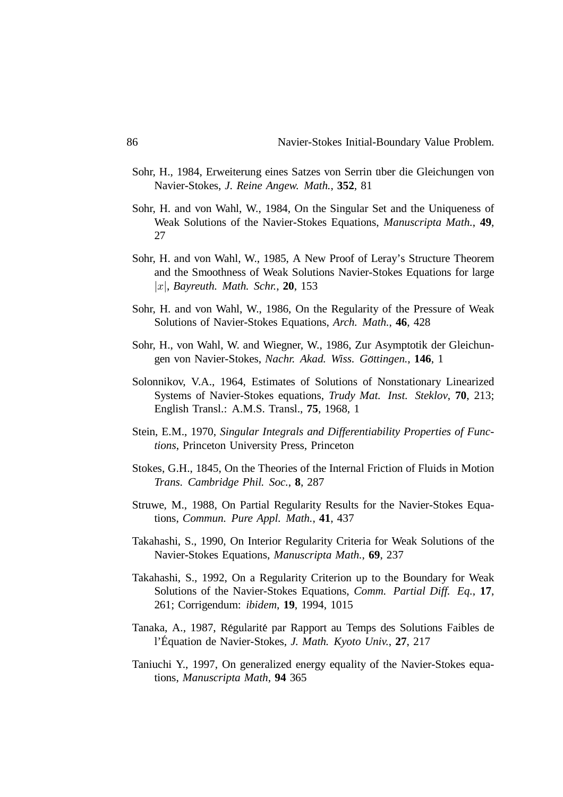- Sohr, H., 1984, Erweiterung eines Satzes von Serrin uber die Gleichungen von ¨ Navier-Stokes, *J. Reine Angew. Math.*, **352**, 81
- Sohr, H. and von Wahl, W., 1984, On the Singular Set and the Uniqueness of Weak Solutions of the Navier-Stokes Equations, *Manuscripta Math.*, **49**, 27
- Sohr, H. and von Wahl, W., 1985, A New Proof of Leray's Structure Theorem and the Smoothness of Weak Solutions Navier-Stokes Equations for large , *Bayreuth. Math. Schr.*, **20**, 153
- Sohr, H. and von Wahl, W., 1986, On the Regularity of the Pressure of Weak Solutions of Navier-Stokes Equations, *Arch. Math.*, **46**, 428
- Sohr, H., von Wahl, W. and Wiegner, W., 1986, Zur Asymptotik der Gleichungen von Navier-Stokes, *Nachr. Akad. Wiss. Göttingen.*, 146, 1
- Solonnikov, V.A., 1964, Estimates of Solutions of Nonstationary Linearized Systems of Navier-Stokes equations, *Trudy Mat. Inst. Steklov*, **70**, 213; English Transl.: A.M.S. Transl., **75**, 1968, 1
- Stein, E.M., 1970, *Singular Integrals and Differentiability Properties of Functions*, Princeton University Press, Princeton
- Stokes, G.H., 1845, On the Theories of the Internal Friction of Fluids in Motion *Trans. Cambridge Phil. Soc.*, **8**, 287
- Struwe, M., 1988, On Partial Regularity Results for the Navier-Stokes Equations, *Commun. Pure Appl. Math.*, **41**, 437
- Takahashi, S., 1990, On Interior Regularity Criteria for Weak Solutions of the Navier-Stokes Equations, *Manuscripta Math.*, **69**, 237
- Takahashi, S., 1992, On a Regularity Criterion up to the Boundary for Weak Solutions of the Navier-Stokes Equations, *Comm. Partial Diff. Eq.*, **17**, 261; Corrigendum: *ibidem*, **19**, 1994, 1015
- Tanaka, A., 1987, Régularité par Rapport au Temps des Solutions Faibles de l'Équation de Navier-Stokes, *J. Math. Kyoto Univ.*, 27, 217
- Taniuchi Y., 1997, On generalized energy equality of the Navier-Stokes equations, *Manuscripta Math*, **94** 365